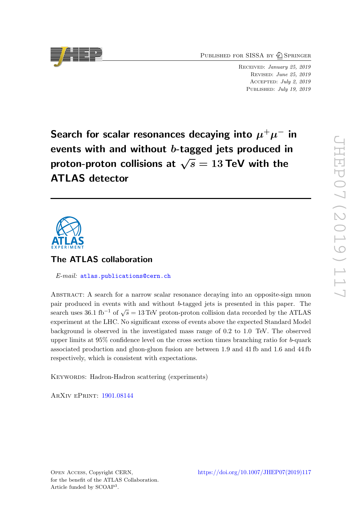PUBLISHED FOR SISSA BY 2 SPRINGER

Received: January 25, 2019 Revised: June 25, 2019 Accepted: July 2, 2019 PUBLISHED: July 19, 2019

Search for scalar resonances decaying into  $\mu^+\mu^-$  in events with and without b-tagged jets produced in proton-proton collisions at  $\sqrt{s} = 13$  TeV with the ATLAS detector



# The ATLAS collaboration

E-mail: [atlas.publications@cern.ch](mailto:atlas.publications@cern.ch)

Abstract: A search for a narrow scalar resonance decaying into an opposite-sign muon pair produced in events with and without b-tagged jets is presented in this paper. The search uses  $36.1 \text{ fb}^{-1}$  of  $\sqrt{s} = 13 \text{ TeV}$  proton-proton collision data recorded by the ATLAS experiment at the LHC. No significant excess of events above the expected Standard Model background is observed in the investigated mass range of 0.2 to 1.0 TeV. The observed upper limits at 95% confidence level on the cross section times branching ratio for b-quark associated production and gluon-gluon fusion are between 1.9 and 41 fb and 1.6 and 44 fb respectively, which is consistent with expectations.

KEYWORDS: Hadron-Hadron scattering (experiments)

ArXiv ePrint: [1901.08144](https://arxiv.org/abs/1901.08144)

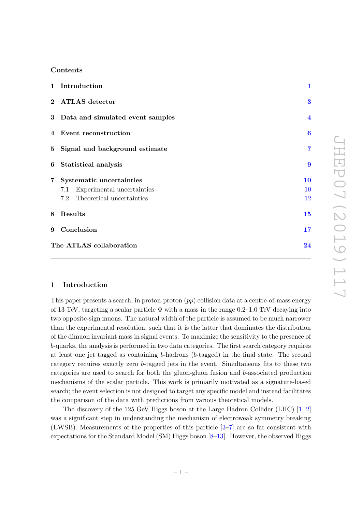# Contents

|   | 1 Introduction                     | $\mathbf{1}$            |
|---|------------------------------------|-------------------------|
|   | 2 ATLAS detector                   | 3                       |
|   | 3 Data and simulated event samples | $\overline{\mathbf{4}}$ |
|   | 4 Event reconstruction             | $\boldsymbol{6}$        |
|   | 5 Signal and background estimate   | 7                       |
|   | 6 Statistical analysis             | 9                       |
|   | 7 Systematic uncertainties         | 10                      |
|   | 7.1 Experimental uncertainties     | 10                      |
|   | 7.2 Theoretical uncertainties      | 12                      |
| 8 | Results                            | 15                      |
|   | 9 Conclusion                       | 17                      |
|   | The ATLAS collaboration            | 24                      |

# <span id="page-1-0"></span>1 Introduction

This paper presents a search, in proton-proton  $(pp)$  collision data at a centre-of-mass energy of 13 TeV, targeting a scalar particle  $\Phi$  with a mass in the range 0.2–1.0 TeV decaying into two opposite-sign muons. The natural width of the particle is assumed to be much narrower than the experimental resolution, such that it is the latter that dominates the distribution of the dimuon invariant mass in signal events. To maximize the sensitivity to the presence of b-quarks, the analysis is performed in two data categories. The first search category requires at least one jet tagged as containing b-hadrons (b-tagged) in the final state. The second category requires exactly zero b-tagged jets in the event. Simultaneous fits to these two categories are used to search for both the gluon-gluon fusion and b-associated production mechanisms of the scalar particle. This work is primarily motivated as a signature-based search; the event selection is not designed to target any specific model and instead facilitates the comparison of the data with predictions from various theoretical models.

The discovery of the 125 GeV Higgs boson at the Large Hadron Collider (LHC) [\[1,](#page-18-0) [2\]](#page-18-1) was a significant step in understanding the mechanism of electroweak symmetry breaking (EWSB). Measurements of the properties of this particle [\[3](#page-18-2)[–7\]](#page-19-0) are so far consistent with expectations for the Standard Model (SM) Higgs boson [\[8–](#page-19-1)[13\]](#page-19-2). However, the observed Higgs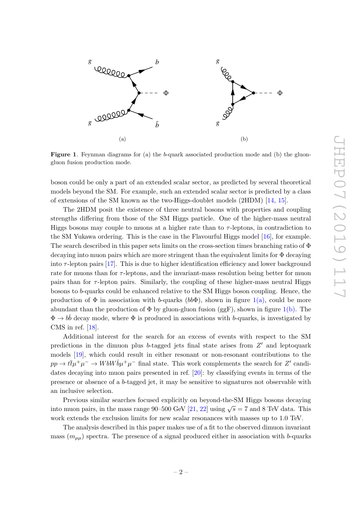<span id="page-2-1"></span><span id="page-2-0"></span>

Figure 1. Feynman diagrams for (a) the b-quark associated production mode and (b) the gluongluon fusion production mode.

boson could be only a part of an extended scalar sector, as predicted by several theoretical models beyond the SM. For example, such an extended scalar sector is predicted by a class of extensions of the SM known as the two-Higgs-doublet models (2HDM) [\[14,](#page-19-3) [15\]](#page-19-4).

The 2HDM posit the existence of three neutral bosons with properties and coupling strengths differing from those of the SM Higgs particle. One of the higher-mass neutral Higgs bosons may couple to muons at a higher rate than to  $\tau$ -leptons, in contradiction to the SM Yukawa ordering. This is the case in the Flavourful Higgs model [\[16\]](#page-19-5), for example. The search described in this paper sets limits on the cross-section times branching ratio of Φ decaying into muon pairs which are more stringent than the equivalent limits for Φ decaying into  $\tau$ -lepton pairs [\[17\]](#page-19-6). This is due to higher identification efficiency and lower background rate for muons than for  $\tau$ -leptons, and the invariant-mass resolution being better for muon pairs than for  $\tau$ -lepton pairs. Similarly, the coupling of these higher-mass neutral Higgs bosons to b-quarks could be enhanced relative to the SM Higgs boson coupling. Hence, the production of  $\Phi$  in association with b-quarks (bb $\Phi$ ), shown in figure [1\(a\),](#page-2-0) could be more abundant than the production of  $\Phi$  by gluon-gluon fusion (ggF), shown in figure [1\(b\).](#page-2-1) The  $\Phi \to b\bar{b}$  decay mode, where  $\Phi$  is produced in associations with b-quarks, is investigated by CMS in ref. [\[18\]](#page-19-7).

Additional interest for the search for an excess of events with respect to the SM predictions in the dimuon plus b-tagged jets final state arises from  $Z'$  and leptoquark models [\[19\]](#page-19-8), which could result in either resonant or non-resonant contributions to the  $pp \to t\bar{t}\mu^+\mu^- \to WbW\bar{b}\mu^+\mu^-$  final state. This work complements the search for Z' candidates decaying into muon pairs presented in ref. [\[20\]](#page-19-9): by classifying events in terms of the presence or absence of a b-tagged jet, it may be sensitive to signatures not observable with an inclusive selection.

Previous similar searches focused explicitly on beyond-the-SM Higgs bosons decaying into muon pairs, in the mass range 90–500 GeV [\[21,](#page-19-10) [22\]](#page-20-0) using  $\sqrt{s} = 7$  and 8 TeV data. This work extends the exclusion limits for new scalar resonances with masses up to 1.0 TeV.

The analysis described in this paper makes use of a fit to the observed dimuon invariant mass  $(m_{\mu\mu})$  spectra. The presence of a signal produced either in association with b-quarks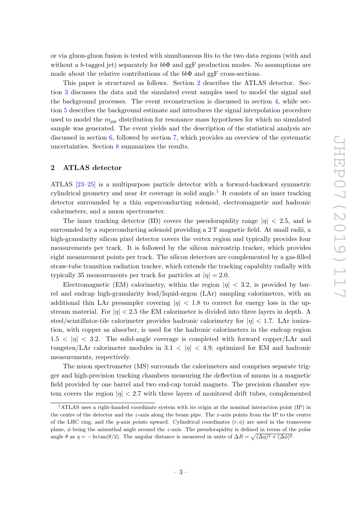or via gluon-gluon fusion is tested with simultaneous fits to the two data regions (with and without a b-tagged jet) separately for  $bb\Phi$  and ggF production modes. No assumptions are made about the relative contributions of the  $bb\Phi$  and ggF cross-sections.

This paper is structured as follows. Section [2](#page-3-0) describes the ATLAS detector. Section [3](#page-4-0) discusses the data and the simulated event samples used to model the signal and the background processes. The event reconstruction is discussed in section [4,](#page-6-0) while section [5](#page-7-0) describes the background estimate and introduces the signal interpolation procedure used to model the  $m_{\mu\mu}$  distribution for resonance mass hypotheses for which no simulated sample was generated. The event yields and the description of the statistical analysis are discussed in section [6,](#page-9-0) followed by section [7,](#page-10-0) which provides an overview of the systematic uncertainties. Section [8](#page-15-0) summarizes the results.

# <span id="page-3-0"></span>2 ATLAS detector

ATLAS [\[23–](#page-20-1)[25\]](#page-20-2) is a multipurpose particle detector with a forward-backward symmetric cylindrical geometry and near  $4\pi$  coverage in solid angle.<sup>[1](#page-3-1)</sup> It consists of an inner tracking detector surrounded by a thin superconducting solenoid, electromagnetic and hadronic calorimeters, and a muon spectrometer.

The inner tracking detector (ID) covers the pseudorapidity range  $|\eta| < 2.5$ , and is surrounded by a superconducting solenoid providing a 2 T magnetic field. At small radii, a high-granularity silicon pixel detector covers the vertex region and typically provides four measurements per track. It is followed by the silicon microstrip tracker, which provides eight measurement points per track. The silicon detectors are complemented by a gas-filled straw-tube transition radiation tracker, which extends the tracking capability radially with typically 35 measurements per track for particles at  $|\eta| = 2.0$ .

Electromagnetic (EM) calorimetry, within the region  $|\eta| < 3.2$ , is provided by barrel and endcap high-granularity lead/liquid-argon (LAr) sampling calorimeters, with an additional thin LAr presampler covering  $|\eta|$  < 1.8 to correct for energy loss in the upstream material. For  $|\eta| < 2.5$  the EM calorimeter is divided into three layers in depth. A steel/scintillator-tile calorimeter provides hadronic calorimetry for  $|\eta| < 1.7$ . LAr ionization, with copper as absorber, is used for the hadronic calorimeters in the endcap region  $1.5 < |\eta| < 3.2$ . The solid-angle coverage is completed with forward copper/LAr and tungsten/LAr calorimeter modules in  $3.1 < |\eta| < 4.9$ , optimized for EM and hadronic measurements, respectively.

The muon spectrometer (MS) surrounds the calorimeters and comprises separate trigger and high-precision tracking chambers measuring the deflection of muons in a magnetic field provided by one barrel and two end-cap toroid magnets. The precision chamber system covers the region  $|\eta| < 2.7$  with three layers of monitored drift tubes, complemented

<span id="page-3-1"></span><sup>1</sup>ATLAS uses a right-handed coordinate system with its origin at the nominal interaction point (IP) in the centre of the detector and the  $z$ -axis along the beam pipe. The  $x$ -axis points from the IP to the centre of the LHC ring, and the y-axis points upward. Cylindrical coordinates  $(r, \phi)$  are used in the transverse plane,  $\phi$  being the azimuthal angle around the z-axis. The pseudorapidity is defined in terms of the polar angle  $\theta$  as  $\eta = -\ln \tan(\theta/2)$ . The angular distance is measured in units of  $\Delta R = \sqrt{(\Delta \eta)^2 + (\Delta \phi)^2}$ .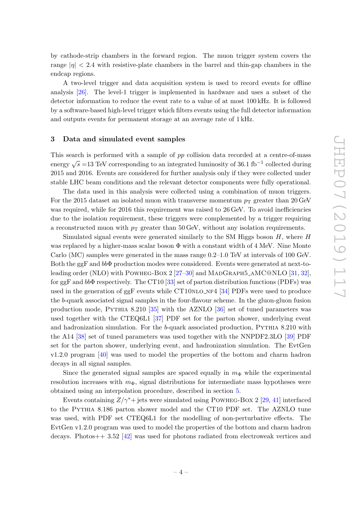by cathode-strip chambers in the forward region. The muon trigger system covers the range  $|\eta| < 2.4$  with resistive-plate chambers in the barrel and thin-gap chambers in the endcap regions.

A two-level trigger and data acquisition system is used to record events for offline analysis [\[26\]](#page-20-3). The level-1 trigger is implemented in hardware and uses a subset of the detector information to reduce the event rate to a value of at most 100 kHz. It is followed by a software-based high-level trigger which filters events using the full detector information and outputs events for permanent storage at an average rate of 1 kHz.

## <span id="page-4-0"></span>3 Data and simulated event samples

This search is performed with a sample of pp collision data recorded at a centre-of-mass energy  $\sqrt{s}$  =13 TeV corresponding to an integrated luminosity of 36.1 fb<sup>-1</sup> collected during 2015 and 2016. Events are considered for further analysis only if they were collected under stable LHC beam conditions and the relevant detector components were fully operational.

The data used in this analysis were collected using a combination of muon triggers. For the 2015 dataset an isolated muon with transverse momentum  $p<sub>T</sub>$  greater than 20 GeV was required, while for 2016 this requirement was raised to 26 GeV. To avoid inefficiencies due to the isolation requirement, these triggers were complemented by a trigger requiring a reconstructed muon with  $p<sub>T</sub>$  greater than 50 GeV, without any isolation requirements.

Simulated signal events were generated similarly to the SM Higgs boson  $H$ , where  $H$ was replaced by a higher-mass scalar boson  $\Phi$  with a constant width of 4 MeV. Nine Monte Carlo (MC) samples were generated in the mass range 0.2–1.0 TeV at intervals of 100 GeV. Both the ggF and bbΦ production modes were considered. Events were generated at next-to-leading order (NLO) with POWHEG-BOX 2 [\[27](#page-20-4)[–30\]](#page-20-5) and MADGRAPH5\_AMC@NLO [\[31,](#page-20-6) [32\]](#page-20-7), for ggF and bbΦ respectively. The CT10 [\[33\]](#page-20-8) set of parton distribution functions (PDFs) was used in the generation of  $ggF$  events while CT10NLO\_NF4 [\[34\]](#page-20-9) PDFs were used to produce the b-quark associated signal samples in the four-flavour scheme. In the gluon-gluon fusion production mode, Pythia 8.210 [\[35\]](#page-20-10) with the AZNLO [\[36\]](#page-20-11) set of tuned parameters was used together with the CTEQ6L1 [\[37\]](#page-20-12) PDF set for the parton shower, underlying event and hadronization simulation. For the b-quark associated production, PYTHIA 8.210 with the A14 [\[38\]](#page-20-13) set of tuned parameters was used together with the NNPDF2.3LO [\[39\]](#page-20-14) PDF set for the parton shower, underlying event, and hadronization simulation. The EvtGen v1.2.0 program [\[40\]](#page-20-15) was used to model the properties of the bottom and charm hadron decays in all signal samples.

Since the generated signal samples are spaced equally in  $m_{\Phi}$  while the experimental resolution increases with  $m_{\Phi}$ , signal distributions for intermediate mass hypotheses were obtained using an interpolation procedure, described in section [5.](#page-7-0)

Events containing  $Z/\gamma^*$  jets were simulated using POWHEG-BOX 2 [\[29,](#page-20-16) [41\]](#page-21-0) interfaced to the Pythia 8.186 parton shower model and the CT10 PDF set. The AZNLO tune was used, with PDF set CTEQ6L1 for the modelling of non-perturbative effects. The EvtGen v1.2.0 program was used to model the properties of the bottom and charm hadron decays. Photos++ 3.52 [\[42\]](#page-21-1) was used for photons radiated from electroweak vertices and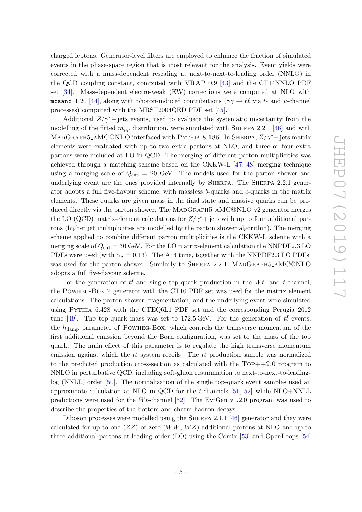charged leptons. Generator-level filters are employed to enhance the fraction of simulated events in the phase-space region that is most relevant for the analysis. Event yields were corrected with a mass-dependent rescaling at next-to-next-to-leading order (NNLO) in the QCD coupling constant, computed with VRAP 0.9 [\[43\]](#page-21-2) and the CT14NNLO PDF set [\[34\]](#page-20-9). Mass-dependent electro-weak (EW) corrections were computed at NLO with mcsanc–1.20 [\[44\]](#page-21-3), along with photon-induced contributions ( $\gamma \gamma \rightarrow \ell \ell$  via t- and u-channel processes) computed with the MRST2004QED PDF set [\[45\]](#page-21-4).

Additional  $Z/\gamma^*$ + jets events, used to evaluate the systematic uncertainty from the modelling of the fitted  $m_{\mu\mu}$  distribution, were simulated with SHERPA 2.2.1 [\[46\]](#page-21-5) and with MADGRAPH5\_AMC@NLO interfaced with PYTHIA 8.186. In SHERPA,  $Z/\gamma^*$ + jets matrix elements were evaluated with up to two extra partons at NLO, and three or four extra partons were included at LO in QCD. The merging of different parton multiplicities was achieved through a matching scheme based on the CKKW-L [\[47,](#page-21-6) [48\]](#page-21-7) merging technique using a merging scale of  $Q_{\text{cut}} = 20$  GeV. The models used for the parton shower and underlying event are the ones provided internally by Sherpa. The Sherpa 2.2.1 generator adopts a full five-flavour scheme, with massless b-quarks and c-quarks in the matrix elements. These quarks are given mass in the final state and massive quarks can be produced directly via the parton shower. The MADGRAPH5\_AMC@NLO v2 generator merges the LO (QCD) matrix-element calculations for  $Z/\gamma^*$ + jets with up to four additional partons (higher jet multiplicities are modelled by the parton shower algorithm). The merging scheme applied to combine different parton multiplicities is the CKKW-L scheme with a merging scale of  $Q_{\text{cut}} = 30$  GeV. For the LO matrix-element calculation the NNPDF2.3 LO PDFs were used (with  $\alpha_{\rm S} = 0.13$ ). The A14 tune, together with the NNPDF2.3 LO PDFs, was used for the parton shower. Similarly to SHERPA 2.2.1, MADGRAPH5\_AMC@NLO adopts a full five-flavour scheme.

For the generation of  $t\bar{t}$  and single top-quark production in the Wt- and t-channel, the Powheg-Box 2 generator with the CT10 PDF set was used for the matrix element calculations. The parton shower, fragmentation, and the underlying event were simulated using Pythia 6.428 with the CTEQ6L1 PDF set and the corresponding Perugia 2012 tune [\[49\]](#page-21-8). The top-quark mass was set to 172.5 GeV. For the generation of  $t\bar{t}$  events, the  $h_{\text{damp}}$  parameter of POWHEG-BOX, which controls the transverse momentum of the first additional emission beyond the Born configuration, was set to the mass of the top quark. The main effect of this parameter is to regulate the high transverse momentum emission against which the  $t\bar{t}$  system recoils. The  $t\bar{t}$  production sample was normalized to the predicted production cross-section as calculated with the  $Top++2.0$  program to NNLO in perturbative QCD, including soft-gluon resummation to next-to-next-to-leadinglog (NNLL) order [\[50\]](#page-21-9). The normalization of the single top-quark event samples used an approximate calculation at NLO in QCD for the  $t$ -channels [\[51,](#page-21-10) [52\]](#page-21-11) while NLO+NNLL predictions were used for the  $Wt$ -channel [\[52\]](#page-21-11). The EvtGen v1.2.0 program was used to describe the properties of the bottom and charm hadron decays.

Diboson processes were modelled using the Sherpa 2.1.1 [\[46\]](#page-21-5) generator and they were calculated for up to one  $(ZZ)$  or zero  $(WW, WZ)$  additional partons at NLO and up to three additional partons at leading order (LO) using the Comix [\[53\]](#page-21-12) and OpenLoops [\[54\]](#page-21-13)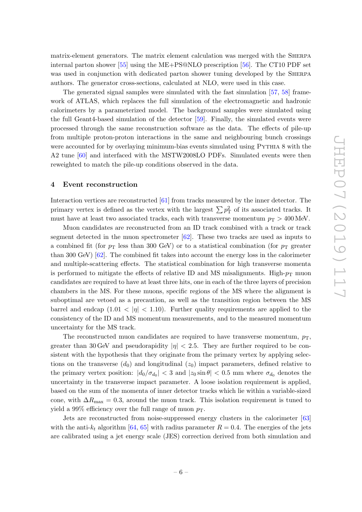matrix-element generators. The matrix element calculation was merged with the Sherpa internal parton shower [\[55\]](#page-21-14) using the ME+PS@NLO prescription [\[56\]](#page-21-15). The CT10 PDF set was used in conjunction with dedicated parton shower tuning developed by the SHERPA authors. The generator cross-sections, calculated at NLO, were used in this case.

The generated signal samples were simulated with the fast simulation [\[57,](#page-21-16) [58\]](#page-21-17) framework of ATLAS, which replaces the full simulation of the electromagnetic and hadronic calorimeters by a parameterized model. The background samples were simulated using the full Geant4-based simulation of the detector [\[59\]](#page-21-18). Finally, the simulated events were processed through the same reconstruction software as the data. The effects of pile-up from multiple proton-proton interactions in the same and neighbouring bunch crossings were accounted for by overlaying minimum-bias events simulated using PYTHIA 8 with the A2 tune [\[60\]](#page-22-0) and interfaced with the MSTW2008LO PDFs. Simulated events were then reweighted to match the pile-up conditions observed in the data.

## <span id="page-6-0"></span>4 Event reconstruction

Interaction vertices are reconstructed [\[61\]](#page-22-1) from tracks measured by the inner detector. The primary vertex is defined as the vertex with the largest  $\sum p_T^2$  of its associated tracks. It must have at least two associated tracks, each with transverse momentum  $p_T > 400 \,\text{MeV}$ .

Muon candidates are reconstructed from an ID track combined with a track or track segment detected in the muon spectrometer [\[62\]](#page-22-2). These two tracks are used as inputs to a combined fit (for  $p_{\rm T}$  less than 300 GeV) or to a statistical combination (for  $p_{\rm T}$  greater than 300 GeV) [\[62\]](#page-22-2). The combined fit takes into account the energy loss in the calorimeter and multiple-scattering effects. The statistical combination for high transverse momenta is performed to mitigate the effects of relative ID and MS misalignments. High- $p_T$  muon candidates are required to have at least three hits, one in each of the three layers of precision chambers in the MS. For these muons, specific regions of the MS where the alignment is suboptimal are vetoed as a precaution, as well as the transition region between the MS barrel and endcap  $(1.01 < |\eta| < 1.10)$ . Further quality requirements are applied to the consistency of the ID and MS momentum measurements, and to the measured momentum uncertainty for the MS track.

The reconstructed muon candidates are required to have transverse momentum,  $p_T$ , greater than 30 GeV and pseudorapidity  $|\eta| < 2.5$ . They are further required to be consistent with the hypothesis that they originate from the primary vertex by applying selections on the transverse  $(d_0)$  and longitudinal  $(z_0)$  impact parameters, defined relative to the primary vertex position:  $|d_0/\sigma_{d_0}| < 3$  and  $|z_0 \sin \theta| < 0.5$  mm where  $\sigma_{d_0}$  denotes the uncertainty in the transverse impact parameter. A loose isolation requirement is applied, based on the sum of the momenta of inner detector tracks which lie within a variable-sized cone, with  $\Delta R_{\text{max}} = 0.3$ , around the muon track. This isolation requirement is tuned to yield a 99% efficiency over the full range of muon  $p_T$ .

Jets are reconstructed from noise-suppressed energy clusters in the calorimeter [\[63\]](#page-22-3) with the anti- $k_t$  algorithm [\[64,](#page-22-4) [65\]](#page-22-5) with radius parameter  $R = 0.4$ . The energies of the jets are calibrated using a jet energy scale (JES) correction derived from both simulation and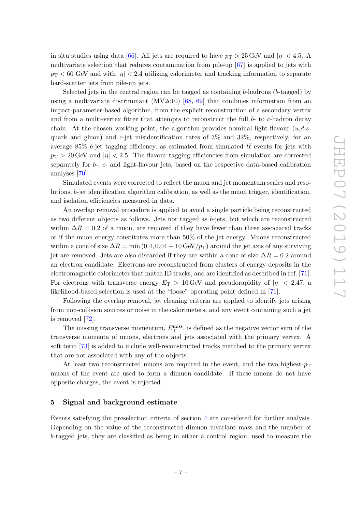in situ studies using data [\[66\]](#page-22-6). All jets are required to have  $p_T > 25$  GeV and  $|\eta| < 4.5$ . A multivariate selection that reduces contamination from pile-up [\[67\]](#page-22-7) is applied to jets with  $p_{\rm T}$  < 60 GeV and with  $|\eta|$  < 2.4 utilizing calorimeter and tracking information to separate hard-scatter jets from pile-up jets.

Selected jets in the central region can be tagged as containing  $b$ -hadrons ( $b$ -tagged) by using a multivariate discriminant  $(MV2c10)$  [\[68,](#page-22-8) [69\]](#page-22-9) that combines information from an impact-parameter-based algorithm, from the explicit reconstruction of a secondary vertex and from a multi-vertex fitter that attempts to reconstruct the full  $b$ - to  $c$ -hadron decay chain. At the chosen working point, the algorithm provides nominal light-flavour  $(u,d,s-)$ quark and gluon) and  $c$ -jet misidentification rates of  $3\%$  and  $32\%$ , respectively, for an average 85% b-jet tagging efficiency, as estimated from simulated  $t\bar{t}$  events for jets with  $p_T > 20$  GeV and  $|\eta| < 2.5$ . The flavour-tagging efficiencies from simulation are corrected separately for b-, c- and light-flavour jets, based on the respective data-based calibration analyses [\[70\]](#page-22-10).

Simulated events were corrected to reflect the muon and jet momentum scales and resolutions, b-jet identification algorithm calibration, as well as the muon trigger, identification, and isolation efficiencies measured in data.

An overlap removal procedure is applied to avoid a single particle being reconstructed as two different objects as follows. Jets not tagged as b-jets, but which are reconstructed within  $\Delta R = 0.2$  of a muon, are removed if they have fewer than three associated tracks or if the muon energy constitutes more than 50% of the jet energy. Muons reconstructed within a cone of size  $\Delta R = \min (0.4, 0.04 + 10 \,\text{GeV}/p_T)$  around the jet axis of any surviving jet are removed. Jets are also discarded if they are within a cone of size  $\Delta R = 0.2$  around an electron candidate. Electrons are reconstructed from clusters of energy deposits in the electromagnetic calorimeter that match ID tracks, and are identified as described in ref. [\[71\]](#page-22-11). For electrons with transverse energy  $E_T > 10$  GeV and pseudorapidity of  $|\eta| < 2.47$ , a likelihood-based selection is used at the "loose" operating point defined in [\[71\]](#page-22-11).

Following the overlap removal, jet cleaning criteria are applied to identify jets arising from non-collision sources or noise in the calorimeters, and any event containing such a jet is removed [\[72\]](#page-22-12).

The missing transverse momentum,  $E_{\rm T}^{\rm miss}$ , is defined as the negative vector sum of the transverse momenta of muons, electrons and jets associated with the primary vertex. A soft term [\[73\]](#page-22-13) is added to include well-reconstructed tracks matched to the primary vertex that are not associated with any of the objects.

At least two reconstructed muons are required in the event, and the two highest- $p_T$ muons of the event are used to form a dimuon candidate. If these muons do not have opposite charges, the event is rejected.

## <span id="page-7-0"></span>5 Signal and background estimate

Events satisfying the preselection criteria of section [4](#page-6-0) are considered for further analysis. Depending on the value of the reconstructed dimuon invariant mass and the number of b-tagged jets, they are classified as being in either a control region, used to measure the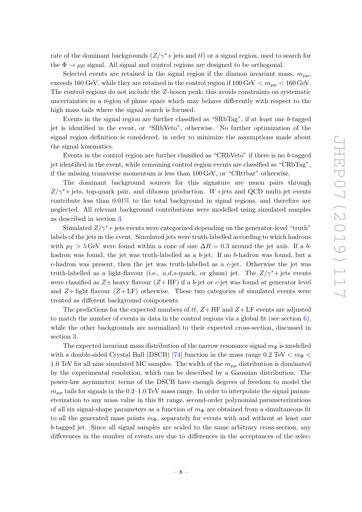rate of the dominant backgrounds  $(Z/\gamma^* + jets$  and  $t\bar{t})$  or a signal region, used to search for the  $\Phi \to \mu\mu$  signal. All signal and control regions are designed to be orthogonal.

Selected events are retained in the signal region if the dimuon invariant mass,  $m_{\mu\mu}$ , exceeds 160 GeV, while they are retained in the control region if  $100 \text{ GeV} < m_{\mu\mu} < 160 \text{ GeV}$ . The control regions do not include the Z-boson peak; this avoids constraints on systematic uncertainties in a region of phase space which may behave differently with respect to the high mass tails where the signal search is focused.

Events in the signal region are further classified as "SRbTag", if at least one b-tagged jet is identified in the event, or "SRbVeto", otherwise. No further optimization of the signal region definition is considered, in order to minimize the assumptions made about the signal kinematics.

Events in the control region are further classified as "CRbVeto" if there is no b-tagged jet identified in the event, while remaining control region events are classified as "CRbTag", if the missing transverse momentum is less than 100 GeV, or "CRttbar" otherwise.

The dominant background sources for this signature are muon pairs through  $Z/\gamma^*$ + jets, top-quark pair, and diboson production. W+jets and QCD multi-jet events contribute less than 0.01% to the total background in signal regions, and therefore are neglected. All relevant background contributions were modelled using simulated samples as described in section [3.](#page-4-0)

Simulated  $Z/\gamma^*$  jets events were categorized depending on the generator-level "truth" labels of the jets in the event. Simulated jets were truth-labelled according to which hadrons with  $p_T > 5$  GeV were found within a cone of size  $\Delta R = 0.3$  around the jet axis. If a bhadron was found, the jet was truth-labelled as a b-jet. If no b-hadron was found, but a c-hadron was present, then the jet was truth-labelled as a c-jet. Otherwise the jet was truth-labelled as a light-flavour (i.e., u,d,s-quark, or gluon) jet. The  $Z/\gamma^*$ + jets events were classified as  $Z+$  heavy flavour  $(Z+HF)$  if a b-jet or c-jet was found at generator level and  $Z+$  light flavour  $(Z+LF)$  otherwise. These two categories of simulated events were treated as different background components.

The predictions for the expected numbers of  $t\bar{t}$ ,  $Z+\text{HF}$  and  $Z+\text{LF}$  events are adjusted to match the number of events in data in the control regions via a global fit (see section [6\)](#page-9-0), while the other backgrounds are normalized to their expected cross-section, discussed in section [3.](#page-4-0)

The expected invariant mass distribution of the narrow resonance signal  $m_{\Phi}$  is modelled with a double-sided Crystal Ball (DSCB) [\[74\]](#page-22-14) function in the mass range  $0.2 \text{ TeV} < m_{\Phi} <$ 1.0 TeV for all nine simulated MC samples. The width of the  $m_{\mu\mu}$  distribution is dominated by the experimental resolution, which can be described by a Gaussian distribution. The power-law asymmetric terms of the DSCB have enough degrees of freedom to model the  $m_{\mu\mu}$  tails for signals in the 0.2–1.0 TeV mass range. In order to interpolate the signal parameterization to any mass value in this fit range, second-order polynomial parameterizations of all six signal-shape parameters as a function of  $m_{\Phi}$  are obtained from a simultaneous fit to all the generated mass points  $m_{\Phi}$ , separately for events with and without at least one b-tagged jet. Since all signal samples are scaled to the same arbitrary cross-section, any differences in the number of events are due to differences in the acceptances of the selec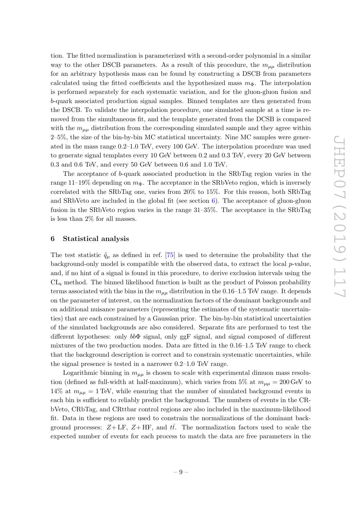tion. The fitted normalization is parameterized with a second-order polynomial in a similar way to the other DSCB parameters. As a result of this procedure, the  $m_{\mu\mu}$  distribution for an arbitrary hypothesis mass can be found by constructing a DSCB from parameters calculated using the fitted coefficients and the hypothesized mass  $m_{\Phi}$ . The interpolation is performed separately for each systematic variation, and for the gluon-gluon fusion and b-quark associated production signal samples. Binned templates are then generated from the DSCB. To validate the interpolation procedure, one simulated sample at a time is removed from the simultaneous fit, and the template generated from the DCSB is compared with the  $m_{\mu\mu}$  distribution from the corresponding simulated sample and they agree within 2–5%, the size of the bin-by-bin MC statistical uncertainty. Nine MC samples were generated in the mass range 0.2–1.0 TeV, every 100 GeV. The interpolation procedure was used to generate signal templates every 10 GeV between 0.2 and 0.3 TeV, every 20 GeV between 0.3 and 0.6 TeV, and every 50 GeV between 0.6 and 1.0 TeV.

The acceptance of b-quark associated production in the SRbTag region varies in the range 11–19% depending on  $m_{\Phi}$ . The acceptance in the SRbVeto region, which is inversely correlated with the SRbTag one, varies from 20% to 15%. For this reason, both SRbTag and SRbVeto are included in the global fit (see section  $6$ ). The acceptance of gluon-gluon fusion in the SRbVeto region varies in the range 31–35%. The acceptance in the SRbTag is less than 2% for all masses.

# <span id="page-9-0"></span>6 Statistical analysis

The test statistic  $\tilde{q}_{\mu}$  as defined in ref. [\[75\]](#page-22-15) is used to determine the probability that the background-only model is compatible with the observed data, to extract the local p-value, and, if no hint of a signal is found in this procedure, to derive exclusion intervals using the CL<sup>s</sup> method. The binned likelihood function is built as the product of Poisson probability terms associated with the bins in the  $m_{\mu\mu}$  distribution in the 0.16–1.5 TeV range. It depends on the parameter of interest, on the normalization factors of the dominant backgrounds and on additional nuisance parameters (representing the estimates of the systematic uncertainties) that are each constrained by a Gaussian prior. The bin-by-bin statistical uncertainties of the simulated backgrounds are also considered. Separate fits are performed to test the different hypotheses: only bbΦ signal, only ggF signal, and signal composed of different mixtures of the two production modes. Data are fitted in the 0.16–1.5 TeV range to check that the background description is correct and to constrain systematic uncertainties, while the signal presence is tested in a narrower 0.2–1.0 TeV range.

Logarithmic binning in  $m_{\mu\mu}$  is chosen to scale with experimental dimuon mass resolution (defined as full-width at half-maximum), which varies from 5% at  $m_{\mu\mu} = 200 \,\text{GeV}$  to 14% at  $m_{\mu\mu} = 1$  TeV, while ensuring that the number of simulated background events in each bin is sufficient to reliably predict the background. The numbers of events in the CRbVeto, CRbTag, and CRttbar control regions are also included in the maximum-likelihood fit. Data in these regions are used to constrain the normalizations of the dominant background processes:  $Z + LF$ ,  $Z + HF$ , and  $t\bar{t}$ . The normalization factors used to scale the expected number of events for each process to match the data are free parameters in the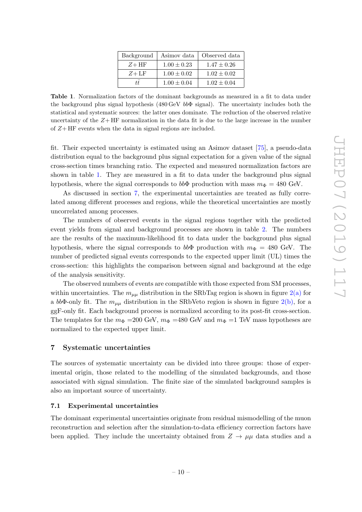| Background | Asimov data     | Observed data   |
|------------|-----------------|-----------------|
| $Z + HF$   | $1.00 \pm 0.23$ | $1.47 \pm 0.26$ |
| $Z + LF$   | $1.00 \pm 0.02$ | $1.02 \pm 0.02$ |
| tt.        | $1.00 \pm 0.04$ | $1.02 \pm 0.04$ |

<span id="page-10-2"></span>Table 1. Normalization factors of the dominant backgrounds as measured in a fit to data under the background plus signal hypothesis (480 GeV  $bb\Phi$  signal). The uncertainty includes both the statistical and systematic sources: the latter ones dominate. The reduction of the observed relative uncertainty of the  $Z + HF$  normalization in the data fit is due to the large increase in the number of  $Z + HF$  events when the data in signal regions are included.

fit. Their expected uncertainty is estimated using an Asimov dataset [\[75\]](#page-22-15), a pseudo-data distribution equal to the background plus signal expectation for a given value of the signal cross-section times branching ratio. The expected and measured normalization factors are shown in table [1.](#page-10-2) They are measured in a fit to data under the background plus signal hypothesis, where the signal corresponds to  $bb\Phi$  production with mass  $m\Phi = 480$  GeV.

As discussed in section [7,](#page-10-0) the experimental uncertainties are treated as fully correlated among different processes and regions, while the theoretical uncertainties are mostly uncorrelated among processes.

The numbers of observed events in the signal regions together with the predicted event yields from signal and background processes are shown in table [2.](#page-11-0) The numbers are the results of the maximum-likelihood fit to data under the background plus signal hypothesis, where the signal corresponds to  $bb\Phi$  production with  $m_{\Phi} = 480$  GeV. The number of predicted signal events corresponds to the expected upper limit (UL) times the cross-section: this highlights the comparison between signal and background at the edge of the analysis sensitivity.

The observed numbers of events are compatible with those expected from SM processes, within uncertainties. The  $m_{\mu\mu}$  distribution in the SRbTag region is shown in figure  $2(a)$  for a bbΦ-only fit. The  $m_{\mu\mu}$  distribution in the SRbVeto region is shown in figure [2\(b\),](#page-11-2) for a ggF-only fit. Each background process is normalized according to its post-fit cross-section. The templates for the  $m_{\Phi}$  =200 GeV,  $m_{\Phi}$  =480 GeV and  $m_{\Phi}$  =1 TeV mass hypotheses are normalized to the expected upper limit.

# <span id="page-10-0"></span>7 Systematic uncertainties

The sources of systematic uncertainty can be divided into three groups: those of experimental origin, those related to the modelling of the simulated backgrounds, and those associated with signal simulation. The finite size of the simulated background samples is also an important source of uncertainty.

#### <span id="page-10-1"></span>7.1 Experimental uncertainties

The dominant experimental uncertainties originate from residual mismodelling of the muon reconstruction and selection after the simulation-to-data efficiency correction factors have been applied. They include the uncertainty obtained from  $Z \to \mu\mu$  data studies and a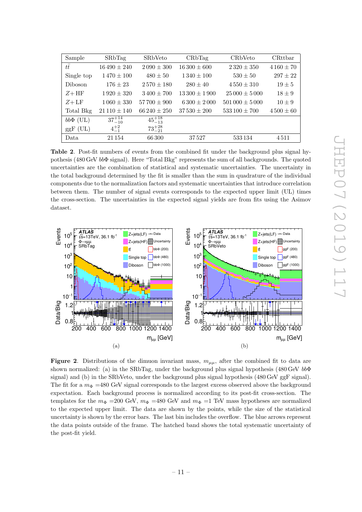| Sample        | <b>SRbTag</b>     | SRbVeto           | CRbTag           | CR <sub>b</sub> Veto  | CRttbar       |
|---------------|-------------------|-------------------|------------------|-----------------------|---------------|
| $t\bar{t}$    | $16\,490 \pm 240$ | $2090 \pm 300$    | $16300 \pm 600$  | $2320 \pm 350$        | $4160 \pm 70$ |
| Single top    | $1470 \pm 100$    | $480 \pm 50$      | $1340 \pm 100$   | $530 \pm 50$          | $297 + 22$    |
| Diboson       | $176 \pm 23$      | $2570 \pm 180$    | $280 \pm 40$     | $4550 \pm 310$        | $19 \pm 5$    |
| $Z + HF$      | $1.920 \pm 320$   | $3400 \pm 700$    | $13300 \pm 1900$ | $25000 \pm 5000$      | $18 \pm 9$    |
| $Z + LF$      | $1060 \pm 330$    | $57700 \pm 900$   | $6300 \pm 2000$  | $501\,000 \pm 5\,000$ | $10 \pm 9$    |
| Total Bkg     | $21110 \pm 140$   | $66\,240 \pm 250$ | $37530 \pm 200$  | $533100 \pm 700$      | $4500 \pm 60$ |
| $bb\Phi$ (UL) | $37^{+14}_{-10}$  | $45^{+18}_{-13}$  |                  |                       |               |
| $ggF$ (UL)    | $4^{+2}_{-1}$     | $73^{+28}_{-21}$  |                  |                       |               |
| Data          | 21 154            | 66300             | 37527            | 533 134               | 4511          |

<span id="page-11-0"></span>Table 2. Post-fit numbers of events from the combined fit under the background plus signal hypothesis (480 GeV  $bb\Phi$  signal). Here "Total Bkg" represents the sum of all backgrounds. The quoted uncertainties are the combination of statistical and systematic uncertainties. The uncertainty in the total background determined by the fit is smaller than the sum in quadrature of the individual components due to the normalization factors and systematic uncertainties that introduce correlation between them. The number of signal events corresponds to the expected upper limit (UL) times the cross-section. The uncertainties in the expected signal yields are from fits using the Asimov dataset.

<span id="page-11-1"></span>

<span id="page-11-2"></span>Figure 2. Distributions of the dimuon invariant mass,  $m_{\mu\mu}$ , after the combined fit to data are shown normalized: (a) in the SRbTag, under the background plus signal hypothesis (480 GeV bbΦ signal) and (b) in the SRbVeto, under the background plus signal hypothesis (480 GeV ggF signal). The fit for a  $m_{\Phi}$  =480 GeV signal corresponds to the largest excess observed above the background expectation. Each background process is normalized according to its post-fit cross-section. The templates for the  $m_{\Phi}$  =200 GeV,  $m_{\Phi}$  =480 GeV and  $m_{\Phi}$  =1 TeV mass hypotheses are normalized to the expected upper limit. The data are shown by the points, while the size of the statistical uncertainty is shown by the error bars. The last bin includes the overflow. The blue arrows represent the data points outside of the frame. The hatched band shows the total systematic uncertainty of the post-fit yield.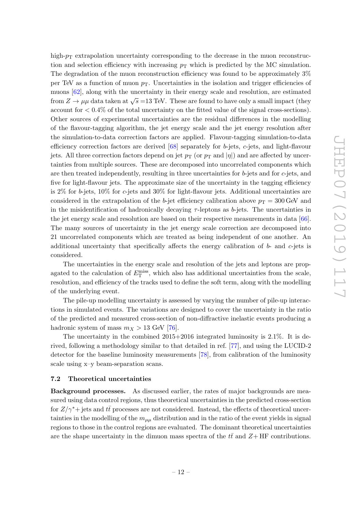high- $p<sub>T</sub>$  extrapolation uncertainty corresponding to the decrease in the muon reconstruction and selection efficiency with increasing  $p<sub>T</sub>$  which is predicted by the MC simulation. The degradation of the muon reconstruction efficiency was found to be approximately 3% per TeV as a function of muon  $p<sub>T</sub>$ . Uncertainties in the isolation and trigger efficiencies of muons [\[62\]](#page-22-2), along with the uncertainty in their energy scale and resolution, are estimated from  $Z \to \mu\mu$  data taken at  $\sqrt{s} = 13$  TeV. These are found to have only a small impact (they account for  $\langle 0.4\% \rangle$  of the total uncertainty on the fitted value of the signal cross-sections). Other sources of experimental uncertainties are the residual differences in the modelling of the flavour-tagging algorithm, the jet energy scale and the jet energy resolution after the simulation-to-data correction factors are applied. Flavour-tagging simulation-to-data efficiency correction factors are derived  $[68]$  separately for b-jets, c-jets, and light-flavour jets. All three correction factors depend on jet  $p_T$  (or  $p_T$  and  $|\eta|$ ) and are affected by uncertainties from multiple sources. These are decomposed into uncorrelated components which are then treated independently, resulting in three uncertainties for  $b$ -jets and for  $c$ -jets, and five for light-flavour jets. The approximate size of the uncertainty in the tagging efficiency is  $2\%$  for b-jets,  $10\%$  for c-jets and  $30\%$  for light-flavour jets. Additional uncertainties are considered in the extrapolation of the b-jet efficiency calibration above  $p_T = 300$  GeV and in the misidentification of hadronically decaying  $\tau$ -leptons as b-jets. The uncertainties in the jet energy scale and resolution are based on their respective measurements in data [\[66\]](#page-22-6). The many sources of uncertainty in the jet energy scale correction are decomposed into 21 uncorrelated components which are treated as being independent of one another. An additional uncertainty that specifically affects the energy calibration of  $b$ - and  $c$ -jets is considered.

The uncertainties in the energy scale and resolution of the jets and leptons are propagated to the calculation of  $E_{\rm T}^{\rm miss}$ , which also has additional uncertainties from the scale, resolution, and efficiency of the tracks used to define the soft term, along with the modelling of the underlying event.

The pile-up modelling uncertainty is assessed by varying the number of pile-up interactions in simulated events. The variations are designed to cover the uncertainty in the ratio of the predicted and measured cross-section of non-diffractive inelastic events producing a hadronic system of mass  $m_X > 13$  GeV [\[76\]](#page-22-16).

The uncertainty in the combined 2015+2016 integrated luminosity is 2.1%. It is derived, following a methodology similar to that detailed in ref. [\[77\]](#page-23-0), and using the LUCID-2 detector for the baseline luminosity measurements [\[78\]](#page-23-1), from calibration of the luminosity scale using x–y beam-separation scans.

## <span id="page-12-0"></span>7.2 Theoretical uncertainties

Background processes. As discussed earlier, the rates of major backgrounds are measured using data control regions, thus theoretical uncertainties in the predicted cross-section for  $Z/\gamma^*$ + jets and  $t\bar{t}$  processes are not considered. Instead, the effects of theoretical uncertainties in the modelling of the  $m_{\mu\mu}$  distribution and in the ratio of the event yields in signal regions to those in the control regions are evaluated. The dominant theoretical uncertainties are the shape uncertainty in the dimuon mass spectra of the  $t\bar{t}$  and  $Z+HF$  contributions.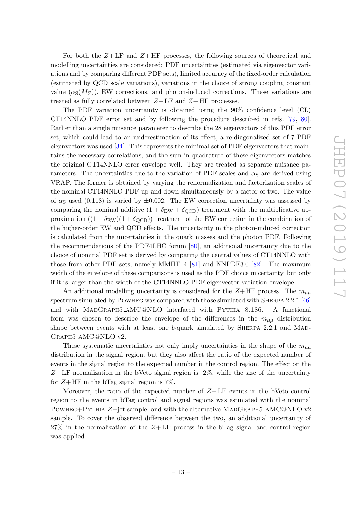For both the  $Z+LF$  and  $Z+HF$  processes, the following sources of theoretical and modelling uncertainties are considered: PDF uncertainties (estimated via eigenvector variations and by comparing different PDF sets), limited accuracy of the fixed-order calculation (estimated by QCD scale variations), variations in the choice of strong coupling constant value  $(\alpha_S(M_Z))$ , EW corrections, and photon-induced corrections. These variations are treated as fully correlated between  $Z + LF$  and  $Z + HF$  processes.

The PDF variation uncertainty is obtained using the 90% confidence level (CL) CT14NNLO PDF error set and by following the procedure described in refs. [\[79,](#page-23-2) [80\]](#page-23-3). Rather than a single nuisance parameter to describe the 28 eigenvectors of this PDF error set, which could lead to an underestimation of its effect, a re-diagonalized set of 7 PDF eigenvectors was used [\[34\]](#page-20-9). This represents the minimal set of PDF eigenvectors that maintains the necessary correlations, and the sum in quadrature of these eigenvectors matches the original CT14NNLO error envelope well. They are treated as separate nuisance parameters. The uncertainties due to the variation of PDF scales and  $\alpha_{\rm S}$  are derived using VRAP. The former is obtained by varying the renormalization and factorization scales of the nominal CT14NNLO PDF up and down simultaneously by a factor of two. The value of  $\alpha_{\rm S}$  used (0.118) is varied by  $\pm 0.002$ . The EW correction uncertainty was assessed by comparing the nominal additive  $(1 + \delta_{\text{EW}} + \delta_{\text{QCD}})$  treatment with the multiplicative approximation  $((1 + \delta_{EW})(1 + \delta_{QCD}))$  treatment of the EW correction in the combination of the higher-order EW and QCD effects. The uncertainty in the photon-induced correction is calculated from the uncertainties in the quark masses and the photon PDF. Following the recommendations of the PDF4LHC forum [\[80\]](#page-23-3), an additional uncertainty due to the choice of nominal PDF set is derived by comparing the central values of CT14NNLO with those from other PDF sets, namely MMHT14 [\[81\]](#page-23-4) and NNPDF3.0 [\[82\]](#page-23-5). The maximum width of the envelope of these comparisons is used as the PDF choice uncertainty, but only if it is larger than the width of the CT14NNLO PDF eigenvector variation envelope.

An additional modelling uncertainty is considered for the  $Z+HF$  process. The  $m_{\mu\mu}$ spectrum simulated by Powheg was compared with those simulated with Sherpa 2.2.1 [\[46\]](#page-21-5) and with MADGRAPH5\_AMC@NLO interfaced with PYTHIA 8.186. A functional form was chosen to describe the envelope of the differences in the  $m_{\mu\mu}$  distribution shape between events with at least one  $b$ -quark simulated by SHERPA 2.2.1 and MAD-Graph5 aMC@NLO v2.

These systematic uncertainties not only imply uncertainties in the shape of the  $m_{\mu\mu}$ distribution in the signal region, but they also affect the ratio of the expected number of events in the signal region to the expected number in the control region. The effect on the  $Z+LF$  normalization in the bVeto signal region is  $2\%$ , while the size of the uncertainty for  $Z + HF$  in the bTag signal region is 7%.

Moreover, the ratio of the expected number of  $Z + LF$  events in the bVeto control region to the events in bTag control and signal regions was estimated with the nominal POWHEG+PYTHIA Z+jet sample, and with the alternative MADGRAPH5\_AMC@NLO v2 sample. To cover the observed difference between the two, an additional uncertainty of  $27\%$  in the normalization of the  $Z+LF$  process in the bTag signal and control region was applied.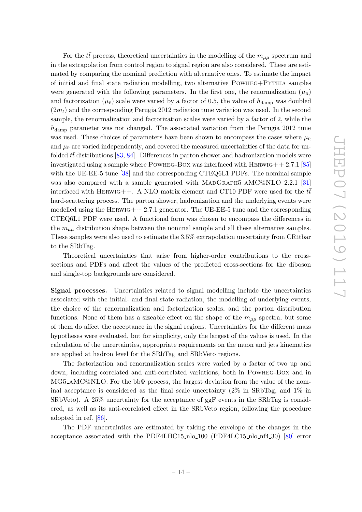For the  $t\bar{t}$  process, theoretical uncertainties in the modelling of the  $m_{\mu\mu}$  spectrum and in the extrapolation from control region to signal region are also considered. These are estimated by comparing the nominal prediction with alternative ones. To estimate the impact of initial and final state radiation modelling, two alternative Powheg+Pythia samples were generated with the following parameters. In the first one, the renormalization  $(\mu_R)$ and factorization  $(\mu_F)$  scale were varied by a factor of 0.5, the value of  $h_{\text{damp}}$  was doubled  $(2m_t)$  and the corresponding Perugia 2012 radiation tune variation was used. In the second sample, the renormalization and factorization scales were varied by a factor of 2, while the  $h_{\text{damp}}$  parameter was not changed. The associated variation from the Perugia 2012 tune was used. These choices of parameters have been shown to encompass the cases where  $\mu_R$ and  $\mu_{\rm F}$  are varied independently, and covered the measured uncertainties of the data for unfolded  $t\bar{t}$  distributions [\[83,](#page-23-6) [84\]](#page-23-7). Differences in parton shower and hadronization models were investigated using a sample where POWHEG-BOX was interfaced with  $HERWIG + + 2.7.1$  [\[85\]](#page-23-8) with the UE-EE-5 tune [\[38\]](#page-20-13) and the corresponding CTEQ6L1 PDFs. The nominal sample was also compared with a sample generated with MADGRAPH5\_AMC@NLO 2.2.1 [\[31\]](#page-20-6) interfaced with HERWIG++. A NLO matrix element and CT10 PDF were used for the  $t\bar{t}$ hard-scattering process. The parton shower, hadronization and the underlying events were modelled using the HERWIG++ 2.7.1 generator. The UE-EE-5 tune and the corresponding CTEQ6L1 PDF were used. A functional form was chosen to encompass the differences in the  $m_{\mu\mu}$  distribution shape between the nominal sample and all these alternative samples. These samples were also used to estimate the 3.5% extrapolation uncertainty from CRttbar to the SRbTag.

Theoretical uncertainties that arise from higher-order contributions to the crosssections and PDFs and affect the values of the predicted cross-sections for the diboson and single-top backgrounds are considered.

Signal processes. Uncertainties related to signal modelling include the uncertainties associated with the initial- and final-state radiation, the modelling of underlying events, the choice of the renormalization and factorization scales, and the parton distribution functions. None of them has a sizeable effect on the shape of the  $m_{\mu\mu}$  spectra, but some of them do affect the acceptance in the signal regions. Uncertainties for the different mass hypotheses were evaluated, but for simplicity, only the largest of the values is used. In the calculation of the uncertainties, appropriate requirements on the muon and jets kinematics are applied at hadron level for the SRbTag and SRbVeto regions.

The factorization and renormalization scales were varied by a factor of two up and down, including correlated and anti-correlated variations, both in Powheg-Box and in MG5\_AMC@NLO. For the bb $\Phi$  process, the largest deviation from the value of the nominal acceptance is considered as the final scale uncertainty  $(2\%$  in SRbTag, and  $1\%$  in SRbVeto). A 25% uncertainty for the acceptance of ggF events in the SRbTag is considered, as well as its anti-correlated effect in the SRbVeto region, following the procedure adopted in ref. [\[86\]](#page-23-9).

The PDF uncertainties are estimated by taking the envelope of the changes in the acceptance associated with the PDF4LHC15\_nlo\_100 (PDF4LC15\_nlo\_nf4\_30) [\[80\]](#page-23-3) error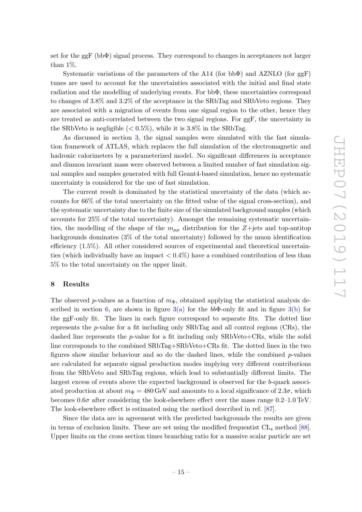set for the ggF (bbΦ) signal process. They correspond to changes in acceptances not larger than 1%.

Systematic variations of the parameters of the A14 (for bb $\Phi$ ) and AZNLO (for ggF) tunes are used to account for the uncertainties associated with the initial and final state radiation and the modelling of underlying events. For bbΦ, these uncertainties correspond to changes of 3.8% and 3.2% of the acceptance in the SRbTag and SRbVeto regions. They are associated with a migration of events from one signal region to the other, hence they are treated as anti-correlated between the two signal regions. For ggF, the uncertainty in the SRbVeto is negligible  $(< 0.5\%)$ , while it is 3.8% in the SRbTag.

As discussed in section [3,](#page-4-0) the signal samples were simulated with the fast simulation framework of ATLAS, which replaces the full simulation of the electromagnetic and hadronic calorimeters by a parameterized model. No significant differences in acceptance and dimuon invariant mass were observed between a limited number of fast simulation signal samples and samples generated with full Geant4-based simulation, hence no systematic uncertainty is considered for the use of fast simulation.

The current result is dominated by the statistical uncertainty of the data (which accounts for 66% of the total uncertainty on the fitted value of the signal cross-section), and the systematic uncertainty due to the finite size of the simulated background samples (which accounts for 25% of the total uncertainty). Amongst the remaining systematic uncertainties, the modelling of the shape of the  $m_{\mu\mu}$  distribution for the Z+jets and top-antitop backgrounds dominates (3% of the total uncertainty) followed by the muon identification efficiency (1.5%). All other considered sources of experimental and theoretical uncertainties (which individually have an impact  $< 0.4\%$ ) have a combined contribution of less than 5% to the total uncertainty on the upper limit.

### <span id="page-15-0"></span>8 Results

The observed p-values as a function of  $m_{\Phi}$ , obtained applying the statistical analysis de-scribed in section [6,](#page-9-0) are shown in figure  $3(a)$  for the  $bb\Phi$ -only fit and in figure  $3(b)$  for the ggF-only fit. The lines in each figure correspond to separate fits. The dotted line represents the  $p$ -value for a fit including only SRbTag and all control regions (CRs), the dashed line represents the  $p$ -value for a fit including only  $SRbVeto+CRs$ , while the solid line corresponds to the combined SRbTag+SRbVeto+CRs fit. The dotted lines in the two figures show similar behaviour and so do the dashed lines, while the combined  $p$ -values are calculated for separate signal production modes implying very different contributions from the SRbVeto and SRbTag regions, which lead to substantially different limits. The largest excess of events above the expected background is observed for the b-quark associated production at about  $m_{\Phi} = 480$  GeV and amounts to a local significance of  $2.3\sigma$ , which becomes  $0.6\sigma$  after considering the look-elsewhere effect over the mass range  $0.2-1.0$  TeV. The look-elsewhere effect is estimated using the method described in ref. [\[87\]](#page-23-10).

Since the data are in agreement with the predicted backgrounds the results are given in terms of exclusion limits. These are set using the modified frequentist  $CL_s$  method [\[88\]](#page-23-11). Upper limits on the cross section times branching ratio for a massive scalar particle are set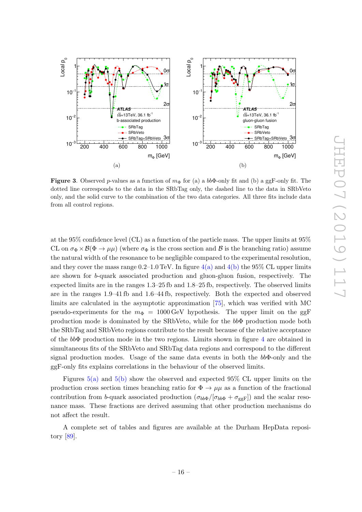

<span id="page-16-1"></span><span id="page-16-0"></span>Figure 3. Observed p-values as a function of  $m_{\Phi}$  for (a) a bb $\Phi$ -only fit and (b) a ggF-only fit. The dotted line corresponds to the data in the SRbTag only, the dashed line to the data in SRbVeto only, and the solid curve to the combination of the two data categories. All three fits include data from all control regions.

at the 95% confidence level (CL) as a function of the particle mass. The upper limits at 95% CL on  $\sigma_{\Phi} \times \mathcal{B}(\Phi \to \mu\mu)$  (where  $\sigma_{\Phi}$  is the cross section and  $\mathcal{B}$  is the branching ratio) assume the natural width of the resonance to be negligible compared to the experimental resolution, and they cover the mass range 0.2–1.0 TeV. In figure  $4(a)$  and  $4(b)$  the 95% CL upper limits are shown for b-quark associated production and gluon-gluon fusion, respectively. The expected limits are in the ranges 1.3–25 fb and 1.8–25 fb, respectively. The observed limits are in the ranges 1.9–41 fb and 1.6–44 fb, respectively. Both the expected and observed limits are calculated in the asymptotic approximation [\[75\]](#page-22-15), which was verified with MC pseudo-experiments for the  $m_{\Phi} = 1000 \,\text{GeV}$  hypothesis. The upper limit on the ggF production mode is dominated by the SRbVeto, while for the bbΦ production mode both the SRbTag and SRbVeto regions contribute to the result because of the relative acceptance of the  $bb\Phi$  production mode in the two regions. Limits shown in figure [4](#page-17-3) are obtained in simultaneous fits of the SRbVeto and SRbTag data regions and correspond to the different signal production modes. Usage of the same data events in both the  $bb\Phi$ -only and the ggF-only fits explains correlations in the behaviour of the observed limits.

Figures [5\(a\)](#page-17-4) and [5\(b\)](#page-17-5) show the observed and expected 95% CL upper limits on the production cross section times branching ratio for  $\Phi \to \mu\mu$  as a function of the fractional contribution from b-quark associated production  $(\sigma_{bb\Phi}/[\sigma_{bb\Phi} + \sigma_{ggF}])$  and the scalar resonance mass. These fractions are derived assuming that other production mechanisms do not affect the result.

A complete set of tables and figures are available at the Durham HepData repository [\[89\]](#page-23-12).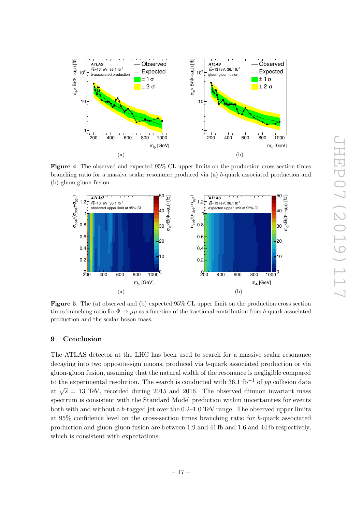

<span id="page-17-3"></span><span id="page-17-1"></span>Figure 4. The observed and expected 95% CL upper limits on the production cross section times branching ratio for a massive scalar resonance produced via (a) b-quark associated production and (b) gluon-gluon fusion.

<span id="page-17-2"></span>

<span id="page-17-5"></span><span id="page-17-4"></span>Figure 5. The (a) observed and (b) expected 95% CL upper limit on the production cross section times branching ratio for  $\Phi \to \mu\mu$  as a function of the fractional contribution from b-quark associated production and the scalar boson mass.

# <span id="page-17-0"></span>9 Conclusion

The ATLAS detector at the LHC has been used to search for a massive scalar resonance decaying into two opposite-sign muons, produced via b-quark associated production or via gluon-gluon fusion, assuming that the natural width of the resonance is negligible compared to the experimental resolution. The search is conducted with 36.1 fb<sup>-1</sup> of pp collision data at  $\sqrt{s} = 13$  TeV, recorded during 2015 and 2016. The observed dimuon invariant mass spectrum is consistent with the Standard Model prediction within uncertainties for events both with and without a b-tagged jet over the  $0.2-1.0$  TeV range. The observed upper limits at 95% confidence level on the cross-section times branching ratio for b-quark associated production and gluon-gluon fusion are between 1.9 and 41 fb and 1.6 and 44 fb respectively, which is consistent with expectations.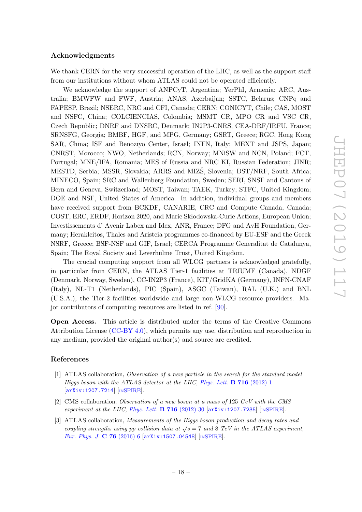### Acknowledgments

We thank CERN for the very successful operation of the LHC, as well as the support staff from our institutions without whom ATLAS could not be operated efficiently.

We acknowledge the support of ANPCyT, Argentina; YerPhI, Armenia; ARC, Australia; BMWFW and FWF, Austria; ANAS, Azerbaijan; SSTC, Belarus; CNPq and FAPESP, Brazil; NSERC, NRC and CFI, Canada; CERN; CONICYT, Chile; CAS, MOST and NSFC, China; COLCIENCIAS, Colombia; MSMT CR, MPO CR and VSC CR, Czech Republic; DNRF and DNSRC, Denmark; IN2P3-CNRS, CEA-DRF/IRFU, France; SRNSFG, Georgia; BMBF, HGF, and MPG, Germany; GSRT, Greece; RGC, Hong Kong SAR, China; ISF and Benoziyo Center, Israel; INFN, Italy; MEXT and JSPS, Japan; CNRST, Morocco; NWO, Netherlands; RCN, Norway; MNiSW and NCN, Poland; FCT, Portugal; MNE/IFA, Romania; MES of Russia and NRC KI, Russian Federation; JINR; MESTD, Serbia; MSSR, Slovakia; ARRS and MIZS, Slovenia; DST/NRF, South Africa; MINECO, Spain; SRC and Wallenberg Foundation, Sweden; SERI, SNSF and Cantons of Bern and Geneva, Switzerland; MOST, Taiwan; TAEK, Turkey; STFC, United Kingdom; DOE and NSF, United States of America. In addition, individual groups and members have received support from BCKDF, CANARIE, CRC and Compute Canada, Canada; COST, ERC, ERDF, Horizon 2020, and Marie Skłodowska-Curie Actions, European Union; Investissements d' Avenir Labex and Idex, ANR, France; DFG and AvH Foundation, Germany; Herakleitos, Thales and Aristeia programmes co-financed by EU-ESF and the Greek NSRF, Greece; BSF-NSF and GIF, Israel; CERCA Programme Generalitat de Catalunya, Spain; The Royal Society and Leverhulme Trust, United Kingdom.

The crucial computing support from all WLCG partners is acknowledged gratefully, in particular from CERN, the ATLAS Tier-1 facilities at TRIUMF (Canada), NDGF (Denmark, Norway, Sweden), CC-IN2P3 (France), KIT/GridKA (Germany), INFN-CNAF (Italy), NL-T1 (Netherlands), PIC (Spain), ASGC (Taiwan), RAL (U.K.) and BNL (U.S.A.), the Tier-2 facilities worldwide and large non-WLCG resource providers. Major contributors of computing resources are listed in ref. [\[90\]](#page-23-13).

Open Access. This article is distributed under the terms of the Creative Commons Attribution License [\(CC-BY 4.0\)](https://creativecommons.org/licenses/by/4.0/), which permits any use, distribution and reproduction in any medium, provided the original author(s) and source are credited.

#### References

- <span id="page-18-0"></span>[1] ATLAS collaboration, Observation of a new particle in the search for the standard model Higgs boson with the ATLAS detector at the LHC, [Phys. Lett.](https://doi.org/10.1016/j.physletb.2012.08.020)  $\bf{B}$  716 (2012) 1 [[arXiv:1207.7214](https://arxiv.org/abs/1207.7214)] [IN[SPIRE](https://inspirehep.net/search?p=find+EPRINT+arXiv:1207.7214)].
- <span id="page-18-1"></span>[2] CMS collaboration, Observation of a new boson at a mass of 125 GeV with the CMS experiment at the LHC, [Phys. Lett.](https://doi.org/10.1016/j.physletb.2012.08.021) **B 716** (2012) 30  $\left[$ [arXiv:1207.7235](https://arxiv.org/abs/1207.7235) $\right]$  [IN[SPIRE](https://inspirehep.net/search?p=find+EPRINT+arXiv:1207.7235)].
- <span id="page-18-2"></span>[3] ATLAS collaboration, Measurements of the Higgs boson production and decay rates and coupling strengths using pp collision data at  $\sqrt{s} = 7$  and 8 TeV in the ATLAS experiment, [Eur. Phys. J.](https://doi.org/10.1140/epjc/s10052-015-3769-y) C 76 (2016) 6 [[arXiv:1507.04548](https://arxiv.org/abs/1507.04548)] [IN[SPIRE](https://inspirehep.net/search?p=find+EPRINT+arXiv:1507.04548)].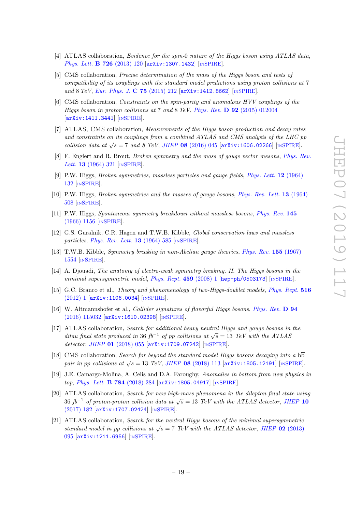- [4] ATLAS collaboration, *Evidence for the spin-*0 nature of the Higgs boson using ATLAS data, [Phys. Lett.](https://doi.org/10.1016/j.physletb.2013.08.026) **B 726** (2013) 120 [[arXiv:1307.1432](https://arxiv.org/abs/1307.1432)] [IN[SPIRE](https://inspirehep.net/search?p=find+EPRINT+arXiv:1307.1432)].
- [5] CMS collaboration, Precise determination of the mass of the Higgs boson and tests of compatibility of its couplings with the standard model predictions using proton collisions at 7 and 8 TeV, [Eur. Phys. J.](https://doi.org/10.1140/epjc/s10052-015-3351-7) C 75 (2015) 212 [[arXiv:1412.8662](https://arxiv.org/abs/1412.8662)] [IN[SPIRE](https://inspirehep.net/search?p=find+EPRINT+arXiv:1412.8662)].
- [6] CMS collaboration, Constraints on the spin-parity and anomalous HVV couplings of the Higgs boson in proton collisions at 7 and 8 TeV, Phys. Rev.  $\bf{D}$  92 [\(2015\) 012004](https://doi.org/10.1103/PhysRevD.92.012004) [[arXiv:1411.3441](https://arxiv.org/abs/1411.3441)] [IN[SPIRE](https://inspirehep.net/search?p=find+EPRINT+arXiv:1411.3441)].
- <span id="page-19-0"></span>[7] ATLAS, CMS collaboration, Measurements of the Higgs boson production and decay rates and constraints on its couplings from a combined ATLAS and CMS analysis of the LHC pp collision data at  $\sqrt{s}$  = 7 and 8 TeV, JHEP 08 [\(2016\) 045](https://doi.org/10.1007/JHEP08(2016)045) [[arXiv:1606.02266](https://arxiv.org/abs/1606.02266)] [IN[SPIRE](https://inspirehep.net/search?p=find+EPRINT+arXiv:1606.02266)].
- <span id="page-19-1"></span>[8] F. Englert and R. Brout, Broken symmetry and the mass of gauge vector mesons, [Phys. Rev.](https://doi.org/10.1103/PhysRevLett.13.321) Lett. **13** [\(1964\) 321](https://doi.org/10.1103/PhysRevLett.13.321) [IN[SPIRE](https://inspirehep.net/search?p=find+J+%22Phys.Rev.Lett.,13,321%22)].
- [9] P.W. Higgs, Broken symmetries, massless particles and gauge fields, [Phys. Lett.](https://doi.org/10.1016/0031-9163(64)91136-9) 12 (1964) [132](https://doi.org/10.1016/0031-9163(64)91136-9) [IN[SPIRE](https://inspirehep.net/search?p=find+J+%22Phys.Lett.,12,132%22)].
- [10] P.W. Higgs, *Broken symmetries and the masses of gauge bosons, [Phys. Rev. Lett.](https://doi.org/10.1103/PhysRevLett.13.508)* **13** (1964) [508](https://doi.org/10.1103/PhysRevLett.13.508) [IN[SPIRE](https://inspirehep.net/search?p=find+J+%22Phys.Rev.Lett.,13,508%22)].
- [11] P.W. Higgs, Spontaneous symmetry breakdown without massless bosons, [Phys. Rev.](https://doi.org/10.1103/PhysRev.145.1156) 145 [\(1966\) 1156](https://doi.org/10.1103/PhysRev.145.1156) [IN[SPIRE](https://inspirehep.net/search?p=find+J+%22Phys.Rev.,145,1156%22)].
- [12] G.S. Guralnik, C.R. Hagen and T.W.B. Kibble, Global conservation laws and massless particles, [Phys. Rev. Lett.](https://doi.org/10.1103/PhysRevLett.13.585)  $13$  (1964) 585 [IN[SPIRE](https://inspirehep.net/search?p=find+J+%22Phys.Rev.Lett.,13,585%22)].
- <span id="page-19-2"></span>[13] T.W.B. Kibble, Symmetry breaking in non-Abelian gauge theories, [Phys. Rev.](https://doi.org/10.1103/PhysRev.155.1554) 155 (1967) [1554](https://doi.org/10.1103/PhysRev.155.1554) [IN[SPIRE](https://inspirehep.net/search?p=find+J+%22Phys.Rev.,155,1554%22)].
- <span id="page-19-3"></span>[14] A. Djouadi, The anatomy of electro-weak symmetry breaking. II. The Higgs bosons in the minimal supersymmetric model, [Phys. Rept.](https://doi.org/10.1016/j.physrep.2007.10.005)  $459$  (2008) 1 [[hep-ph/0503173](https://arxiv.org/abs/hep-ph/0503173)] [IN[SPIRE](https://inspirehep.net/search?p=find+EPRINT+hep-ph/0503173)].
- <span id="page-19-4"></span>[15] G.C. Branco et al., Theory and phenomenology of two-Higgs-doublet models, [Phys. Rept.](https://doi.org/10.1016/j.physrep.2012.02.002) 516 [\(2012\) 1](https://doi.org/10.1016/j.physrep.2012.02.002) [[arXiv:1106.0034](https://arxiv.org/abs/1106.0034)] [IN[SPIRE](https://inspirehep.net/search?p=find+EPRINT+arXiv:1106.0034)].
- <span id="page-19-5"></span>[16] W. Altmannshofer et al., Collider signatures of flavorful Higgs bosons, [Phys. Rev.](https://doi.org/10.1103/PhysRevD.94.115032) D 94 [\(2016\) 115032](https://doi.org/10.1103/PhysRevD.94.115032) [[arXiv:1610.02398](https://arxiv.org/abs/1610.02398)] [IN[SPIRE](https://inspirehep.net/search?p=find+EPRINT+arXiv:1610.02398)].
- <span id="page-19-6"></span>[17] ATLAS collaboration, Search for additional heavy neutral Higgs and gauge bosons in the ditau final state produced in 36 fb<sup>-1</sup> of pp collisions at  $\sqrt{s} = 13$  TeV with the ATLAS detector, JHEP 01 [\(2018\) 055](https://doi.org/10.1007/JHEP01(2018)055) [[arXiv:1709.07242](https://arxiv.org/abs/1709.07242)] [IN[SPIRE](https://inspirehep.net/search?p=find+EPRINT+arXiv:1709.07242)].
- <span id="page-19-7"></span>[18] CMS collaboration, Search for beyond the standard model Higgs bosons decaying into a  $b\overline{b}$ pair in pp collisions at  $\sqrt{s} = 13$  TeV, JHEP 08 [\(2018\) 113](https://doi.org/10.1007/JHEP08(2018)113) [[arXiv:1805.12191](https://arxiv.org/abs/1805.12191)] [IN[SPIRE](https://inspirehep.net/search?p=find+EPRINT+arXiv:1805.12191)].
- <span id="page-19-8"></span>[19] J.E. Camargo-Molina, A. Celis and D.A. Faroughy, Anomalies in bottom from new physics in top, [Phys. Lett.](https://doi.org/10.1016/j.physletb.2018.07.051) **B 784** (2018) 284 [[arXiv:1805.04917](https://arxiv.org/abs/1805.04917)] [IN[SPIRE](https://inspirehep.net/search?p=find+EPRINT+arXiv:1805.04917)].
- <span id="page-19-9"></span>[20] ATLAS collaboration, Search for new high-mass phenomena in the dilepton final state using 36 fb<sup>-1</sup> of proton-proton collision data at  $\sqrt{s} = 13$  TeV with the ATLAS detector, [JHEP](https://doi.org/10.1007/JHEP10(2017)182) 10 [\(2017\) 182](https://doi.org/10.1007/JHEP10(2017)182) [[arXiv:1707.02424](https://arxiv.org/abs/1707.02424)] [IN[SPIRE](https://inspirehep.net/search?p=find+EPRINT+arXiv:1707.02424)].
- <span id="page-19-10"></span>[21] ATLAS collaboration, Search for the neutral Higgs bosons of the minimal supersymmetric standard model in pp collisions at  $\sqrt{s} = 7$  TeV with the ATLAS detector, JHEP 02 [\(2013\)](https://doi.org/10.1007/JHEP02(2013)095) [095](https://doi.org/10.1007/JHEP02(2013)095) [[arXiv:1211.6956](https://arxiv.org/abs/1211.6956)] [IN[SPIRE](https://inspirehep.net/search?p=find+EPRINT+arXiv:1211.6956)].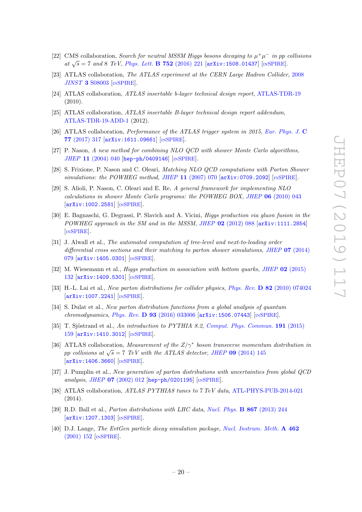- <span id="page-20-0"></span>[22] CMS collaboration, Search for neutral MSSM Higgs bosons decaying to  $\mu^+\mu^-$  in pp collisions at  $\sqrt{s}$  = 7 and 8 TeV, [Phys. Lett.](https://doi.org/10.1016/j.physletb.2015.11.042) **B** 752 (2016) 221 [[arXiv:1508.01437](https://arxiv.org/abs/1508.01437)] [IN[SPIRE](https://inspirehep.net/search?p=find+EPRINT+arXiv:1508.01437)].
- <span id="page-20-1"></span>[23] ATLAS collaboration, The ATLAS experiment at the CERN Large Hadron Collider, [2008](https://doi.org/10.1088/1748-0221/3/08/S08003) JINST 3 [S08003](https://doi.org/10.1088/1748-0221/3/08/S08003) [IN[SPIRE](https://inspirehep.net/search?p=find+J+%22JINST,3,S08003%22)].
- [24] ATLAS collaboration, ATLAS insertable b-layer technical design report, [ATLAS-TDR-19](https://cds.cern.ch/record/1291633) (2010).
- <span id="page-20-2"></span>[25] ATLAS collaboration, ATLAS insertable B-layer technical design report addendum, [ATLAS-TDR-19-ADD-1](https://cds.cern.ch/record/1451888) (2012).
- <span id="page-20-3"></span>[26] ATLAS collaboration, Performance of the ATLAS trigger system in 2015, [Eur. Phys. J.](https://doi.org/10.1140/epjc/s10052-017-4852-3) C 77 [\(2017\) 317](https://doi.org/10.1140/epjc/s10052-017-4852-3) [[arXiv:1611.09661](https://arxiv.org/abs/1611.09661)] [IN[SPIRE](https://inspirehep.net/search?p=find+EPRINT+arXiv:1611.09661)].
- <span id="page-20-4"></span>[27] P. Nason, A new method for combining NLO QCD with shower Monte Carlo algorithms, JHEP 11 [\(2004\) 040](https://doi.org/10.1088/1126-6708/2004/11/040) [[hep-ph/0409146](https://arxiv.org/abs/hep-ph/0409146)] [IN[SPIRE](https://inspirehep.net/search?p=find+EPRINT+hep-ph/0409146)].
- [28] S. Frixione, P. Nason and C. Oleari, Matching NLO QCD computations with Parton Shower simulations: the POWHEG method, JHEP 11 [\(2007\) 070](https://doi.org/10.1088/1126-6708/2007/11/070) [[arXiv:0709.2092](https://arxiv.org/abs/0709.2092)] [IN[SPIRE](https://inspirehep.net/search?p=find+EPRINT+arXiv:0709.2092)].
- <span id="page-20-16"></span>[29] S. Alioli, P. Nason, C. Oleari and E. Re, A general framework for implementing NLO calculations in shower Monte Carlo programs: the POWHEG BOX, JHEP 06 [\(2010\) 043](https://doi.org/10.1007/JHEP06(2010)043) [[arXiv:1002.2581](https://arxiv.org/abs/1002.2581)] [IN[SPIRE](https://inspirehep.net/search?p=find+EPRINT+arXiv:1002.2581)].
- <span id="page-20-5"></span>[30] E. Bagnaschi, G. Degrassi, P. Slavich and A. Vicini, Higgs production via gluon fusion in the POWHEG approach in the SM and in the MSSM, JHEP 02 [\(2012\) 088](https://doi.org/10.1007/JHEP02(2012)088) [[arXiv:1111.2854](https://arxiv.org/abs/1111.2854)] [IN[SPIRE](https://inspirehep.net/search?p=find+EPRINT+arXiv:1111.2854)].
- <span id="page-20-6"></span>[31] J. Alwall et al., The automated computation of tree-level and next-to-leading order differential cross sections and their matching to parton shower simulations, JHEP **07** [\(2014\)](https://doi.org/10.1007/JHEP07(2014)079) [079](https://doi.org/10.1007/JHEP07(2014)079) [[arXiv:1405.0301](https://arxiv.org/abs/1405.0301)] [IN[SPIRE](https://inspirehep.net/search?p=find+EPRINT+arXiv:1405.0301)].
- <span id="page-20-7"></span>[32] M. Wiesemann et al., *Higgs production in association with bottom quarks*, *JHEP* 02 [\(2015\)](https://doi.org/10.1007/JHEP02(2015)132) [132](https://doi.org/10.1007/JHEP02(2015)132) [[arXiv:1409.5301](https://arxiv.org/abs/1409.5301)] [IN[SPIRE](https://inspirehep.net/search?p=find+EPRINT+arXiv:1409.5301)].
- <span id="page-20-8"></span>[33] H.-L. Lai et al., New parton distributions for collider physics, Phys. Rev. **D 82** [\(2010\) 074024](https://doi.org/10.1103/PhysRevD.82.074024) [[arXiv:1007.2241](https://arxiv.org/abs/1007.2241)] [IN[SPIRE](https://inspirehep.net/search?p=find+EPRINT+arXiv:1007.2241)].
- <span id="page-20-9"></span>[34] S. Dulat et al., New parton distribution functions from a global analysis of quantum chromodynamics, Phys. Rev. D 93 [\(2016\) 033006](https://doi.org/10.1103/PhysRevD.93.033006)  $arXiv:1506.07443$  [IN[SPIRE](https://inspirehep.net/search?p=find+EPRINT+arXiv:1506.07443)].
- <span id="page-20-10"></span>[35] T. Sjöstrand et al., An introduction to PYTHIA 8.2, [Comput. Phys. Commun.](https://doi.org/10.1016/j.cpc.2015.01.024) 191 (2015) [159](https://doi.org/10.1016/j.cpc.2015.01.024) [[arXiv:1410.3012](https://arxiv.org/abs/1410.3012)] [IN[SPIRE](https://inspirehep.net/search?p=find+EPRINT+arXiv:1410.3012)].
- <span id="page-20-11"></span>[36] ATLAS collaboration, Measurement of the  $Z/\gamma^*$  boson transverse momentum distribution in pp collisions at  $\sqrt{s} = 7$  TeV with the ATLAS detector, JHEP 09 [\(2014\) 145](https://doi.org/10.1007/JHEP09(2014)145) [[arXiv:1406.3660](https://arxiv.org/abs/1406.3660)] [IN[SPIRE](https://inspirehep.net/search?p=find+EPRINT+arXiv:1406.3660)].
- <span id="page-20-12"></span>[37] J. Pumplin et al., New generation of parton distributions with uncertainties from global QCD analysis, JHEP 07 [\(2002\) 012](https://doi.org/10.1088/1126-6708/2002/07/012) [[hep-ph/0201195](https://arxiv.org/abs/hep-ph/0201195)] [IN[SPIRE](https://inspirehep.net/search?p=find+EPRINT+hep-ph/0201195)].
- <span id="page-20-13"></span>[38] ATLAS collaboration, ATLAS PYTHIA8 tunes to 7 TeV data, [ATL-PHYS-PUB-2014-021](http://cds.cern.ch/record/1966419) (2014).
- <span id="page-20-14"></span>[39] R.D. Ball et al., *Parton distributions with LHC data, [Nucl. Phys.](https://doi.org/10.1016/j.nuclphysb.2012.10.003)* **B 867** (2013) 244 [[arXiv:1207.1303](https://arxiv.org/abs/1207.1303)] [IN[SPIRE](https://inspirehep.net/search?p=find+EPRINT+arXiv:1207.1303)].
- <span id="page-20-15"></span>[40] D.J. Lange, The EvtGen particle decay simulation package, [Nucl. Instrum. Meth.](https://doi.org/10.1016/S0168-9002(01)00089-4) A 462 [\(2001\) 152](https://doi.org/10.1016/S0168-9002(01)00089-4) [IN[SPIRE](https://inspirehep.net/search?p=find+J+%22Nucl.Instrum.Meth.,A462,152%22)].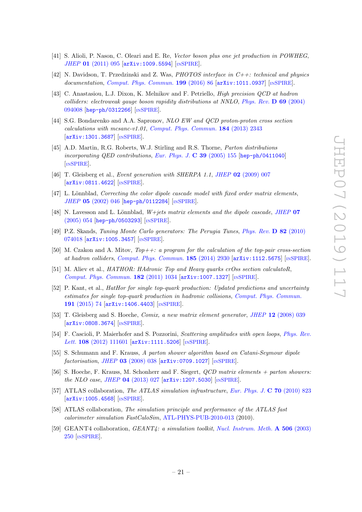- <span id="page-21-0"></span>[41] S. Alioli, P. Nason, C. Oleari and E. Re, Vector boson plus one jet production in POWHEG, JHEP 01 [\(2011\) 095](https://doi.org/10.1007/JHEP01(2011)095) [[arXiv:1009.5594](https://arxiv.org/abs/1009.5594)] [IN[SPIRE](https://inspirehep.net/search?p=find+EPRINT+arXiv:1009.5594)].
- <span id="page-21-1"></span>[42] N. Davidson, T. Przedzinski and Z. Was, *PHOTOS interface in C++: technical and physics* documentation, [Comput. Phys. Commun.](https://doi.org/10.1016/j.cpc.2015.09.013) 199 (2016) 86  $\left[$ [arXiv:1011.0937](https://arxiv.org/abs/1011.0937) $\right]$   $\left[$ IN[SPIRE](https://inspirehep.net/search?p=find+EPRINT+arXiv:1011.0937) $\right]$ .
- <span id="page-21-2"></span>[43] C. Anastasiou, L.J. Dixon, K. Melnikov and F. Petriello, High precision QCD at hadron colliders: electroweak gauge boson rapidity distributions at NNLO, [Phys. Rev.](https://doi.org/10.1103/PhysRevD.69.094008) D 69 (2004) [094008](https://doi.org/10.1103/PhysRevD.69.094008) [[hep-ph/0312266](https://arxiv.org/abs/hep-ph/0312266)] [IN[SPIRE](https://inspirehep.net/search?p=find+EPRINT+hep-ph/0312266)].
- <span id="page-21-3"></span>[44] S.G. Bondarenko and A.A. Sapronov, NLO EW and QCD proton-proton cross section calculations with mcsanc-v1.01, [Comput. Phys. Commun.](https://doi.org/10.1016/j.cpc.2013.05.010) 184 (2013) 2343 [[arXiv:1301.3687](https://arxiv.org/abs/1301.3687)] [IN[SPIRE](https://inspirehep.net/search?p=find+EPRINT+arXiv:1301.3687)].
- <span id="page-21-4"></span>[45] A.D. Martin, R.G. Roberts, W.J. Stirling and R.S. Thorne, Parton distributions incorporating QED contributions, [Eur. Phys. J.](https://doi.org/10.1140/epjc/s2004-02088-7) C 39 (2005) 155 [[hep-ph/0411040](https://arxiv.org/abs/hep-ph/0411040)] [IN[SPIRE](https://inspirehep.net/search?p=find+EPRINT+hep-ph/0411040)].
- <span id="page-21-5"></span>[46] T. Gleisberg et al., Event generation with SHERPA 1.1, JHEP 02 [\(2009\) 007](https://doi.org/10.1088/1126-6708/2009/02/007) [[arXiv:0811.4622](https://arxiv.org/abs/0811.4622)] [IN[SPIRE](https://inspirehep.net/search?p=find+EPRINT+arXiv:0811.4622)].
- <span id="page-21-6"></span>[47] L. Lönnblad, Correcting the color dipole cascade model with fixed order matrix elements, JHEP 05 [\(2002\) 046](https://doi.org/10.1088/1126-6708/2002/05/046) [[hep-ph/0112284](https://arxiv.org/abs/hep-ph/0112284)] [IN[SPIRE](https://inspirehep.net/search?p=find+EPRINT+hep-ph/0112284)].
- <span id="page-21-7"></span>[48] N. Lavesson and L. Lönnblad,  $W+jets$  matrix elements and the dipole cascade, [JHEP](https://doi.org/10.1088/1126-6708/2005/07/054) 07 [\(2005\) 054](https://doi.org/10.1088/1126-6708/2005/07/054) [[hep-ph/0503293](https://arxiv.org/abs/hep-ph/0503293)] [IN[SPIRE](https://inspirehep.net/search?p=find+EPRINT+hep-ph/0503293)].
- <span id="page-21-8"></span>[49] P.Z. Skands, Tuning Monte Carlo generators: The Perugia Tunes, [Phys. Rev.](https://doi.org/10.1103/PhysRevD.82.074018) D 82 (2010) [074018](https://doi.org/10.1103/PhysRevD.82.074018) [[arXiv:1005.3457](https://arxiv.org/abs/1005.3457)] [IN[SPIRE](https://inspirehep.net/search?p=find+EPRINT+arXiv:1005.3457)].
- <span id="page-21-9"></span>[50] M. Czakon and A. Mitov,  $Top++: a program for the calculation of the top-pair cross-section$ at hadron colliders, [Comput. Phys. Commun.](https://doi.org/10.1016/j.cpc.2014.06.021) 185 (2014) 2930 [[arXiv:1112.5675](https://arxiv.org/abs/1112.5675)] [IN[SPIRE](https://inspirehep.net/search?p=find+EPRINT+arXiv:1112.5675)].
- <span id="page-21-10"></span>[51] M. Aliev et al., HATHOR: HAdronic Top and Heavy quarks crOss section calculatoR, [Comput. Phys. Commun.](https://doi.org/10.1016/j.cpc.2010.12.040) 182 (2011) 1034 [[arXiv:1007.1327](https://arxiv.org/abs/1007.1327)] [IN[SPIRE](https://inspirehep.net/search?p=find+EPRINT+arXiv:1007.1327)].
- <span id="page-21-11"></span>[52] P. Kant, et al., HatHor for single top-quark production: Updated predictions and uncertainty estimates for single top-quark production in hadronic collisions, [Comput. Phys. Commun.](https://doi.org/10.1016/j.cpc.2015.02.001) 191 [\(2015\) 74](https://doi.org/10.1016/j.cpc.2015.02.001) [[arXiv:1406.4403](https://arxiv.org/abs/1406.4403)] [IN[SPIRE](https://inspirehep.net/search?p=find+EPRINT+arXiv:1406.4403)].
- <span id="page-21-12"></span>[53] T. Gleisberg and S. Hoeche, *Comix, a new matrix element generator*, *JHEP* 12 [\(2008\) 039](https://doi.org/10.1088/1126-6708/2008/12/039) [[arXiv:0808.3674](https://arxiv.org/abs/0808.3674)] [IN[SPIRE](https://inspirehep.net/search?p=find+EPRINT+arXiv:0808.3674)].
- <span id="page-21-13"></span>[54] F. Cascioli, P. Maierhofer and S. Pozzorini, *Scattering amplitudes with open loops*, *[Phys. Rev.](https://doi.org/10.1103/PhysRevLett.108.111601)* Lett. 108 [\(2012\) 111601](https://doi.org/10.1103/PhysRevLett.108.111601) [[arXiv:1111.5206](https://arxiv.org/abs/1111.5206)] [IN[SPIRE](https://inspirehep.net/search?p=find+EPRINT+arXiv:1111.5206)].
- <span id="page-21-14"></span>[55] S. Schumann and F. Krauss, A parton shower algorithm based on Catani-Seymour dipole  $factorisation, JHEP$  03 [\(2008\) 038](https://doi.org/10.1088/1126-6708/2008/03/038)  $[ary:0709.1027]$   $[insPIRE]$ .
- <span id="page-21-15"></span>[56] S. Hoeche, F. Krauss, M. Schonherr and F. Siegert, QCD matrix elements + parton showers: the NLO case, JHEP  $04$  [\(2013\) 027](https://doi.org/10.1007/JHEP04(2013)027)  $\text{arXiv:1207.5030}$  $\text{arXiv:1207.5030}$  $\text{arXiv:1207.5030}$   $\text{[insPIRE]}$ .
- <span id="page-21-16"></span>[57] ATLAS collaboration, The ATLAS simulation infrastructure, [Eur. Phys. J.](https://doi.org/10.1140/epjc/s10052-010-1429-9) C 70 (2010) 823 [[arXiv:1005.4568](https://arxiv.org/abs/1005.4568)] [IN[SPIRE](https://inspirehep.net/search?p=find+EPRINT+arXiv:1005.4568)].
- <span id="page-21-17"></span>[58] ATLAS collaboration, The simulation principle and performance of the ATLAS fast calorimeter simulation FastCaloSim, [ATL-PHYS-PUB-2010-013](http://cds.cern.ch/record/1300517) (2010).
- <span id="page-21-18"></span>[59] GEANT4 collaboration, GEANT4: a simulation toolkit, [Nucl. Instrum. Meth.](https://doi.org/10.1016/S0168-9002(03)01368-8) A 506 (2003) [250](https://doi.org/10.1016/S0168-9002(03)01368-8) [IN[SPIRE](https://inspirehep.net/search?p=find+J+%22Nucl.Instrum.Meth.,A506,250%22)].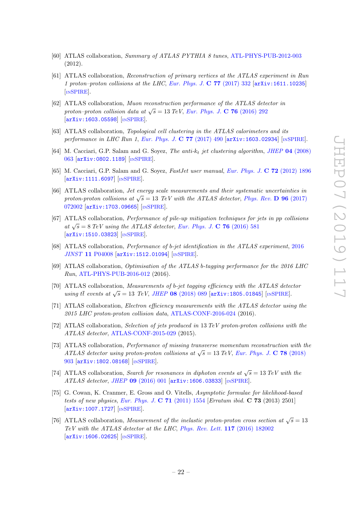- <span id="page-22-0"></span>[60] ATLAS collaboration, Summary of ATLAS PYTHIA 8 tunes, [ATL-PHYS-PUB-2012-003](http://cds.cern.ch/record/1474107) (2012).
- <span id="page-22-1"></span>[61] ATLAS collaboration, Reconstruction of primary vertices at the ATLAS experiment in Run 1 proton–proton collisions at the LHC, [Eur. Phys. J.](https://doi.org/10.1140/epjc/s10052-017-4887-5) C  $77$  (2017) 332  $\ar{xiv:1611.10235}$ [IN[SPIRE](https://inspirehep.net/search?p=find+EPRINT+arXiv:1611.10235)].
- <span id="page-22-2"></span>[62] ATLAS collaboration, Muon reconstruction performance of the ATLAS detector in proton–proton collision data at  $\sqrt{s} = 13 \text{ TeV}$ , [Eur. Phys. J.](https://doi.org/10.1140/epjc/s10052-016-4120-y) C 76 (2016) 292 [[arXiv:1603.05598](https://arxiv.org/abs/1603.05598)] [IN[SPIRE](https://inspirehep.net/search?p=find+EPRINT+arXiv:1603.05598)].
- <span id="page-22-3"></span>[63] ATLAS collaboration, *Topological cell clustering in the ATLAS calorimeters and its* performance in LHC Run 1, [Eur. Phys. J.](https://doi.org/10.1140/epjc/s10052-017-5004-5) C 77 (2017) 490 [[arXiv:1603.02934](https://arxiv.org/abs/1603.02934)] [IN[SPIRE](https://inspirehep.net/search?p=find+EPRINT+arXiv:1603.02934)].
- <span id="page-22-4"></span>[64] M. Cacciari, G.P. Salam and G. Soyez, The anti-k<sub>t</sub> jet clustering algorithm, JHEP 04 [\(2008\)](https://doi.org/10.1088/1126-6708/2008/04/063) [063](https://doi.org/10.1088/1126-6708/2008/04/063) [[arXiv:0802.1189](https://arxiv.org/abs/0802.1189)] [IN[SPIRE](https://inspirehep.net/search?p=find+EPRINT+arXiv:0802.1189)].
- <span id="page-22-5"></span>[65] M. Cacciari, G.P. Salam and G. Soyez, FastJet user manual, [Eur. Phys. J.](https://doi.org/10.1140/epjc/s10052-012-1896-2) C 72 (2012) 1896 [[arXiv:1111.6097](https://arxiv.org/abs/1111.6097)] [IN[SPIRE](https://inspirehep.net/search?p=find+EPRINT+arXiv:1111.6097)].
- <span id="page-22-6"></span>[66] ATLAS collaboration, Jet energy scale measurements and their systematic uncertainties in proton-proton collisions at  $\sqrt{s} = 13$  TeV with the ATLAS detector, [Phys. Rev.](https://doi.org/10.1103/PhysRevD.96.072002) **D** 96 (2017) [072002](https://doi.org/10.1103/PhysRevD.96.072002) [[arXiv:1703.09665](https://arxiv.org/abs/1703.09665)] [IN[SPIRE](https://inspirehep.net/search?p=find+EPRINT+arXiv:1703.09665)].
- <span id="page-22-7"></span>[67] ATLAS collaboration, Performance of pile-up mitigation techniques for jets in pp collisions at  $\sqrt{s} = 8 \text{ TeV}$  using the ATLAS detector, [Eur. Phys. J.](https://doi.org/10.1140/epjc/s10052-016-4395-z) C 76 (2016) 581 [[arXiv:1510.03823](https://arxiv.org/abs/1510.03823)] [IN[SPIRE](https://inspirehep.net/search?p=find+EPRINT+arXiv:1510.03823)].
- <span id="page-22-8"></span>[68] ATLAS collaboration, Performance of b-jet identification in the ATLAS experiment, [2016](https://doi.org/10.1088/1748-0221/11/04/P04008) JINST 11 [P04008](https://doi.org/10.1088/1748-0221/11/04/P04008) [[arXiv:1512.01094](https://arxiv.org/abs/1512.01094)] [IN[SPIRE](https://inspirehep.net/search?p=find+EPRINT+arXiv:1512.01094)].
- <span id="page-22-9"></span>[69] ATLAS collaboration, Optimisation of the ATLAS b-tagging performance for the 2016 LHC Run, [ATL-PHYS-PUB-2016-012](http://cds.cern.ch/record/2160731) (2016).
- <span id="page-22-10"></span>[70] ATLAS collaboration, Measurements of b-jet tagging efficiency with the ATLAS detector using tt events at  $\sqrt{s} = 13$  TeV, JHEP 08 [\(2018\) 089](https://doi.org/10.1007/JHEP08(2018)089) [[arXiv:1805.01845](https://arxiv.org/abs/1805.01845)] [IN[SPIRE](https://inspirehep.net/search?p=find+EPRINT+arXiv:1805.01845)].
- <span id="page-22-11"></span>[71] ATLAS collaboration, Electron efficiency measurements with the ATLAS detector using the 2015 LHC proton-proton collision data, [ATLAS-CONF-2016-024](http://cds.cern.ch/record/2157687) (2016).
- <span id="page-22-12"></span>[72] ATLAS collaboration, Selection of jets produced in 13 TeV proton-proton collisions with the ATLAS detector, [ATLAS-CONF-2015-029](http://cds.cern.ch/record/2037702) (2015).
- <span id="page-22-13"></span>[73] ATLAS collaboration, Performance of missing transverse momentum reconstruction with the ATLAS detector using proton-proton collisions at  $\sqrt{s} = 13 \text{ TeV}$ , [Eur. Phys. J.](https://doi.org/10.1140/epjc/s10052-018-6288-9) C 78 (2018) [903](https://doi.org/10.1140/epjc/s10052-018-6288-9) [[arXiv:1802.08168](https://arxiv.org/abs/1802.08168)] [IN[SPIRE](https://inspirehep.net/search?p=find+EPRINT+arXiv:1802.08168)].
- <span id="page-22-14"></span>[74] ATLAS collaboration, Search for resonances in diphoton events at  $\sqrt{s} = 13 \text{ TeV}$  with the ATLAS detector, JHEP 09 [\(2016\) 001](https://doi.org/10.1007/JHEP09(2016)001) [[arXiv:1606.03833](https://arxiv.org/abs/1606.03833)] [IN[SPIRE](https://inspirehep.net/search?p=find+EPRINT+arXiv:1606.03833)].
- <span id="page-22-15"></span>[75] G. Cowan, K. Cranmer, E. Gross and O. Vitells, Asymptotic formulae for likelihood-based tests of new physics, [Eur. Phys. J.](https://doi.org/10.1140/epjc/s10052-011-1554-0) C  $71$  (2011) 1554 [Erratum ibid. C  $73$  (2013) 2501] [[arXiv:1007.1727](https://arxiv.org/abs/1007.1727)] [IN[SPIRE](https://inspirehep.net/search?p=find+EPRINT+arXiv:1007.1727)].
- <span id="page-22-16"></span>[76] ATLAS collaboration, Measurement of the inelastic proton-proton cross section at  $\sqrt{s} = 13$ TeV with the ATLAS detector at the LHC, [Phys. Rev. Lett.](https://doi.org/10.1103/PhysRevLett.117.182002) 117 (2016) 182002 [[arXiv:1606.02625](https://arxiv.org/abs/1606.02625)] [IN[SPIRE](https://inspirehep.net/search?p=find+EPRINT+arXiv:1606.02625)].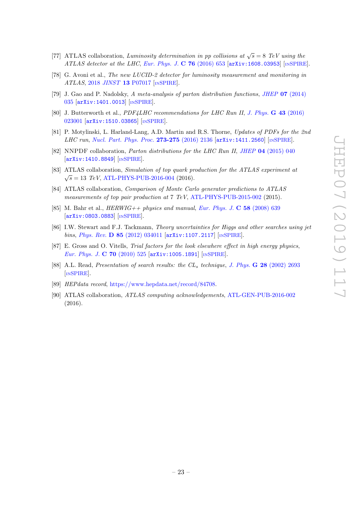- <span id="page-23-0"></span>[77] ATLAS collaboration, Luminosity determination in pp collisions at  $\sqrt{s} = 8$  TeV using the ATLAS detector at the LHC, [Eur. Phys. J.](https://doi.org/10.1140/epjc/s10052-016-4466-1) C  $76$  (2016) 653 [[arXiv:1608.03953](https://arxiv.org/abs/1608.03953)] [IN[SPIRE](https://inspirehep.net/search?p=find+EPRINT+arXiv:1608.03953)].
- <span id="page-23-1"></span>[78] G. Avoni et al., The new LUCID-2 detector for luminosity measurement and monitoring in ATLAS, 2018 JINST 13 [P07017](https://doi.org/10.1088/1748-0221/13/07/P07017) [IN[SPIRE](https://inspirehep.net/search?p=find+J+%22JINST,13,P07017%22)].
- <span id="page-23-2"></span>[79] J. Gao and P. Nadolsky, A meta-analysis of parton distribution functions, JHEP 07 [\(2014\)](https://doi.org/10.1007/JHEP07(2014)035) [035](https://doi.org/10.1007/JHEP07(2014)035) [[arXiv:1401.0013](https://arxiv.org/abs/1401.0013)] [IN[SPIRE](https://inspirehep.net/search?p=find+EPRINT+arXiv:1401.0013)].
- <span id="page-23-3"></span>[80] J. Butterworth et al., PDF4LHC recommendations for LHC Run II, [J. Phys.](https://doi.org/10.1088/0954-3899/43/2/023001) G 43 (2016) [023001](https://doi.org/10.1088/0954-3899/43/2/023001) [[arXiv:1510.03865](https://arxiv.org/abs/1510.03865)] [IN[SPIRE](https://inspirehep.net/search?p=find+EPRINT+arXiv:1510.03865)].
- <span id="page-23-4"></span>[81] P. Motylinski, L. Harland-Lang, A.D. Martin and R.S. Thorne, Updates of PDFs for the 2nd LHC run, [Nucl. Part. Phys. Proc.](https://doi.org/10.1016/j.nuclphysBPS.2015.09.347) 273-275 (2016) 2136 [[arXiv:1411.2560](https://arxiv.org/abs/1411.2560)] [IN[SPIRE](https://inspirehep.net/search?p=find+EPRINT+arXiv:1411.2560)].
- <span id="page-23-5"></span>[82] NNPDF collaboration, *Parton distributions for the LHC Run II, JHEP* 04 [\(2015\) 040](https://doi.org/10.1007/JHEP04(2015)040) [[arXiv:1410.8849](https://arxiv.org/abs/1410.8849)] [IN[SPIRE](https://inspirehep.net/search?p=find+EPRINT+arXiv:1410.8849)].
- <span id="page-23-6"></span>[83] ATLAS collaboration, Simulation of top quark production for the ATLAS experiment at  $\sqrt{s}$  = 13 TeV, [ATL-PHYS-PUB-2016-004](http://cds.cern.ch/record/2120417) (2016).
- <span id="page-23-7"></span>[84] ATLAS collaboration, Comparison of Monte Carlo generator predictions to ATLAS measurements of top pair production at 7 TeV, [ATL-PHYS-PUB-2015-002](http://cds.cern.ch/record/1981319) (2015).
- <span id="page-23-8"></span>[85] M. Bahr et al.,  $HERWIG++$  physics and manual, [Eur. Phys. J.](https://doi.org/10.1140/epjc/s10052-008-0798-9) C 58 (2008) 639 [[arXiv:0803.0883](https://arxiv.org/abs/0803.0883)] [IN[SPIRE](https://inspirehep.net/search?p=find+EPRINT+arXiv:0803.0883)].
- <span id="page-23-9"></span>[86] I.W. Stewart and F.J. Tackmann, Theory uncertainties for Higgs and other searches using jet bins, Phys. Rev. D 85 [\(2012\) 034011](https://doi.org/10.1103/PhysRevD.85.034011) [[arXiv:1107.2117](https://arxiv.org/abs/1107.2117)] [IN[SPIRE](https://inspirehep.net/search?p=find+EPRINT+arXiv:1107.2117)].
- <span id="page-23-10"></span>[87] E. Gross and O. Vitells, Trial factors for the look elsewhere effect in high energy physics, [Eur. Phys. J.](https://doi.org/10.1140/epjc/s10052-010-1470-8) C 70 (2010) 525  $arXiv:1005.1891$  [IN[SPIRE](https://inspirehep.net/search?p=find+EPRINT+arXiv:1005.1891)].
- <span id="page-23-11"></span>[88] A.L. Read, Presentation of search results: the CL<sub>s</sub> technique, J. Phys. **G 28** [\(2002\) 2693](https://doi.org/10.1088/0954-3899/28/10/313) [IN[SPIRE](https://inspirehep.net/search?p=find+J+%22J.Phys.,G28,2693%22)].
- <span id="page-23-12"></span>[89] HEPdata record, [https://www.hepdata.net/record/84708.](https://www.hepdata.net/record/84708)
- <span id="page-23-13"></span>[90] ATLAS collaboration, ATLAS computing acknowledgements, [ATL-GEN-PUB-2016-002](http://cds.cern.ch/record/2202407) (2016).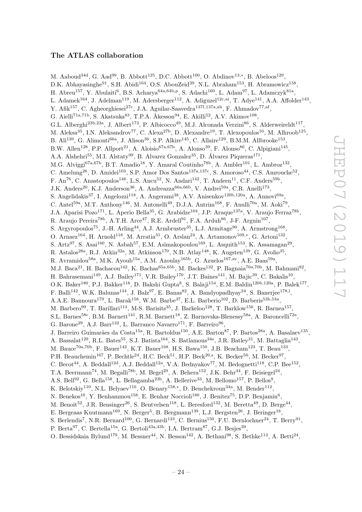# The ATLAS collaboration

<span id="page-24-0"></span>M. Aaboud<sup>34d</sup>, G. Aad<sup>99</sup>, B. Abbott<sup>125</sup>, D.C. Abbott<sup>100</sup>, O. Abdinov<sup>13,\*</sup>, B. Abeloos<sup>129</sup>, D.K. Abhayasinghe<sup>91</sup>, S.H. Abidi<sup>164</sup>, O.S. AbouZeid<sup>39</sup>, N.L. Abraham<sup>153</sup>, H. Abramowicz<sup>158</sup>, H. Abreu<sup>157</sup>, Y. Abulaiti<sup>6</sup>, B.S. Acharya<sup>64a,64b,p</sup>, S. Adachi<sup>160</sup>, L. Adam<sup>97</sup>, L. Adamczyk<sup>81a</sup>, L. Adamek<sup>164</sup>, J. Adelman<sup>119</sup>, M. Adersberger<sup>112</sup>, A. Adiguzel<sup>12c,ai</sup>, T. Adye<sup>141</sup>, A.A. Affolder<sup>143</sup>, Y. Afik<sup>157</sup>, C. Agheorghiesei<sup>27c</sup>, J.A. Aguilar-Saavedra<sup>137f,137a,ah</sup>, F. Ahmadov<sup>77,af</sup>, G. Aielli<sup>71a,71b</sup>, S. Akatsuka<sup>83</sup>, T.P.A. Åkesson<sup>94</sup>, E. Akilli<sup>52</sup>, A.V. Akimov<sup>108</sup>, G.L. Alberghi<sup>23b,23a</sup>, J. Albert<sup>173</sup>, P. Albicocco<sup>49</sup>, M.J. Alconada Verzini<sup>86</sup>, S. Alderweireldt<sup>117</sup>, M. Aleksa<sup>35</sup>, I.N. Aleksandrov<sup>77</sup>, C. Alexa<sup>27b</sup>, D. Alexandre<sup>19</sup>, T. Alexopoulos<sup>10</sup>, M. Alhroob<sup>125</sup>, B. Ali<sup>139</sup>, G. Alimonti<sup>66a</sup>, J. Alison<sup>36</sup>, S.P. Alkire<sup>145</sup>, C. Allaire<sup>129</sup>, B.M.M. Allbrooke<sup>153</sup>, B.W. Allen<sup>128</sup>, P.P. Allport<sup>21</sup>, A. Aloisio<sup>67a,67b</sup>, A. Alonso<sup>39</sup>, F. Alonso<sup>86</sup>, C. Alpigiani<sup>145</sup>, A.A. Alshehri<sup>55</sup>, M.I. Alstaty<sup>99</sup>, B. Alvarez Gonzalez<sup>35</sup>, D. Álvarez Piqueras<sup>171</sup>, M.G. Alviggi<sup>67a,67b</sup>, B.T. Amadio<sup>18</sup>, Y. Amaral Coutinho<sup>78b</sup>, A. Ambler<sup>101</sup>, L. Ambroz<sup>132</sup>, C. Amelung<sup>26</sup>, D. Amidei<sup>103</sup>, S.P. Amor Dos Santos<sup>137a,137c</sup>, S. Amoroso<sup>44</sup>, C.S. Amrouche<sup>52</sup>, F. An<sup>76</sup>, C. Anastopoulos<sup>146</sup>, L.S. Ancu<sup>52</sup>, N. Andari<sup>142</sup>, T. Andeen<sup>11</sup>, C.F. Anders<sup>59b</sup>, J.K. Anders<sup>20</sup>, K.J. Anderson<sup>36</sup>, A. Andreazza<sup>66a, 66b</sup>, V. Andrei<sup>59a</sup>, C.R. Anelli<sup>173</sup>, S. Angelidakis<sup>37</sup>, I. Angelozzi<sup>118</sup>, A. Angerami<sup>38</sup>, A.V. Anisenkov<sup>120b,120a</sup>, A. Annovi<sup>69a</sup>, C. Antel<sup>59a</sup>, M.T. Anthony<sup>146</sup>, M. Antonelli<sup>49</sup>, D.J.A. Antrim<sup>168</sup>, F. Anulli<sup>70a</sup>, M. Aoki<sup>79</sup>, J.A. Aparisi Pozo<sup>171</sup>, L. Aperio Bella<sup>35</sup>, G. Arabidze<sup>104</sup>, J.P. Araque<sup>137a</sup>, V. Araujo Ferraz<sup>78b</sup>, R. Araujo Pereira<sup>78b</sup>, A.T.H. Arce<sup>47</sup>, R.E. Ardell<sup>91</sup>, F.A. Arduh<sup>86</sup>, J-F. Arguin<sup>107</sup>, S. Argyropoulos<sup>75</sup>, J.-H. Arling<sup>44</sup>, A.J. Armbruster<sup>35</sup>, L.J. Armitage<sup>90</sup>, A. Armstrong<sup>168</sup>, O. Arnaez<sup>164</sup>, H. Arnold<sup>118</sup>, M. Arratia<sup>31</sup>, O. Arslan<sup>24</sup>, A. Artamonov<sup>109,\*</sup>, G. Artoni<sup>132</sup>, S. Artz<sup>97</sup>, S. Asai<sup>160</sup>, N. Asbah<sup>57</sup>, E.M. Asimakopoulou<sup>169</sup>, L. Asquith<sup>153</sup>, K. Assamagan<sup>29</sup>, R. Astalos<sup>28a</sup>, R.J. Atkin<sup>32a</sup>, M. Atkinson<sup>170</sup>, N.B. Atlay<sup>148</sup>, K. Augsten<sup>139</sup>, G. Avolio<sup>35</sup>, R. Avramidou<sup>58a</sup>, M.K. Ayoub<sup>15a</sup>, A.M. Azoulay<sup>165b</sup>, G. Azuelos<sup>107,av</sup>, A.E. Baas<sup>59a</sup>, M.J. Baca<sup>21</sup>, H. Bachacou<sup>142</sup>, K. Bachas<sup>65a,65b</sup>, M. Backes<sup>132</sup>, P. Bagnaia<sup>70a,70b</sup>, M. Bahmani<sup>82</sup>, H. Bahrasemani<sup>149</sup>, A.J. Bailey<sup>171</sup>, V.R. Bailey<sup>170</sup>, J.T. Baines<sup>141</sup>, M. Bajic<sup>39</sup>, C. Bakalis<sup>10</sup>, O.K. Baker<sup>180</sup>, P.J. Bakker<sup>118</sup>, D. Bakshi Gupta<sup>8</sup>, S. Balaji<sup>154</sup>, E.M. Baldin<sup>120b,120a</sup>, P. Balek<sup>177</sup>, F. Balli<sup>142</sup>, W.K. Balunas<sup>134</sup>, J. Balz<sup>97</sup>, E. Banas<sup>82</sup>, A. Bandyopadhyay<sup>24</sup>, S. Banerjee<sup>178,1</sup>, A.A.E. Bannoura<sup>179</sup>, L. Barak<sup>158</sup>, W.M. Barbe<sup>37</sup>, E.L. Barberio<sup>102</sup>, D. Barberis<sup>53b,53a</sup>, M. Barbero<sup>99</sup>, T. Barillari<sup>113</sup>, M-S. Barisits<sup>35</sup>, J. Barkeloo<sup>128</sup>, T. Barklow<sup>150</sup>, R. Barnea<sup>157</sup>, S.L. Barnes<sup>58c</sup>, B.M. Barnett<sup>141</sup>, R.M. Barnett<sup>18</sup>, Z. Barnovska-Blenessy<sup>58a</sup>, A. Baroncelli<sup>72a</sup>, G. Barone<sup>29</sup>, A.J. Barr<sup>132</sup>, L. Barranco Navarro<sup>171</sup>, F. Barreiro<sup>96</sup>, J. Barreiro Guimarães da Costa<sup>15a</sup>, R. Bartoldus<sup>150</sup>, A.E. Barton<sup>87</sup>, P. Bartos<sup>28a</sup>, A. Basalaev<sup>135</sup>, A. Bassalat<sup>129</sup>, R.L. Bates<sup>55</sup>, S.J. Batista<sup>164</sup>, S. Batlamous<sup>34e</sup>, J.R. Batley<sup>31</sup>, M. Battaglia<sup>143</sup>, M. Bauce<sup>70a,70b</sup>, F. Bauer<sup>142</sup>, K.T. Bauer<sup>168</sup>, H.S. Bawa<sup>150</sup>, J.B. Beacham<sup>123</sup>, T. Beau<sup>133</sup>, P.H. Beauchemin<sup>167</sup>, P. Bechtle<sup>24</sup>, H.C. Beck<sup>51</sup>, H.P. Beck<sup>20,s</sup>, K. Becker<sup>50</sup>, M. Becker<sup>97</sup>, C. Becot<sup>44</sup>, A. Beddall<sup>12d</sup>, A.J. Beddall<sup>12a</sup>, V.A. Bednyakov<sup>77</sup>, M. Bedognetti<sup>118</sup>, C.P. Bee<sup>152</sup>, T.A. Beermann<sup>74</sup>, M. Begalli<sup>78b</sup>, M. Begel<sup>29</sup>, A. Behera<sup>152</sup>, J.K. Behr<sup>44</sup>, F. Beisiegel<sup>24</sup>, A.S. Bell<sup>92</sup>, G. Bella<sup>158</sup>, L. Bellagamba<sup>23b</sup>, A. Bellerive<sup>33</sup>, M. Bellomo<sup>157</sup>, P. Bellos<sup>9</sup>, K. Belotskiy<sup>110</sup>, N.L. Belyaev<sup>110</sup>, O. Benary<sup>158,\*</sup>, D. Benchekroun<sup>34a</sup>, M. Bender<sup>112</sup>, N. Benekos<sup>10</sup>, Y. Benhammou<sup>158</sup>, E. Benhar Noccioli<sup>180</sup>, J. Benitez<sup>75</sup>, D.P. Benjamin<sup>6</sup>, M. Benoit<sup>52</sup>, J.R. Bensinger<sup>26</sup>, S. Bentvelsen<sup>118</sup>, L. Beresford<sup>132</sup>, M. Beretta<sup>49</sup>, D. Berge<sup>44</sup>, E. Bergeaas Kuutmann<sup>169</sup>, N. Berger<sup>5</sup>, B. Bergmann<sup>139</sup>, L.J. Bergsten<sup>26</sup>, J. Beringer<sup>18</sup>, S. Berlendis<sup>7</sup>, N.R. Bernard<sup>100</sup>, G. Bernardi<sup>133</sup>, C. Bernius<sup>150</sup>, F.U. Bernlochner<sup>24</sup>, T. Berry<sup>91</sup>, P. Berta<sup>97</sup>, C. Bertella<sup>15a</sup>, G. Bertoli<sup>43a, 43b</sup>, I.A. Bertram<sup>87</sup>, G.J. Besjes<sup>39</sup>,

O. Bessidskaia Bylund<sup>179</sup>, M. Bessner<sup>44</sup>, N. Besson<sup>142</sup>, A. Bethani<sup>98</sup>, S. Bethke<sup>113</sup>, A. Betti<sup>24</sup>,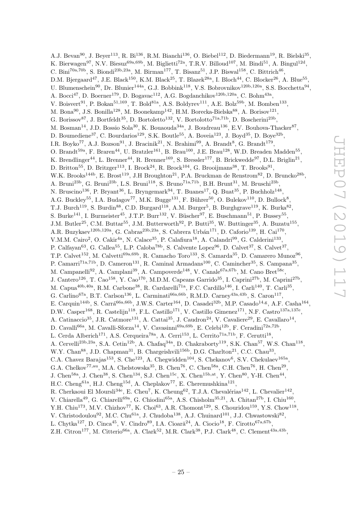A.J. Bevan<sup>90</sup>, J. Beyer<sup>113</sup>, R. Bi<sup>136</sup>, R.M. Bianchi<sup>136</sup>, O. Biebel<sup>112</sup>, D. Biedermann<sup>19</sup>, R. Bielski<sup>35</sup>, K. Bierwagen<sup>97</sup>, N.V. Biesuz<sup>69a,69b</sup>, M. Biglietti<sup>72a</sup>, T.R.V. Billoud<sup>107</sup>, M. Bindi<sup>51</sup>, A. Bingul<sup>12d</sup>, C. Bini<sup>70a,70b</sup>, S. Biondi<sup>23b,23a</sup>, M. Birman<sup>177</sup>, T. Bisanz<sup>51</sup>, J.P. Biswal<sup>158</sup>, C. Bittrich<sup>46</sup>, D.M. Bjergaard<sup>47</sup>, J.E. Black<sup>150</sup>, K.M. Black<sup>25</sup>, T. Blazek<sup>28a</sup>, I. Bloch<sup>44</sup>, C. Blocker<sup>26</sup>, A. Blue<sup>55</sup>, U. Blumenschein<sup>90</sup>, Dr. Blunier<sup>144a</sup>, G.J. Bobbink<sup>118</sup>, V.S. Bobrovnikov<sup>120b,120a</sup>, S.S. Bocchetta<sup>94</sup>, A. Bocci<sup>47</sup>, D. Boerner<sup>179</sup>, D. Bogavac<sup>112</sup>, A.G. Bogdanchikov<sup>120b,120a</sup>, C. Bohm<sup>43a</sup>, V. Boisvert<sup>91</sup>, P. Bokan<sup>51,169</sup>, T. Bold<sup>81a</sup>, A.S. Boldyrev<sup>111</sup>, A.E. Bolz<sup>59b</sup>, M. Bomben<sup>133</sup>, M. Bona<sup>90</sup>, J.S. Bonilla<sup>128</sup>, M. Boonekamp<sup>142</sup>, H.M. Borecka-Bielska<sup>88</sup>, A. Borisov<sup>121</sup>, G. Borissov<sup>87</sup>, J. Bortfeldt<sup>35</sup>, D. Bortoletto<sup>132</sup>, V. Bortolotto<sup>71a,71b</sup>, D. Boscherini<sup>23b</sup>, M. Bosman<sup>14</sup>, J.D. Bossio Sola<sup>30</sup>, K. Bouaouda<sup>34a</sup>, J. Boudreau<sup>136</sup>, E.V. Bouhova-Thacker<sup>87</sup>, D. Boumediene<sup>37</sup>, C. Bourdarios<sup>129</sup>, S.K. Boutle<sup>55</sup>, A. Boveia<sup>123</sup>, J. Boyd<sup>35</sup>, D. Boye<sup>32b</sup>, I.R. Boyko<sup>77</sup>, A.J. Bozson<sup>91</sup>, J. Bracinik<sup>21</sup>, N. Brahimi<sup>99</sup>, A. Brandt<sup>8</sup>, G. Brandt<sup>179</sup>, O. Brandt<sup>59a</sup>, F. Braren<sup>44</sup>, U. Bratzler<sup>161</sup>, B. Brau<sup>100</sup>, J.E. Brau<sup>128</sup>, W.D. Breaden Madden<sup>55</sup>, K. Brendlinger<sup>44</sup>, L. Brenner<sup>44</sup>, R. Brenner<sup>169</sup>, S. Bressler<sup>177</sup>, B. Brickwedde<sup>97</sup>, D.L. Briglin<sup>21</sup>, D. Britton<sup>55</sup>, D. Britzger<sup>113</sup>, I. Brock<sup>24</sup>, R. Brock<sup>104</sup>, G. Brooijmans<sup>38</sup>, T. Brooks<sup>91</sup>, W.K. Brooks<sup>144b</sup>, E. Brost<sup>119</sup>, J.H Broughton<sup>21</sup>, P.A. Bruckman de Renstrom<sup>82</sup>, D. Bruncko<sup>28b</sup>, A. Bruni<sup>23b</sup>, G. Bruni<sup>23b</sup>, L.S. Bruni<sup>118</sup>, S. Bruno<sup>71a,71b</sup>, B.H. Brunt<sup>31</sup>, M. Bruschi<sup>23b</sup>, N. Bruscino<sup>136</sup>, P. Bryant<sup>36</sup>, L. Bryngemark<sup>94</sup>, T. Buanes<sup>17</sup>, Q. Buat<sup>35</sup>, P. Buchholz<sup>148</sup>, A.G. Buckley<sup>55</sup>, I.A. Budagov<sup>77</sup>, M.K. Bugge<sup>131</sup>, F. Bührer<sup>50</sup>, O. Bulekov<sup>110</sup>, D. Bullock<sup>8</sup>, T.J. Burch<sup>119</sup>, S. Burdin<sup>88</sup>, C.D. Burgard<sup>118</sup>, A.M. Burger<sup>5</sup>, B. Burghgrave<sup>119</sup>, K. Burka<sup>82</sup>, S. Burke<sup>141</sup>, I. Burmeister<sup>45</sup>, J.T.P. Burr<sup>132</sup>, V. Büscher<sup>97</sup>, E. Buschmann<sup>51</sup>, P. Bussey<sup>55</sup>, J.M. Butler<sup>25</sup>, C.M. Buttar<sup>55</sup>, J.M. Butterworth<sup>92</sup>, P. Butti<sup>35</sup>, W. Buttinger<sup>35</sup>, A. Buzatu<sup>155</sup>, A.R. Buzykaev<sup>120b,120a</sup>, G. Cabras<sup>23b,23a</sup>, S. Cabrera Urbán<sup>171</sup>, D. Caforio<sup>139</sup>, H. Cai<sup>170</sup>, V.M.M. Cairo<sup>2</sup>, O. Cakir<sup>4a</sup>, N. Calace<sup>35</sup>, P. Calafiura<sup>18</sup>, A. Calandri<sup>99</sup>, G. Calderini<sup>133</sup>, P. Calfayan<sup>63</sup>, G. Callea<sup>55</sup>, L.P. Caloba<sup>78b</sup>, S. Calvente Lopez<sup>96</sup>, D. Calvet<sup>37</sup>, S. Calvet<sup>37</sup>, T.P. Calvet<sup>152</sup>, M. Calvetti<sup>69a,69b</sup>, R. Camacho Toro<sup>133</sup>, S. Camarda<sup>35</sup>, D. Camarero Munoz<sup>96</sup>, P. Camarri<sup>71a,71b</sup>, D. Cameron<sup>131</sup>, R. Caminal Armadans<sup>100</sup>, C. Camincher<sup>35</sup>, S. Campana<sup>35</sup>, M. Campanelli<sup>92</sup>, A. Camplani<sup>39</sup>, A. Campoverde<sup>148</sup>, V. Canale<sup>67a,67b</sup>, M. Cano Bret<sup>58c</sup>, J. Cantero<sup>126</sup>, T. Cao<sup>158</sup>, Y. Cao<sup>170</sup>, M.D.M. Capeans Garrido<sup>35</sup>, I. Caprini<sup>27b</sup>, M. Caprini<sup>27b</sup>, M. Capua<sup>40b,40a</sup>, R.M. Carbone<sup>38</sup>, R. Cardarelli<sup>71a</sup>, F.C. Cardillo<sup>146</sup>, I. Carli<sup>140</sup>, T. Carli<sup>35</sup>, G. Carlino<sup>67a</sup>, B.T. Carlson<sup>136</sup>, L. Carminati<sup>66a, 66b</sup>, R.M.D. Carney<sup>43a, 43b</sup>, S. Caron<sup>117</sup>, E. Carquin<sup>144b</sup>, S. Carrá<sup>66a,66b</sup>, J.W.S. Carter<sup>164</sup>, D. Casadei<sup>32b</sup>, M.P. Casado<sup>14,g</sup>, A.F. Casha<sup>164</sup>, D.W. Casper<sup>168</sup>, R. Castelijn<sup>118</sup>, F.L. Castillo<sup>171</sup>, V. Castillo Gimenez<sup>171</sup>, N.F. Castro<sup>137a,137e</sup>, A. Catinaccio<sup>35</sup>, J.R. Catmore<sup>131</sup>, A. Cattai<sup>35</sup>, J. Caudron<sup>24</sup>, V. Cavaliere<sup>29</sup>, E. Cavallaro<sup>14</sup>, D. Cavalli<sup>66a</sup>, M. Cavalli-Sforza<sup>14</sup>, V. Cavasinni<sup>69a,69b</sup>, E. Celebi<sup>12b</sup>, F. Ceradini<sup>72a,72b</sup>, L. Cerda Alberich<sup>171</sup>, A.S. Cerqueira<sup>78a</sup>, A. Cerri<sup>153</sup>, L. Cerrito<sup>71a,71b</sup>, F. Cerutti<sup>18</sup>, A. Cervelli<sup>23b,23a</sup>, S.A. Cetin<sup>12b</sup>, A. Chafaq<sup>34a</sup>, D. Chakraborty<sup>119</sup>, S.K. Chan<sup>57</sup>, W.S. Chan<sup>118</sup>, W.Y. Chan<sup>88</sup>, J.D. Chapman<sup>31</sup>, B. Chargeishvili<sup>156b</sup>, D.G. Charlton<sup>21</sup>, C.C. Chau<sup>33</sup>, C.A. Chavez Barajas<sup>153</sup>, S. Che<sup>123</sup>, A. Chegwidden<sup>104</sup>, S. Chekanov<sup>6</sup>, S.V. Chekulaev<sup>165a</sup>, G.A. Chelkov<sup>77,au</sup>, M.A. Chelstowska<sup>35</sup>, B. Chen<sup>76</sup>, C. Chen<sup>58a</sup>, C.H. Chen<sup>76</sup>, H. Chen<sup>29</sup>, J. Chen<sup>58a</sup>, J. Chen<sup>38</sup>, S. Chen<sup>134</sup>, S.J. Chen<sup>15c</sup>, X. Chen<sup>15b,at</sup>, Y. Chen<sup>80</sup>, Y-H. Chen<sup>44</sup>, H.C. Cheng<sup>61a</sup>, H.J. Cheng<sup>15d</sup>, A. Cheplakov<sup>77</sup>, E. Cheremushkina<sup>121</sup>, R. Cherkaoui El Moursli<sup>34e</sup>, E. Cheu<sup>7</sup>, K. Cheung<sup>62</sup>, T.J.A. Chevalérias<sup>142</sup>, L. Chevalier<sup>142</sup>, V. Chiarella<sup>49</sup>, G. Chiarelli<sup>69a</sup>, G. Chiodini<sup>65a</sup>, A.S. Chisholm<sup>35,21</sup>, A. Chitan<sup>27b</sup>, I. Chiu<sup>160</sup>, Y.H. Chiu<sup>173</sup>, M.V. Chizhov<sup>77</sup>, K. Choi<sup>63</sup>, A.R. Chomont<sup>129</sup>, S. Chouridou<sup>159</sup>, Y.S. Chow<sup>118</sup>, V. Christodoulou<sup>92</sup>, M.C. Chu<sup>61a</sup>, J. Chudoba<sup>138</sup>, A.J. Chuinard<sup>101</sup>, J.J. Chwastowski<sup>82</sup>, L. Chytka<sup>127</sup>, D. Cinca<sup>45</sup>, V. Cindro<sup>89</sup>, I.A. Cioară<sup>24</sup>, A. Ciocio<sup>18</sup>, F. Cirotto<sup>67a,67b</sup>,

 $Z.H.$  Citron<sup>177</sup>, M. Citterio<sup>66a</sup>, A. Clark<sup>52</sup>, M.R. Clark<sup>38</sup>, P.J. Clark<sup>48</sup>, C. Clement<sup>43a,43b</sup>,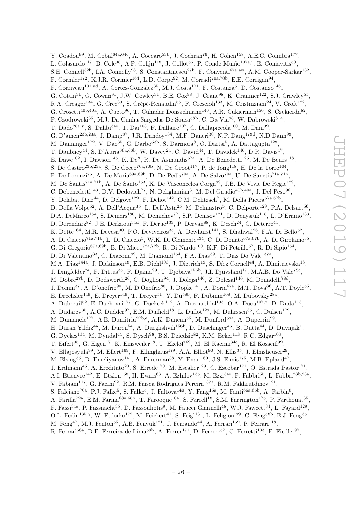Y. Coadou<sup>99</sup>, M. Cobal<sup>64a,64c</sup>, A. Coccaro<sup>53b</sup>, J. Cochran<sup>76</sup>, H. Cohen<sup>158</sup>, A.E.C. Coimbra<sup>177</sup>, L. Colasurdo<sup>117</sup>, B. Cole<sup>38</sup>, A.P. Colijn<sup>118</sup>, J. Collot<sup>56</sup>, P. Conde Muiño<sup>137a,i</sup>, E. Coniavitis<sup>50</sup>, S.H. Connell<sup>32b</sup>, I.A. Connelly<sup>98</sup>, S. Constantinescu<sup>27b</sup>, F. Conventi<sup>67a,aw</sup>, A.M. Cooper-Sarkar<sup>132</sup>, F. Cormier<sup>172</sup>, K.J.R. Cormier<sup>164</sup>, L.D. Corpe<sup>92</sup>, M. Corradi<sup>70a,70b</sup>, E.E. Corrigan<sup>94</sup>, F. Corriveau<sup>101,ad</sup>, A. Cortes-Gonzalez<sup>35</sup>, M.J. Costa<sup>171</sup>, F. Costanza<sup>5</sup>, D. Costanzo<sup>146</sup>, G. Cottin<sup>31</sup>, G. Cowan<sup>91</sup>, J.W. Cowley<sup>31</sup>, B.E. Cox<sup>98</sup>, J. Crane<sup>98</sup>, K. Cranmer<sup>122</sup>, S.J. Crawley<sup>55</sup>, R.A. Creager<sup>134</sup>, G. Cree<sup>33</sup>, S. Crépé-Renaudin<sup>56</sup>, F. Crescioli<sup>133</sup>, M. Cristinziani<sup>24</sup>, V. Croft<sup>122</sup>, G. Crosetti<sup>40b,40a</sup>, A. Cueto<sup>96</sup>, T. Cuhadar Donszelmann<sup>146</sup>, A.R. Cukierman<sup>150</sup>, S. Czekierda<sup>82</sup>, P. Czodrowski<sup>35</sup>, M.J. Da Cunha Sargedas De Sousa<sup>58b</sup>, C. Da Via<sup>98</sup>, W. Dabrowski<sup>81a</sup>, T. Dado<sup>28a,y</sup>, S. Dahbi<sup>34e</sup>, T. Dai<sup>103</sup>, F. Dallaire<sup>107</sup>, C. Dallapiccola<sup>100</sup>, M. Dam<sup>39</sup>, G. D'amen<sup>23b,23a</sup>, J. Damp<sup>97</sup>, J.R. Dandoy<sup>134</sup>, M.F. Daneri<sup>30</sup>, N.P. Dang<sup>178,1</sup>, N.D Dann<sup>98</sup>, M. Danninger<sup>172</sup>, V. Dao<sup>35</sup>, G. Darbo<sup>53b</sup>, S. Darmora<sup>8</sup>, O. Dartsi<sup>5</sup>, A. Dattagupta<sup>128</sup>, T. Daubney<sup>44</sup>, S. D'Auria<sup>66a,66b</sup>, W. Davey<sup>24</sup>, C. David<sup>44</sup>, T. Davidek<sup>140</sup>, D.R. Davis<sup>47</sup>, E. Dawe<sup>102</sup>, I. Dawson<sup>146</sup>, K. De<sup>8</sup>, R. De Asmundis<sup>67a</sup>, A. De Benedetti<sup>125</sup>, M. De Beurs<sup>118</sup>, S. De Castro<sup>23b,23a</sup>, S. De Cecco<sup>70a,70b</sup>, N. De Groot<sup>117</sup>, P. de Jong<sup>118</sup>, H. De la Torre<sup>104</sup>, F. De Lorenzi<sup>76</sup>, A. De Maria<sup>69a,69b</sup>, D. De Pedis<sup>70a</sup>, A. De Salvo<sup>70a</sup>, U. De Sanctis<sup>71a,71b</sup>, M. De Santis<sup>71a,71b</sup>, A. De Santo<sup>153</sup>, K. De Vasconcelos Corga<sup>99</sup>, J.B. De Vivie De Regie<sup>129</sup>, C. Debenedetti<sup>143</sup>, D.V. Dedovich<sup>77</sup>, N. Dehghanian<sup>3</sup>, M. Del Gaudio<sup>40b,40a</sup>, J. Del Peso<sup>96</sup>, Y. Delabat Diaz<sup>44</sup>, D. Delgove<sup>129</sup>, F. Deliot<sup>142</sup>, C.M. Delitzsch<sup>7</sup>, M. Della Pietra<sup>67a,67b</sup>, D. Della Volpe<sup>52</sup>, A. Dell'Acqua<sup>35</sup>, L. Dell'Asta<sup>25</sup>, M. Delmastro<sup>5</sup>, C. Delporte<sup>129</sup>, P.A. Delsart<sup>56</sup>, D.A. DeMarco<sup>164</sup>, S. Demers<sup>180</sup>, M. Demichev<sup>77</sup>, S.P. Denisov<sup>121</sup>, D. Denysiuk<sup>118</sup>, L. D'Eramo<sup>133</sup>, D. Derendarz<sup>82</sup>, J.E. Derkaoui<sup>34d</sup>, F. Derue<sup>133</sup>, P. Dervan<sup>88</sup>, K. Desch<sup>24</sup>, C. Deterre<sup>44</sup>, K. Dette<sup>164</sup>, M.R. Devesa<sup>30</sup>, P.O. Deviveiros<sup>35</sup>, A. Dewhurst<sup>141</sup>, S. Dhaliwal<sup>26</sup>, F.A. Di Bello<sup>52</sup>, A. Di Ciaccio<sup>71a,71b</sup>, L. Di Ciaccio<sup>5</sup>, W.K. Di Clemente<sup>134</sup>, C. Di Donato<sup>67a,67b</sup>, A. Di Girolamo<sup>35</sup>, G. Di Gregorio<sup>69a,69b</sup>, B. Di Micco<sup>72a,72b</sup>, R. Di Nardo<sup>100</sup>, K.F. Di Petrillo<sup>57</sup>, R. Di Sipio<sup>164</sup>, D. Di Valentino<sup>33</sup>, C. Diaconu<sup>99</sup>, M. Diamond<sup>164</sup>, F.A. Dias<sup>39</sup>, T. Dias Do Vale<sup>137a</sup>, M.A. Diaz<sup>144a</sup>, J. Dickinson<sup>18</sup>, E.B. Diehl<sup>103</sup>, J. Dietrich<sup>19</sup>, S. Díez Cornell<sup>44</sup>, A. Dimitrievska<sup>18</sup>, J. Dingfelder<sup>24</sup>, F. Dittus<sup>35</sup>, F. Djama<sup>99</sup>, T. Djobava<sup>156b</sup>, J.I. Djuvsland<sup>17</sup>, M.A.B. Do Vale<sup>78c</sup>, M. Dobre<sup>27b</sup>, D. Dodsworth<sup>26</sup>, C. Doglioni<sup>94</sup>, J. Dolejsi<sup>140</sup>, Z. Dolezal<sup>140</sup>, M. Donadelli<sup>78d</sup>, J. Donini<sup>37</sup>, A. D'onofrio<sup>90</sup>, M. D'Onofrio<sup>88</sup>, J. Dopke<sup>141</sup>, A. Doria<sup>67a</sup>, M.T. Dova<sup>86</sup>, A.T. Doyle<sup>55</sup>, E. Drechsler<sup>149</sup>, E. Dreyer<sup>149</sup>, T. Dreyer<sup>51</sup>, Y. Du<sup>58b</sup>, F. Dubinin<sup>108</sup>, M. Dubovsky<sup>28a</sup>, A. Dubreuil<sup>52</sup>, E. Duchovni<sup>177</sup>, G. Duckeck<sup>112</sup>, A. Ducourthial<sup>133</sup>, O.A. Ducu<sup>107,x</sup>, D. Duda<sup>113</sup>, A. Dudarev<sup>35</sup>, A.C. Dudder<sup>97</sup>, E.M. Duffield<sup>18</sup>, L. Duflot<sup>129</sup>, M. Dührssen<sup>35</sup>, C. Dülsen<sup>179</sup>, M. Dumancic<sup>177</sup>, A.E. Dumitriu<sup>27b,e</sup>, A.K. Duncan<sup>55</sup>, M. Dunford<sup>59a</sup>, A. Duperrin<sup>99</sup>, H. Duran Yildiz<sup>4a</sup>, M. Düren<sup>54</sup>, A. Durglishvili<sup>156b</sup>, D. Duschinger<sup>46</sup>, B. Dutta<sup>44</sup>, D. Duvnjak<sup>1</sup>, G. Dyckes<sup>134</sup>, M. Dyndal<sup>44</sup>, S. Dysch<sup>98</sup>, B.S. Dziedzic<sup>82</sup>, K.M. Ecker<sup>113</sup>, R.C. Edgar<sup>103</sup>, T. Eifert<sup>35</sup>, G. Eigen<sup>17</sup>, K. Einsweiler<sup>18</sup>, T. Ekelof<sup>169</sup>, M. El Kacimi<sup>34c</sup>, R. El Kosseifi<sup>99</sup>, V. Ellajosyula<sup>99</sup>, M. Ellert<sup>169</sup>, F. Ellinghaus<sup>179</sup>, A.A. Elliot<sup>90</sup>, N. Ellis<sup>35</sup>, J. Elmsheuser<sup>29</sup>, M. Elsing<sup>35</sup>, D. Emeliyanov<sup>141</sup>, A. Emerman<sup>38</sup>, Y. Enari<sup>160</sup>, J.S. Ennis<sup>175</sup>, M.B. Epland<sup>47</sup>, J. Erdmann<sup>45</sup>, A. Ereditato<sup>20</sup>, S. Errede<sup>170</sup>, M. Escalier<sup>129</sup>, C. Escobar<sup>171</sup>, O. Estrada Pastor<sup>171</sup>, A.I. Etienvre<sup>142</sup>, E. Etzion<sup>158</sup>, H. Evans<sup>63</sup>, A. Ezhilov<sup>135</sup>, M. Ezzi<sup>34e</sup>, F. Fabbri<sup>55</sup>, L. Fabbri<sup>23b,23a</sup>, V. Fabiani<sup>117</sup>, G. Facini<sup>92</sup>, R.M. Faisca Rodrigues Pereira<sup>137a</sup>, R.M. Fakhrutdinov<sup>121</sup>, S. Falciano<sup>70a</sup>, P.J. Falke<sup>5</sup>, S. Falke<sup>5</sup>, J. Faltova<sup>140</sup>, Y. Fang<sup>15a</sup>, M. Fanti<sup>66a,66b</sup>, A. Farbin<sup>8</sup>, A. Farilla<sup>72a</sup>, E.M. Farina<sup>68a,68b</sup>, T. Farooque<sup>104</sup>, S. Farrell<sup>18</sup>, S.M. Farrington<sup>175</sup>, P. Farthouat<sup>35</sup>, F. Fassi<sup>34e</sup>, P. Fassnacht<sup>35</sup>, D. Fassouliotis<sup>9</sup>, M. Faucci Giannelli<sup>48</sup>, W.J. Fawcett<sup>31</sup>, L. Fayard<sup>129</sup>, O.L. Fedin<sup>135,q</sup>, W. Fedorko<sup>172</sup>, M. Feickert<sup>41</sup>, S. Feigl<sup>131</sup>, L. Feligioni<sup>99</sup>, C. Feng<sup>58b</sup>, E.J. Feng<sup>35</sup>, M. Feng<sup>47</sup>, M.J. Fenton<sup>55</sup>, A.B. Fenyuk<sup>121</sup>, J. Ferrando<sup>44</sup>, A. Ferrari<sup>169</sup>, P. Ferrari<sup>118</sup>,

R. Ferrari<sup>68a</sup>, D.E. Ferreira de Lima<sup>59b</sup>, A. Ferrer<sup>171</sup>, D. Ferrere<sup>52</sup>, C. Ferretti<sup>103</sup>, F. Fiedler<sup>97</sup>,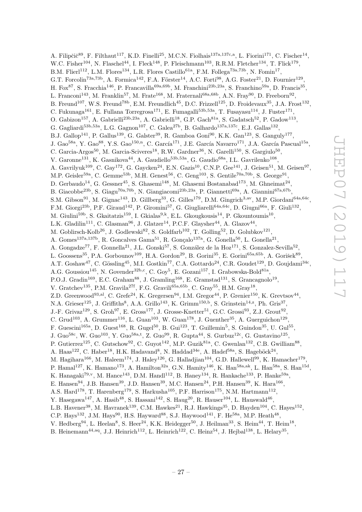A. Filipčič<sup>89</sup>, F. Filthaut<sup>117</sup>, K.D. Finelli<sup>25</sup>, M.C.N. Fiolhais<sup>137a,137c,a</sup>, L. Fiorini<sup>171</sup>, C. Fischer<sup>14</sup>, W.C. Fisher<sup>104</sup>, N. Flaschel<sup>44</sup>, I. Fleck<sup>148</sup>, P. Fleischmann<sup>103</sup>, R.R.M. Fletcher<sup>134</sup>, T. Flick<sup>179</sup>, B.M. Flierl<sup>112</sup>, L.M. Flores<sup>134</sup>, L.R. Flores Castillo<sup>61a</sup>, F.M. Follega<sup>73a,73b</sup>, N. Fomin<sup>17</sup>, G.T. Forcolin<sup>73a,73b</sup>, A. Formica<sup>142</sup>, F.A. Förster<sup>14</sup>, A.C. Forti<sup>98</sup>, A.G. Foster<sup>21</sup>, D. Fournier<sup>129</sup>, H. Fox<sup>87</sup>, S. Fracchia<sup>146</sup>, P. Francavilla<sup>69a,69b</sup>, M. Franchini<sup>23b,23a</sup>, S. Franchino<sup>59a</sup>, D. Francis<sup>35</sup>, L. Franconi<sup>143</sup>, M. Franklin<sup>57</sup>, M. Frate<sup>168</sup>, M. Fraternali<sup>68a,68b</sup>, A.N. Fray<sup>90</sup>, D. Freeborn<sup>92</sup>, B. Freund<sup>107</sup>, W.S. Freund<sup>78b</sup>, E.M. Freundlich<sup>45</sup>, D.C. Frizzell<sup>125</sup>, D. Froidevaux<sup>35</sup>, J.A. Frost<sup>132</sup>, C. Fukunaga<sup>161</sup>, E. Fullana Torregrosa<sup>171</sup>, E. Fumagalli<sup>53b,53a</sup>, T. Fusayasu<sup>114</sup>, J. Fuster<sup>171</sup>, O. Gabizon<sup>157</sup>, A. Gabrielli<sup>23b,23a</sup>, A. Gabrielli<sup>18</sup>, G.P. Gach<sup>81a</sup>, S. Gadatsch<sup>52</sup>, P. Gadow<sup>113</sup>, G. Gagliardi<sup>53b,53a</sup>, L.G. Gagnon<sup>107</sup>, C. Galea<sup>27b</sup>, B. Galhardo<sup>137a,137c</sup>, E.J. Gallas<sup>132</sup>, B.J. Gallop<sup>141</sup>, P. Gallus<sup>139</sup>, G. Galster<sup>39</sup>, R. Gamboa Goni<sup>90</sup>, K.K. Gan<sup>123</sup>, S. Ganguly<sup>177</sup>, J. Gao<sup>58a</sup>, Y. Gao<sup>88</sup>, Y.S. Gao<sup>150,n</sup>, C. García<sup>171</sup>, J.E. García Navarro<sup>171</sup>, J.A. García Pascual<sup>15a</sup>, C. Garcia-Argos<sup>50</sup>, M. Garcia-Sciveres<sup>18</sup>, R.W. Gardner<sup>36</sup>, N. Garelli<sup>150</sup>, S. Gargiulo<sup>50</sup>, V. Garonne<sup>131</sup>, K. Gasnikova<sup>44</sup>, A. Gaudiello<sup>53b,53a</sup>, G. Gaudio<sup>68a</sup>, I.L. Gavrilenko<sup>108</sup>, A. Gavrilyuk<sup>109</sup>, C. Gay<sup>172</sup>, G. Gaycken<sup>24</sup>, E.N. Gazis<sup>10</sup>, C.N.P. Gee<sup>141</sup>, J. Geisen<sup>51</sup>, M. Geisen<sup>97</sup>, M.P. Geisler<sup>59a</sup>, C. Gemme<sup>53b</sup>, M.H. Genest<sup>56</sup>, C. Geng<sup>103</sup>, S. Gentile<sup>70a,70b</sup>, S. George<sup>91</sup>, D. Gerbaudo<sup>14</sup>, G. Gessner<sup>45</sup>, S. Ghasemi<sup>148</sup>, M. Ghasemi Bostanabad<sup>173</sup>, M. Ghneimat<sup>24</sup>, B. Giacobbe<sup>23b</sup>, S. Giagu<sup>70a,70b</sup>, N. Giangiacomi<sup>23b,23a</sup>, P. Giannetti<sup>69a</sup>, A. Giannini<sup>67a,67b</sup>, S.M. Gibson<sup>91</sup>, M. Gignac<sup>143</sup>, D. Gillberg<sup>33</sup>, G. Gilles<sup>179</sup>, D.M. Gingrich<sup>3,av</sup>, M.P. Giordani<sup>64a,64c</sup>, F.M. Giorgi<sup>23b</sup>, P.F. Giraud<sup>142</sup>, P. Giromini<sup>57</sup>, G. Giugliarelli<sup>64a,64c</sup>, D. Giugni<sup>66a</sup>, F. Giuli<sup>132</sup>, M. Giulini<sup>59b</sup>, S. Gkaitatzis<sup>159</sup>, I. Gkialas<sup>9,k</sup>, E.L. Gkougkousis<sup>14</sup>, P. Gkountoumis<sup>10</sup>, L.K. Gladilin<sup>111</sup>, C. Glasman<sup>96</sup>, J. Glatzer<sup>14</sup>, P.C.F. Glaysher<sup>44</sup>, A. Glazov<sup>44</sup>, M. Goblirsch-Kolb<sup>26</sup>, J. Godlewski<sup>82</sup>, S. Goldfarb<sup>102</sup>, T. Golling<sup>52</sup>, D. Golubkov<sup>121</sup>, A. Gomes<sup>137a,137b</sup>, R. Goncalves Gama<sup>51</sup>, R. Gonçalo<sup>137a</sup>, G. Gonella<sup>50</sup>, L. Gonella<sup>21</sup>, A. Gongadze<sup>77</sup>, F. Gonnella<sup>21</sup>, J.L. Gonski<sup>57</sup>, S. González de la Hoz<sup>171</sup>, S. Gonzalez-Sevilla<sup>52</sup>, L. Goossens<sup>35</sup>, P.A. Gorbounov<sup>109</sup>, H.A. Gordon<sup>29</sup>, B. Gorini<sup>35</sup>, E. Gorini<sup>65a,65b</sup>, A. Gorišek<sup>89</sup>, A.T. Goshaw<sup>47</sup>, C. Gössling<sup>45</sup>, M.I. Gostkin<sup>77</sup>, C.A. Gottardo<sup>24</sup>, C.R. Goudet<sup>129</sup>, D. Goujdami<sup>34c</sup>, A.G. Goussiou<sup>145</sup>, N. Govender<sup>32b,c</sup>, C. Goy<sup>5</sup>, E. Gozani<sup>157</sup>, I. Grabowska-Bold<sup>81a</sup>, P.O.J. Gradin<sup>169</sup>, E.C. Graham<sup>88</sup>, J. Gramling<sup>168</sup>, E. Gramstad<sup>131</sup>, S. Grancagnolo<sup>19</sup>, V. Gratchev<sup>135</sup>, P.M. Gravila<sup>27f</sup>, F.G. Gravili<sup>65a,65b</sup>, C. Gray<sup>55</sup>, H.M. Gray<sup>18</sup>, Z.D. Greenwood<sup>93,al</sup>, C. Grefe<sup>24</sup>, K. Gregersen<sup>94</sup>, I.M. Gregor<sup>44</sup>, P. Grenier<sup>150</sup>, K. Grevtsov<sup>44</sup>, N.A. Grieser<sup>125</sup>, J. Griffiths<sup>8</sup>, A.A. Grillo<sup>143</sup>, K. Grimm<sup>150,b</sup>, S. Grinstein<sup>14,2</sup>, Ph. Gris<sup>37</sup>, J.-F. Grivaz<sup>129</sup>, S. Groh<sup>97</sup>, E. Gross<sup>177</sup>, J. Grosse-Knetter<sup>51</sup>, G.C. Grossi<sup>93</sup>, Z.J. Grout<sup>92</sup>, C. Grud<sup>103</sup>, A. Grummer<sup>116</sup>, L. Guan<sup>103</sup>, W. Guan<sup>178</sup>, J. Guenther<sup>35</sup>, A. Guerguichon<sup>129</sup>, F. Guescini<sup>165a</sup>, D. Guest<sup>168</sup>, R. Gugel<sup>50</sup>, B. Gui<sup>123</sup>, T. Guillemin<sup>5</sup>, S. Guindon<sup>35</sup>, U. Gul<sup>55</sup>, J. Guo<sup>58c</sup>, W. Guo<sup>103</sup>, Y. Guo<sup>58a,t</sup>, Z. Guo<sup>99</sup>, R. Gupta<sup>44</sup>, S. Gurbuz<sup>12c</sup>, G. Gustavino<sup>125</sup>, P. Gutierrez<sup>125</sup>, C. Gutschow<sup>92</sup>, C. Guyot<sup>142</sup>, M.P. Guzik<sup>81a</sup>, C. Gwenlan<sup>132</sup>, C.B. Gwilliam<sup>88</sup>, A. Haas<sup>122</sup>, C. Haber<sup>18</sup>, H.K. Hadavand<sup>8</sup>, N. Haddad<sup>34e</sup>, A. Hader<sup>58a</sup>, S. Hageböck<sup>24</sup>, M. Hagihara<sup>166</sup>, M. Haleem<sup>174</sup>, J. Haley<sup>126</sup>, G. Halladjian<sup>104</sup>, G.D. Hallewell<sup>99</sup>, K. Hamacher<sup>179</sup>, P. Hamal<sup>127</sup>, K. Hamano<sup>173</sup>, A. Hamilton<sup>32a</sup>, G.N. Hamity<sup>146</sup>, K. Han<sup>58a, ak</sup>, L. Han<sup>58a</sup>, S. Han<sup>15d</sup>, K. Hanagaki<sup>79,v</sup>, M. Hance<sup>143</sup>, D.M. Handl<sup>112</sup>, B. Haney<sup>134</sup>, R. Hankache<sup>133</sup>, P. Hanke<sup>59a</sup>, E. Hansen<sup>94</sup>, J.B. Hansen<sup>39</sup>, J.D. Hansen<sup>39</sup>, M.C. Hansen<sup>24</sup>, P.H. Hansen<sup>39</sup>, K. Hara<sup>166</sup>, A.S. Hard<sup>178</sup>, T. Harenberg<sup>179</sup>, S. Harkusha<sup>105</sup>, P.F. Harrison<sup>175</sup>, N.M. Hartmann<sup>112</sup>, Y. Hasegawa<sup>147</sup>, A. Hasib<sup>48</sup>, S. Hassani<sup>142</sup>, S. Haug<sup>20</sup>, R. Hauser<sup>104</sup>, L. Hauswald<sup>46</sup>, L.B. Havener<sup>38</sup>, M. Havranek<sup>139</sup>, C.M. Hawkes<sup>21</sup>, R.J. Hawkings<sup>35</sup>, D. Hayden<sup>104</sup>, C. Hayes<sup>152</sup>, C.P. Hays<sup>132</sup>, J.M. Hays<sup>90</sup>, H.S. Hayward<sup>88</sup>, S.J. Haywood<sup>141</sup>, F. He<sup>58a</sup>, M.P. Heath<sup>48</sup>, V. Hedberg<sup>94</sup>, L. Heelan<sup>8</sup>, S. Heer<sup>24</sup>, K.K. Heidegger<sup>50</sup>, J. Heilman<sup>33</sup>, S. Heim<sup>44</sup>, T. Heim<sup>18</sup>,

B. Heinemann<sup>44,aq</sup>, J.J. Heinrich<sup>112</sup>, L. Heinrich<sup>122</sup>, C. Heinz<sup>54</sup>, J. Hejbal<sup>138</sup>, L. Helary<sup>35</sup>,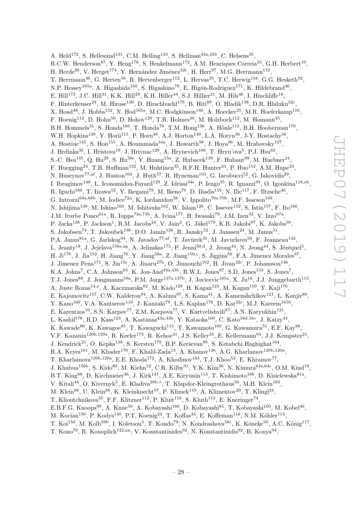A. Held<sup>172</sup>, S. Hellesund<sup>131</sup>, C.M. Helling<sup>143</sup>, S. Hellman<sup>43a,43b</sup>, C. Helsens<sup>35</sup>, R.C.W. Henderson<sup>87</sup>, Y. Heng<sup>178</sup>, S. Henkelmann<sup>172</sup>, A.M. Henriques Correia<sup>35</sup>, G.H. Herbert<sup>19</sup>, H. Herde<sup>26</sup>, V. Herget<sup>174</sup>, Y. Hernández Jiménez<sup>32c</sup>, H. Herr<sup>97</sup>, M.G. Herrmann<sup>112</sup>, T. Herrmann<sup>46</sup>, G. Herten<sup>50</sup>, R. Hertenberger<sup>112</sup>, L. Hervas<sup>35</sup>, T.C. Herwig<sup>134</sup>, G.G. Hesketh<sup>92</sup>, N.P. Hessey<sup>165a</sup>, A. Higashida<sup>160</sup>, S. Higashino<sup>79</sup>, E. Higón-Rodriguez<sup>171</sup>, K. Hildebrand<sup>36</sup>, E. Hill<sup>173</sup>, J.C. Hill<sup>31</sup>, K.K. Hill<sup>29</sup>, K.H. Hiller<sup>44</sup>, S.J. Hillier<sup>21</sup>, M. Hils<sup>46</sup>, I. Hinchliffe<sup>18</sup>, F. Hinterkeuser<sup>24</sup>, M. Hirose<sup>130</sup>, D. Hirschbuehl<sup>179</sup>, B. Hiti<sup>89</sup>, O. Hladik<sup>138</sup>, D.R. Hlaluku<sup>32c</sup>, X. Hoad<sup>48</sup>, J. Hobbs<sup>152</sup>, N. Hod<sup>165a</sup>, M.C. Hodgkinson<sup>146</sup>, A. Hoecker<sup>35</sup>, M.R. Hoeferkamp<sup>116</sup>, F. Hoenig<sup>112</sup>, D. Hohn<sup>50</sup>, D. Hohov<sup>129</sup>, T.R. Holmes<sup>36</sup>, M. Holzbock<sup>112</sup>, M. Homann<sup>45</sup>, B.H. Hommels<sup>31</sup>, S. Honda<sup>166</sup>, T. Honda<sup>79</sup>, T.M. Hong<sup>136</sup>, A. Hönle<sup>113</sup>, B.H. Hooberman<sup>170</sup>, W.H. Hopkins<sup>128</sup>, Y. Horii<sup>115</sup>, P. Horn<sup>46</sup>, A.J. Horton<sup>149</sup>, L.A. Horyn<sup>36</sup>, J-Y. Hostachy<sup>56</sup>, A. Hostiuc<sup>145</sup>, S. Hou<sup>155</sup>, A. Hoummada<sup>34a</sup>, J. Howarth<sup>98</sup>, J. Hoya<sup>86</sup>, M. Hrabovsky<sup>127</sup>, J. Hrdinka<sup>35</sup>, I. Hristova<sup>19</sup>, J. Hrivnac<sup>129</sup>, A. Hrynevich<sup>106</sup>, T. Hryn'ova<sup>5</sup>, P.J. Hsu<sup>62</sup>, S.-C. Hsu<sup>145</sup>, Q. Hu<sup>29</sup>, S. Hu<sup>58c</sup>, Y. Huang<sup>15a</sup>, Z. Hubacek<sup>139</sup>, F. Hubaut<sup>99</sup>, M. Huebner<sup>24</sup>, F. Huegging<sup>24</sup>, T.B. Huffman<sup>132</sup>, M. Huhtinen<sup>35</sup>, R.F.H. Hunter<sup>33</sup>, P. Huo<sup>152</sup>, A.M. Hupe<sup>33</sup>, N. Huseynov<sup>77,af</sup>, J. Huston<sup>104</sup>, J. Huth<sup>57</sup>, R. Hyneman<sup>103</sup>, G. Iacobucci<sup>52</sup>, G. Iakovidis<sup>29</sup>, I. Ibragimov<sup>148</sup>, L. Iconomidou-Fayard<sup>129</sup>, Z. Idrissi<sup>34e</sup>, P. Iengo<sup>35</sup>, R. Ignazzi<sup>39</sup>, O. Igonkina<sup>118,ab</sup>, R. Iguchi<sup>160</sup>, T. Iizawa<sup>52</sup>, Y. Ikegami<sup>79</sup>, M. Ikeno<sup>79</sup>, D. Iliadis<sup>159</sup>, N. Ilic<sup>117</sup>, F. Iltzsche<sup>46</sup>, G. Introzzi<sup>68a, 68b</sup>, M. Iodice<sup>72a</sup>, K. Iordanidou<sup>38</sup>, V. Ippolito<sup>70a, 70b</sup>, M.F. Isacson<sup>169</sup>, N. Ishijima<sup>130</sup>, M. Ishino<sup>160</sup>, M. Ishitsuka<sup>162</sup>, W. Islam<sup>126</sup>, C. Issever<sup>132</sup>, S. Istin<sup>157</sup>, F. Ito<sup>166</sup>, J.M. Iturbe Ponce<sup>61a</sup>, R. Iuppa<sup>73a,73b</sup>, A. Ivina<sup>177</sup>, H. Iwasaki<sup>79</sup>, J.M. Izen<sup>42</sup>, V. Izzo<sup>67a</sup>, P. Jacka<sup>138</sup>, P. Jackson<sup>1</sup>, R.M. Jacobs<sup>24</sup>, V. Jain<sup>2</sup>, G. Jäkel<sup>179</sup>, K.B. Jakobi<sup>97</sup>, K. Jakobs<sup>50</sup>, S. Jakobsen<sup>74</sup>, T. Jakoubek<sup>138</sup>, D.O. Jamin<sup>126</sup>, R. Jansky<sup>52</sup>, J. Janssen<sup>24</sup>, M. Janus<sup>51</sup>, P.A. Janus<sup>81a</sup>, G. Jarlskog<sup>94</sup>, N. Javadov<sup>77, af</sup>, T. Javůrek<sup>35</sup>, M. Javurkova<sup>50</sup>, F. Jeanneau<sup>142</sup>, L. Jeanty<sup>18</sup>, J. Jejelava<sup>156a,ag</sup>, A. Jelinskas<sup>175</sup>, P. Jenni<sup>50,d</sup>, J. Jeong<sup>44</sup>, N. Jeong<sup>44</sup>, S. Jézéquel<sup>5</sup>, H. Ji<sup>178</sup>, J. Jia<sup>152</sup>, H. Jiang<sup>76</sup>, Y. Jiang<sup>58a</sup>, Z. Jiang<sup>150,r</sup>, S. Jiggins<sup>50</sup>, F.A. Jimenez Morales<sup>37</sup>, J. Jimenez Pena<sup>171</sup>, S. Jin<sup>15c</sup>, A. Jinaru<sup>27b</sup>, O. Jinnouchi<sup>162</sup>, H. Jivan<sup>32c</sup>, P. Johansson<sup>146</sup>, K.A. Johns<sup>7</sup>, C.A. Johnson<sup>63</sup>, K. Jon-And<sup>43a,43b</sup>, R.W.L. Jones<sup>87</sup>, S.D. Jones<sup>153</sup>, S. Jones<sup>7</sup>, T.J. Jones<sup>88</sup>, J. Jongmanns<sup>59a</sup>, P.M. Jorge<sup>137a,137b</sup>, J. Jovicevic<sup>165a</sup>, X. Ju<sup>18</sup>, J.J. Junggeburth<sup>113</sup>, A. Juste Rozas<sup>14,z</sup>, A. Kaczmarska<sup>82</sup>, M. Kado<sup>129</sup>, H. Kagan<sup>123</sup>, M. Kagan<sup>150</sup>, T. Kaji<sup>176</sup>, E. Kajomovitz<sup>157</sup>, C.W. Kalderon<sup>94</sup>, A. Kaluza<sup>97</sup>, S. Kama<sup>41</sup>, A. Kamenshchikov<sup>121</sup>, L. Kanjir<sup>89</sup>, Y. Kano<sup>160</sup>, V.A. Kantserov<sup>110</sup>, J. Kanzaki<sup>79</sup>, L.S. Kaplan<sup>178</sup>, D. Kar<sup>32c</sup>, M.J. Kareem<sup>165b</sup>, E. Karentzos<sup>10</sup>, S.N. Karpov<sup>77</sup>, Z.M. Karpova<sup>77</sup>, V. Kartvelishvili<sup>87</sup>, A.N. Karyukhin<sup>121</sup>, L. Kashif<sup>178</sup>, R.D. Kass<sup>123</sup>, A. Kastanas<sup>43a,43b</sup>, Y. Kataoka<sup>160</sup>, C. Kato<sup>58d,58c</sup>, J. Katzy<sup>44</sup>, K. Kawade $^{80}$ , K. Kawagoe $^{85}$ , T. Kawaguchi $^{115}$ , T. Kawamoto $^{160}$ , G. Kawamura $^{51}$ , E.F. Kay $^{88}$ , V.F. Kazanin<sup>120b,120a</sup>, R. Keeler<sup>173</sup>, R. Kehoe<sup>41</sup>, J.S. Keller<sup>33</sup>, E. Kellermann<sup>94</sup>, J.J. Kempster<sup>21</sup>, J. Kendrick<sup>21</sup>, O. Kepka<sup>138</sup>, S. Kersten<sup>179</sup>, B.P. Kerševan<sup>89</sup>, S. Ketabchi Haghighat<sup>164</sup>, R.A. Keyes<sup>101</sup>, M. Khader<sup>170</sup>, F. Khalil-Zada<sup>13</sup>, A. Khanov<sup>126</sup>, A.G. Kharlamov<sup>120b,120a</sup>, T. Kharlamova<sup>120b,120a</sup>, E.E. Khoda<sup>172</sup>, A. Khodinov<sup>163</sup>, T.J. Khoo<sup>52</sup>, E. Khramov<sup>77</sup>, J. Khubua $^{156b}$ , S. Kido $^{80}$ , M. Kiehn $^{52}$ , C.R. Kilby $^{91}$ , Y.K. Kim $^{36}$ , N. Kimura $^{64a, 64c}$ , O.M. Kind $^{19}$ , B.T. King<sup>88</sup>, D. Kirchmeier<sup>46</sup>, J. Kirk<sup>141</sup>, A.E. Kiryunin<sup>113</sup>, T. Kishimoto<sup>160</sup>, D. Kisielewska<sup>81a</sup>, V. Kitali<sup>44</sup>, O. Kivernyk<sup>5</sup>, E. Kladiva<sup>28b,\*</sup>, T. Klapdor-Kleingrothaus<sup>50</sup>, M.H. Klein<sup>103</sup>, M. Klein<sup>88</sup>, U. Klein<sup>88</sup>, K. Kleinknecht<sup>97</sup>, P. Klimek<sup>119</sup>, A. Klimentov<sup>29</sup>, T. Klingl<sup>24</sup>, T. Klioutchnikova<sup>35</sup>, F.F. Klitzner<sup>112</sup>, P. Kluit<sup>118</sup>, S. Kluth<sup>113</sup>, E. Kneringer<sup>74</sup>, E.B.F.G. Knoops<sup>99</sup>, A. Knue<sup>50</sup>, A. Kobayashi<sup>160</sup>, D. Kobayashi<sup>85</sup>, T. Kobayashi<sup>160</sup>, M. Kobel<sup>46</sup>, M. Kocian<sup>150</sup>, P. Kodys<sup>140</sup>, P.T. Koenig<sup>24</sup>, T. Koffas<sup>33</sup>, E. Koffeman<sup>118</sup>, N.M. Köhler<sup>113</sup>, T. Koi<sup>150</sup>, M. Kolb<sup>59b</sup>, I. Koletsou<sup>5</sup>, T. Kondo<sup>79</sup>, N. Kondrashova<sup>58c</sup>, K. Köneke<sup>50</sup>, A.C. König<sup>117</sup>,

T. Kono<sup>79</sup>, R. Konoplich<sup>122,an</sup>, V. Konstantinides<sup>92</sup>, N. Konstantinidis<sup>92</sup>, B. Konya<sup>94</sup>,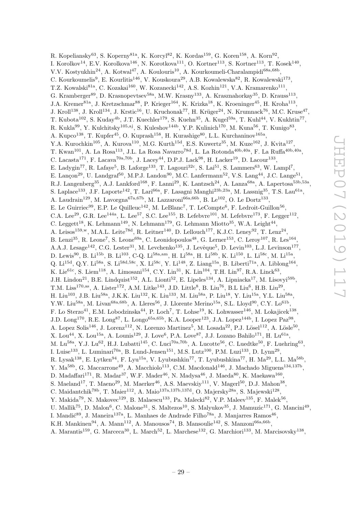R. Kopeliansky $^{63}$ , S. Koperny $^{81a}$ , K. Korcyl $^{82}$ , K. Kordas<sup>159</sup>, G. Koren<sup>158</sup>, A. Korn $^{92}$ , I. Korolkov<sup>14</sup>, E.V. Korolkova<sup>146</sup>, N. Korotkova<sup>111</sup>, O. Kortner<sup>113</sup>, S. Kortner<sup>113</sup>, T. Kosek<sup>140</sup>, V.V. Kostyukhin<sup>24</sup>, A. Kotwal<sup>47</sup>, A. Koulouris<sup>10</sup>, A. Kourkoumeli-Charalampidi<sup>68a,68b</sup>, C. Kourkoumelis<sup>9</sup>, E. Kourlitis<sup>146</sup>, V. Kouskoura<sup>29</sup>, A.B. Kowalewska<sup>82</sup>, R. Kowalewski<sup>173</sup>, T.Z. Kowalski<sup>81a</sup>, C. Kozakai<sup>160</sup>, W. Kozanecki<sup>142</sup>, A.S. Kozhin<sup>121</sup>, V.A. Kramarenko<sup>111</sup>, G. Kramberger<sup>89</sup>, D. Krasnopevtsev<sup>58a</sup>, M.W. Krasny<sup>133</sup>, A. Krasznahorkay<sup>35</sup>, D. Krauss<sup>113</sup>, J.A. Kremer<sup>81a</sup>, J. Kretzschmar<sup>88</sup>, P. Krieger<sup>164</sup>, K. Krizka<sup>18</sup>, K. Kroeninger<sup>45</sup>, H. Kroha<sup>113</sup>, J. Kroll<sup>138</sup>, J. Kroll<sup>134</sup>, J. Krstic<sup>16</sup>, U. Kruchonak<sup>77</sup>, H. Krüger<sup>24</sup>, N. Krumnack<sup>76</sup>, M.C. Kruse<sup>47</sup>, T. Kubota<sup>102</sup>, S. Kuday<sup>4b</sup>, J.T. Kuechler<sup>179</sup>, S. Kuehn<sup>35</sup>, A. Kugel<sup>59a</sup>, T. Kuhl<sup>44</sup>, V. Kukhtin<sup>77</sup>, R. Kukla<sup>99</sup>, Y. Kulchitsky<sup>105,aj</sup>, S. Kuleshov<sup>144b</sup>, Y.P. Kulinich<sup>170</sup>, M. Kuna<sup>56</sup>, T. Kunigo<sup>83</sup>, A. Kupco<sup>138</sup>, T. Kupfer<sup>45</sup>, O. Kuprash<sup>158</sup>, H. Kurashige<sup>80</sup>, L.L. Kurchaninov<sup>165a</sup>, Y.A. Kurochkin<sup>105</sup>, A. Kurova<sup>110</sup>, M.G. Kurth<sup>15d</sup>, E.S. Kuwertz<sup>35</sup>, M. Kuze<sup>162</sup>, J. Kvita<sup>127</sup>, T. Kwan<sup>101</sup>, A. La Rosa<sup>113</sup>, J.L. La Rosa Navarro<sup>78d</sup>, L. La Rotonda<sup>40b,40a</sup>, F. La Ruffa<sup>40b,40a</sup>, C. Lacasta<sup>171</sup>, F. Lacava<sup>70a,70b</sup>, J. Lacey<sup>44</sup>, D.P.J. Lack<sup>98</sup>, H. Lacker<sup>19</sup>, D. Lacour<sup>133</sup>, E. Ladygin<sup>77</sup>, R. Lafaye<sup>5</sup>, B. Laforge<sup>133</sup>, T. Lagouri<sup>32c</sup>, S. Lai<sup>51</sup>, S. Lammers<sup>63</sup>, W. Lampl<sup>7</sup>, E. Lançon<sup>29</sup>, U. Landgraf<sup>50</sup>, M.P.J. Landon<sup>90</sup>, M.C. Lanfermann<sup>52</sup>, V.S. Lang<sup>44</sup>, J.C. Lange<sup>51</sup>, R.J. Langenberg<sup>35</sup>, A.J. Lankford<sup>168</sup>, F. Lanni<sup>29</sup>, K. Lantzsch<sup>24</sup>, A. Lanza<sup>68a</sup>, A. Lapertosa<sup>53b,53a</sup>, S. Laplace<sup>133</sup>, J.F. Laporte<sup>142</sup>, T. Lari<sup>66a</sup>, F. Lasagni Manghi<sup>23b,23a</sup>, M. Lassnig<sup>35</sup>, T.S. Lau<sup>61a</sup>, A. Laudrain<sup>129</sup>, M. Lavorgna<sup>67a,67b</sup>, M. Lazzaroni<sup>66a,66b</sup>, B. Le<sup>102</sup>, O. Le Dortz<sup>133</sup>, E. Le Guirriec<sup>99</sup>, E.P. Le Quilleuc<sup>142</sup>, M. LeBlanc<sup>7</sup>, T. LeCompte<sup>6</sup>, F. Ledroit-Guillon<sup>56</sup>, C.A. Lee<sup>29</sup>, G.R. Lee<sup>144a</sup>, L. Lee<sup>57</sup>, S.C. Lee<sup>155</sup>, B. Lefebvre<sup>101</sup>, M. Lefebvre<sup>173</sup>, F. Legger<sup>112</sup>, C. Leggett<sup>18</sup>, K. Lehmann<sup>149</sup>, N. Lehmann<sup>179</sup>, G. Lehmann Miotto<sup>35</sup>, W.A. Leight<sup>44</sup>, A. Leisos<sup>159,w</sup>, M.A.L. Leite<sup>78d</sup>, R. Leitner<sup>140</sup>, D. Lellouch<sup>177</sup>, K.J.C. Leney<sup>92</sup>, T. Lenz<sup>24</sup>, B. Lenzi<sup>35</sup>, R. Leone<sup>7</sup>, S. Leone<sup>69a</sup>, C. Leonidopoulos<sup>48</sup>, G. Lerner<sup>153</sup>, C. Leroy<sup>107</sup>, R. Les<sup>164</sup>, A.A.J. Lesage<sup>142</sup>, C.G. Lester<sup>31</sup>, M. Levchenko<sup>135</sup>, J. Levêque<sup>5</sup>, D. Levin<sup>103</sup>, L.J. Levinson<sup>177</sup>, D. Lewis<sup>90</sup>, B. Li<sup>15b</sup>, B. Li<sup>103</sup>, C-Q. Li<sup>58a,am</sup>, H. Li<sup>58a</sup>, H. Li<sup>58b</sup>, K. Li<sup>150</sup>, L. Li<sup>58c</sup>, M. Li<sup>15a</sup>, Q. Li<sup>15d</sup>, Q.Y. Li<sup>58a</sup>, S. Li<sup>58d,58c</sup>, X. Li<sup>58c</sup>, Y. Li<sup>148</sup>, Z. Liang<sup>15a</sup>, B. Liberti<sup>71a</sup>, A. Liblong<sup>164</sup>, K. Lie<sup>61c</sup>, S. Liem<sup>118</sup>, A. Limosani<sup>154</sup>, C.Y. Lin<sup>31</sup>, K. Lin<sup>104</sup>, T.H. Lin<sup>97</sup>, R.A. Linck<sup>63</sup>, J.H. Lindon<sup>21</sup>, B.E. Lindquist<sup>152</sup>, A.L. Lionti<sup>52</sup>, E. Lipeles<sup>134</sup>, A. Lipniacka<sup>17</sup>, M. Lisovyi<sup>59b</sup>, T.M. Liss<sup>170,as</sup>, A. Lister<sup>172</sup>, A.M. Litke<sup>143</sup>, J.D. Little<sup>8</sup>, B. Liu<sup>76</sup>, B.L Liu<sup>6</sup>, H.B. Liu<sup>29</sup>, H. Liu<sup>103</sup>, J.B. Liu<sup>58a</sup>, J.K.K. Liu<sup>132</sup>, K. Liu<sup>133</sup>, M. Liu<sup>58a</sup>, P. Liu<sup>18</sup>, Y. Liu<sup>15a</sup>, Y.L. Liu<sup>58a</sup>, Y.W. Liu<sup>58a</sup>, M. Livan<sup>68a,68b</sup>, A. Lleres<sup>56</sup>, J. Llorente Merino<sup>15a</sup>, S.L. Lloyd<sup>90</sup>, C.Y. Lo<sup>61b</sup>, F. Lo Sterzo<sup>41</sup>, E.M. Lobodzinska<sup>44</sup>, P. Loch<sup>7</sup>, T. Lohse<sup>19</sup>, K. Lohwasser<sup>146</sup>, M. Lokajicek<sup>138</sup>, J.D. Long<sup>170</sup>, R.E. Long<sup>87</sup>, L. Longo<sup>65a,65b</sup>, K.A. Looper<sup>123</sup>, J.A. Lopez<sup>144b</sup>, I. Lopez Paz<sup>98</sup>, A. Lopez Solis<sup>146</sup>, J. Lorenz<sup>112</sup>, N. Lorenzo Martinez<sup>5</sup>, M. Losada<sup>22</sup>, P.J. Lösel<sup>112</sup>, A. Lösle<sup>50</sup>, X. Lou<sup>44</sup>, X. Lou<sup>15a</sup>, A. Lounis<sup>129</sup>, J. Love<sup>6</sup>, P.A. Love<sup>87</sup>, J.J. Lozano Bahilo<sup>171</sup>, H. Lu<sup>61a</sup>, M. Lu<sup>58a</sup>, Y.J. Lu<sup>62</sup>, H.J. Lubatti<sup>145</sup>, C. Luci<sup>70a,70b</sup>, A. Lucotte<sup>56</sup>, C. Luedtke<sup>50</sup>, F. Luehring<sup>63</sup>, I. Luise<sup>133</sup>, L. Luminari<sup>70a</sup>, B. Lund-Jensen<sup>151</sup>, M.S. Lutz<sup>100</sup>, P.M. Luzi<sup>133</sup>, D. Lynn<sup>29</sup>, R. Lysak<sup>138</sup>, E. Lytken<sup>94</sup>, F. Lyu<sup>15a</sup>, V. Lyubushkin<sup>77</sup>, T. Lyubushkina<sup>77</sup>, H. Ma<sup>29</sup>, L.L. Ma<sup>58b</sup>, Y. Ma<sup>58b</sup>, G. Maccarrone<sup>49</sup>, A. Macchiolo<sup>113</sup>, C.M. Macdonald<sup>146</sup>, J. Machado Miguens<sup>134,137b</sup>, D. Madaffari<sup>171</sup>, R. Madar<sup>37</sup>, W.F. Mader<sup>46</sup>, N. Madysa<sup>46</sup>, J. Maeda<sup>80</sup>, K. Maekawa<sup>160</sup>, S. Maeland<sup>17</sup>, T. Maeno<sup>29</sup>, M. Maerker<sup>46</sup>, A.S. Maevskiy<sup>111</sup>, V. Magerl<sup>50</sup>, D.J. Mahon<sup>38</sup>, C. Maidantchik<sup>78b</sup>, T. Maier<sup>112</sup>, A. Maio<sup>137a,137b,137d</sup>, O. Majersky<sup>28a</sup>, S. Majewski<sup>128</sup>, Y. Makida<sup>79</sup>, N. Makovec<sup>129</sup>, B. Malaescu<sup>133</sup>, Pa. Malecki<sup>82</sup>, V.P. Maleev<sup>135</sup>, F. Malek<sup>56</sup>, U. Mallik<sup>75</sup>, D. Malon<sup>6</sup>, C. Malone<sup>31</sup>, S. Maltezos<sup>10</sup>, S. Malyukov<sup>35</sup>, J. Mamuzic<sup>171</sup>, G. Mancini<sup>49</sup>, I. Mandić $^{89}$ , J. Maneira<sup>137a</sup>, L. Manhaes de Andrade Filho<sup>78a</sup>, J. Manjarres Ramos<sup>46</sup>, K.H. Mankinen<sup>94</sup>, A. Mann<sup>112</sup>, A. Manousos<sup>74</sup>, B. Mansoulie<sup>142</sup>, S. Manzoni<sup>66a,66b</sup>,

A. Marantis<sup>159</sup>, G. Marceca<sup>30</sup>, L. March<sup>52</sup>, L. Marchese<sup>132</sup>, G. Marchiori<sup>133</sup>, M. Marcisovsky<sup>138</sup>,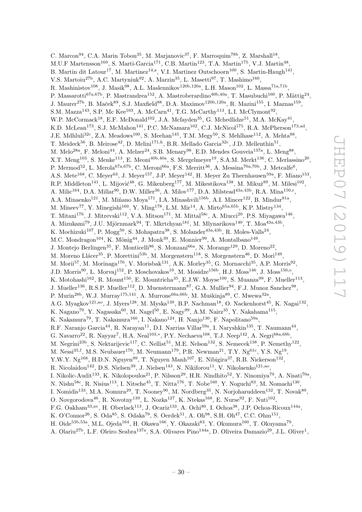C. Marcon<sup>94</sup>, C.A. Marin Tobon<sup>35</sup>, M. Marjanovic<sup>37</sup>, F. Marroquim<sup>78b</sup>, Z. Marshall<sup>18</sup>, M.U.F Martensson<sup>169</sup>, S. Marti-Garcia<sup>171</sup>, C.B. Martin<sup>123</sup>, T.A. Martin<sup>175</sup>, V.J. Martin<sup>48</sup>, B. Martin dit Latour<sup>17</sup>, M. Martinez<sup>14,z</sup>, V.I. Martinez Outschoorn<sup>100</sup>, S. Martin-Haugh<sup>141</sup>, V.S. Martoiu<sup>27b</sup>, A.C. Martyniuk<sup>92</sup>, A. Marzin<sup>35</sup>, L. Masetti<sup>97</sup>, T. Mashimo<sup>160</sup>, R. Mashinistov<sup>108</sup>, J. Masik<sup>98</sup>, A.L. Maslennikov<sup>120b,120a</sup>, L.H. Mason<sup>102</sup>, L. Massa<sup>71a,71b</sup>, P. Massarotti<sup>67a,67b</sup>, P. Mastrandrea<sup>152</sup>, A. Mastroberardino<sup>40b,40a</sup>, T. Masubuchi<sup>160</sup>, P. Mättig<sup>24</sup>, J. Maurer<sup>27b</sup>, B. Maček<sup>89</sup>, S.J. Maxfield<sup>88</sup>, D.A. Maximov<sup>120b,120a</sup>, R. Mazini<sup>155</sup>, I. Maznas<sup>159</sup>, S.M. Mazza<sup>143</sup>, S.P. Mc Kee<sup>103</sup>, A. McCarn<sup>41</sup>, T.G. McCarthy<sup>113</sup>, L.I. McClymont<sup>92</sup>, W.P. McCormack<sup>18</sup>, E.F. McDonald<sup>102</sup>, J.A. Mcfayden<sup>35</sup>, G. Mchedlidze<sup>51</sup>, M.A. McKay<sup>41</sup>, K.D. McLean<sup>173</sup>, S.J. McMahon<sup>141</sup>, P.C. McNamara<sup>102</sup>, C.J. McNicol<sup>175</sup>, R.A. McPherson<sup>173,ad</sup>, J.E. Mdhluli<sup>32c</sup>, Z.A. Meadows<sup>100</sup>, S. Meehan<sup>145</sup>, T.M. Megy<sup>50</sup>, S. Mehlhase<sup>112</sup>, A. Mehta<sup>88</sup>, T. Meideck<sup>56</sup>, B. Meirose<sup>42</sup>, D. Melini<sup>171,h</sup>, B.R. Mellado Garcia<sup>32c</sup>, J.D. Mellenthin<sup>51</sup>, M. Melo<sup>28a</sup>, F. Meloni<sup>44</sup>, A. Melzer<sup>24</sup>, S.B. Menary<sup>98</sup>, E.D. Mendes Gouveia<sup>137a</sup>, L. Meng<sup>88</sup>, X.T. Meng<sup>103</sup>, S. Menke<sup>113</sup>, E. Meoni<sup>40b,40a</sup>, S. Mergelmeyer<sup>19</sup>, S.A.M. Merkt<sup>136</sup>, C. Merlassino<sup>20</sup>, P. Mermod<sup>52</sup>, L. Merola<sup>67a,67b</sup>, C. Meroni<sup>66a</sup>, F.S. Merritt<sup>36</sup>, A. Messina<sup>70a,70b</sup>, J. Metcalfe<sup>6</sup>, A.S. Mete<sup>168</sup>, C. Meyer<sup>63</sup>, J. Meyer<sup>157</sup>, J-P. Meyer<sup>142</sup>, H. Meyer Zu Theenhausen<sup>59a</sup>, F. Miano<sup>153</sup>, R.P. Middleton<sup>141</sup>, L. Mijović<sup>48</sup>, G. Mikenberg<sup>177</sup>, M. Mikestikova<sup>138</sup>, M. Mikuž<sup>89</sup>, M. Milesi<sup>102</sup>, A. Milic<sup>164</sup>, D.A. Millar<sup>90</sup>, D.W. Miller<sup>36</sup>, A. Milov<sup>177</sup>, D.A. Milstead<sup>43a,43b</sup>, R.A. Mina<sup>150,r</sup>, A.A. Minaenko<sup>121</sup>, M. Miñano Moya<sup>171</sup>, I.A. Minashvili<sup>156b</sup>, A.I. Mincer<sup>122</sup>, B. Mindur<sup>81a</sup>, M. Mineev<sup>77</sup>, Y. Minegishi<sup>160</sup>, Y. Ming<sup>178</sup>, L.M. Mir<sup>14</sup>, A. Mirto<sup>65a,65b</sup>, K.P. Mistry<sup>134</sup>, T. Mitani<sup>176</sup>, J. Mitrevski<sup>112</sup>, V.A. Mitsou<sup>171</sup>, M. Mittal<sup>58c</sup>, A. Miucci<sup>20</sup>, P.S. Miyagawa<sup>146</sup>, A. Mizukami<sup>79</sup>, J.U. Mjörnmark<sup>94</sup>, T. Mkrtchyan<sup>181</sup>, M. Mlynarikova<sup>140</sup>, T. Moa<sup>43a,43b</sup>, K. Mochizuki<sup>107</sup>, P. Mogg<sup>50</sup>, S. Mohapatra<sup>38</sup>, S. Molander<sup>43a,43b</sup>, R. Moles-Valls<sup>24</sup>, M.C. Mondragon<sup>104</sup>, K. Mönig<sup>44</sup>, J. Monk<sup>39</sup>, E. Monnier<sup>99</sup>, A. Montalbano<sup>149</sup>, J. Montejo Berlingen<sup>35</sup>, F. Monticelli<sup>86</sup>, S. Monzani<sup>66a</sup>, N. Morange<sup>129</sup>, D. Moreno<sup>22</sup>, M. Moreno Llácer<sup>35</sup>, P. Morettini<sup>53b</sup>, M. Morgenstern<sup>118</sup>, S. Morgenstern<sup>46</sup>, D. Mori<sup>149</sup>, M. Morii<sup>57</sup>, M. Morinaga<sup>176</sup>, V. Morisbak<sup>131</sup>, A.K. Morley<sup>35</sup>, G. Mornacchi<sup>35</sup>, A.P. Morris<sup>92</sup>, J.D. Morris<sup>90</sup>, L. Morvaj<sup>152</sup>, P. Moschovakos<sup>10</sup>, M. Mosidze<sup>156b</sup>, H.J. Moss<sup>146</sup>, J. Moss<sup>150,0</sup>, K. Motohashi<sup>162</sup>, R. Mount<sup>150</sup>, E. Mountricha<sup>35</sup>, E.J.W. Moyse<sup>100</sup>, S. Muanza<sup>99</sup>, F. Mueller<sup>113</sup>, J. Mueller<sup>136</sup>, R.S.P. Mueller<sup>112</sup>, D. Muenstermann<sup>87</sup>, G.A. Mullier<sup>94</sup>, F.J. Munoz Sanchez<sup>98</sup>, P. Murin<sup>28b</sup>, W.J. Murray<sup>175,141</sup>, A. Murrone<sup>66a,66b</sup>, M. Muškinja<sup>89</sup>, C. Mwewa<sup>32a</sup>, A.G. Myagkov<sup>121,ao</sup>, J. Myers<sup>128</sup>, M. Myska<sup>139</sup>, B.P. Nachman<sup>18</sup>, O. Nackenhorst<sup>45</sup>, K. Nagai<sup>132</sup>, K. Nagano<sup>79</sup>, Y. Nagasaka<sup>60</sup>, M. Nagel<sup>50</sup>, E. Nagy<sup>99</sup>, A.M. Nairz<sup>35</sup>, Y. Nakahama<sup>115</sup>, K. Nakamura<sup>79</sup>, T. Nakamura<sup>160</sup>, I. Nakano<sup>124</sup>, H. Nanjo<sup>130</sup>, F. Napolitano<sup>59a</sup>, R.F. Naranjo Garcia<sup>44</sup>, R. Narayan<sup>11</sup>, D.I. Narrias Villar<sup>59a</sup>, I. Naryshkin<sup>135</sup>, T. Naumann<sup>44</sup>, G. Navarro<sup>22</sup>, R. Nayyar<sup>7</sup>, H.A. Neal<sup>103,\*</sup>, P.Y. Nechaeva<sup>108</sup>, T.J. Neep<sup>142</sup>, A. Negri<sup>68a,68b</sup>, M. Negrini<sup>23b</sup>, S. Nektarijevic<sup>117</sup>, C. Nellist<sup>51</sup>, M.E. Nelson<sup>132</sup>, S. Nemecek<sup>138</sup>, P. Nemethy<sup>122</sup>, M. Nessi<sup>35,f</sup>, M.S. Neubauer<sup>170</sup>, M. Neumann<sup>179</sup>, P.R. Newman<sup>21</sup>, T.Y. Ng<sup>61c</sup>, Y.S. Ng<sup>19</sup>, Y.W.Y. Ng<sup>168</sup>, H.D.N. Nguyen<sup>99</sup>, T. Nguyen Manh<sup>107</sup>, E. Nibigira<sup>37</sup>, R.B. Nickerson<sup>132</sup>, R. Nicolaidou $^{142}$ , D.S. Nielsen $^{39}$ , J. Nielsen $^{143}$ , N. Nikiforou $^{11}$ , V. Nikolaenko $^{121,aa}$ , I. Nikolic-Audit<sup>133</sup>, K. Nikolopoulos<sup>21</sup>, P. Nilsson<sup>29</sup>, H.R. Nindhito<sup>52</sup>, Y. Ninomiya<sup>79</sup>, A. Nisati<sup>70a</sup>, N. Nishu<sup>58c</sup>, R. Nisius<sup>113</sup>, I. Nitsche<sup>45</sup>, T. Nitta<sup>176</sup>, T. Nobe<sup>160</sup>, Y. Noguchi<sup>83</sup>, M. Nomachi<sup>130</sup>, I. Nomidis<sup>133</sup>, M.A. Nomura<sup>29</sup>, T. Nooney<sup>90</sup>, M. Nordberg<sup>35</sup>, N. Norjoharuddeen<sup>132</sup>, T. Novak<sup>89</sup>, O. Novgorodova<sup>46</sup>, R. Novotny<sup>139</sup>, L. Nozka<sup>127</sup>, K. Ntekas<sup>168</sup>, E. Nurse<sup>92</sup>, F. Nuti<sup>102</sup>, F.G. Oakham<sup>33,av</sup>, H. Oberlack<sup>113</sup>, J. Ocariz<sup>133</sup>, A. Ochi<sup>80</sup>, I. Ochoa<sup>38</sup>, J.P. Ochoa-Ricoux<sup>144a</sup>, K. O'Connor<sup>26</sup>, S. Oda<sup>85</sup>, S. Odaka<sup>79</sup>, S. Oerdek<sup>51</sup>, A. Oh<sup>98</sup>, S.H. Oh<sup>47</sup>, C.C. Ohm<sup>151</sup>, H. Oide<sup>53b,53a</sup>, M.L. Ojeda<sup>164</sup>, H. Okawa<sup>166</sup>, Y. Okazaki<sup>83</sup>, Y. Okumura<sup>160</sup>, T. Okuyama<sup>79</sup>,

A. Olariu<sup>27b</sup>, L.F. Oleiro Seabra<sup>137a</sup>, S.A. Olivares Pino<sup>144a</sup>, D. Oliveira Damazio<sup>29</sup>, J.L. Oliver<sup>1</sup>,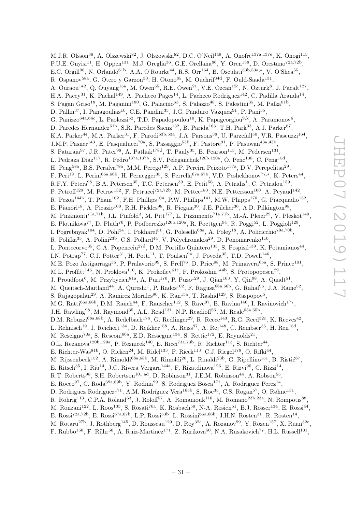M.J.R. Olsson<sup>36</sup>, A. Olszewski<sup>82</sup>, J. Olszowska<sup>82</sup>, D.C. O'Neil<sup>149</sup>, A. Onofre<sup>137a,137e</sup>, K. Onogi<sup>115</sup>, P.U.E. Onyisi<sup>11</sup>, H. Oppen<sup>131</sup>, M.J. Oreglia<sup>36</sup>, G.E. Orellana<sup>86</sup>, Y. Oren<sup>158</sup>, D. Orestano<sup>72a,72b</sup>, E.C. Orgill<sup>98</sup>, N. Orlando<sup>61b</sup>, A.A. O'Rourke<sup>44</sup>, R.S. Orr<sup>164</sup>, B. Osculati<sup>53b,53a,\*</sup>, V. O'Shea<sup>55</sup>, R. Ospanov<sup>58a</sup>, G. Otero y Garzon<sup>30</sup>, H. Otono<sup>85</sup>, M. Ouchrif<sup>34d</sup>, F. Ould-Saada<sup>131</sup>, A. Ouraou<sup>142</sup>, Q. Ouyang<sup>15a</sup>, M. Owen<sup>55</sup>, R.E. Owen<sup>21</sup>, V.E. Ozcan<sup>12c</sup>, N. Ozturk<sup>8</sup>, J. Pacalt<sup>127</sup>, H.A. Pacey<sup>31</sup>, K. Pachal<sup>149</sup>, A. Pacheco Pages<sup>14</sup>, L. Pacheco Rodriguez<sup>142</sup>, C. Padilla Aranda<sup>14</sup>, S. Pagan Griso<sup>18</sup>, M. Paganini<sup>180</sup>, G. Palacino<sup>63</sup>, S. Palazzo<sup>48</sup>, S. Palestini<sup>35</sup>, M. Palka<sup>81b</sup>, D. Pallin<sup>37</sup>, I. Panagoulias<sup>10</sup>, C.E. Pandini<sup>35</sup>, J.G. Panduro Vazquez<sup>91</sup>, P. Pani<sup>35</sup>, G. Panizzo<sup>64a,64c</sup>, L. Paolozzi<sup>52</sup>, T.D. Papadopoulou<sup>10</sup>, K. Papageorgiou<sup>9,k</sup>, A. Paramonov<sup>6</sup>, D. Paredes Hernandez<sup>61b</sup>, S.R. Paredes Saenz<sup>132</sup>, B. Parida<sup>163</sup>, T.H. Park<sup>33</sup>, A.J. Parker<sup>87</sup>, K.A. Parker<sup>44</sup>, M.A. Parker<sup>31</sup>, F. Parodi<sup>53b,53a</sup>, J.A. Parsons<sup>38</sup>, U. Parzefall<sup>50</sup>, V.R. Pascuzzi<sup>164</sup>, J.M.P. Pasner<sup>143</sup>, E. Pasqualucci<sup>70a</sup>, S. Passaggio<sup>53b</sup>, F. Pastore<sup>91</sup>, P. Pasuwan<sup>43a,43b</sup>, S. Pataraia<sup>97</sup>, J.R. Pater<sup>98</sup>, A. Pathak<sup>178, 1</sup>, T. Pauly<sup>35</sup>, B. Pearson<sup>113</sup>, M. Pedersen<sup>131</sup>, L. Pedraza Diaz<sup>117</sup>, R. Pedro<sup>137a,137b</sup>, S.V. Peleganchuk<sup>120b,120a</sup>, O. Penc<sup>138</sup>, C. Peng<sup>15d</sup>, H. Peng<sup>58a</sup>, B.S. Peralva<sup>78a</sup>, M.M. Perego<sup>129</sup>, A.P. Pereira Peixoto<sup>137a</sup>, D.V. Perepelitsa<sup>29</sup>, F. Peri<sup>19</sup>, L. Perini<sup>66a,66b</sup>, H. Pernegger<sup>35</sup>, S. Perrella<sup>67a,67b</sup>, V.D. Peshekhonov<sup>77,\*</sup>, K. Peters<sup>44</sup>, R.F.Y. Peters<sup>98</sup>, B.A. Petersen<sup>35</sup>, T.C. Petersen<sup>39</sup>, E. Petit<sup>56</sup>, A. Petridis<sup>1</sup>, C. Petridou<sup>159</sup>, P. Petroff<sup>129</sup>, M. Petrov<sup>132</sup>, F. Petrucci<sup>72a,72b</sup>, M. Pettee<sup>180</sup>, N.E. Pettersson<sup>100</sup>, A. Peyaud<sup>142</sup>, R. Pezoa<sup>144b</sup>, T. Pham<sup>102</sup>, F.H. Phillips<sup>104</sup>, P.W. Phillips<sup>141</sup>, M.W. Phipps<sup>170</sup>, G. Piacquadio<sup>152</sup>, E. Pianori<sup>18</sup>, A. Picazio<sup>100</sup>, R.H. Pickles<sup>98</sup>, R. Piegaia<sup>30</sup>, J.E. Pilcher<sup>36</sup>, A.D. Pilkington<sup>98</sup>, M. Pinamonti<sup>71a,71b</sup>, J.L. Pinfold<sup>3</sup>, M. Pitt<sup>177</sup>, L. Pizzimento<sup>71a,71b</sup>, M.-A. Pleier<sup>29</sup>, V. Pleskot<sup>140</sup>, E. Plotnikova<sup>77</sup>, D. Pluth<sup>76</sup>, P. Podberezko<sup>120b,120a</sup>, R. Poettgen<sup>94</sup>, R. Poggi<sup>52</sup>, L. Poggioli<sup>129</sup>, I. Pogrebnyak<sup>104</sup>, D. Pohl<sup>24</sup>, I. Pokharel<sup>51</sup>, G. Polesello<sup>68a</sup>, A. Poley<sup>18</sup>, A. Policicchio<sup>70a,70b</sup>, R. Polifka<sup>35</sup>, A. Polini<sup>23b</sup>, C.S. Pollard<sup>44</sup>, V. Polychronakos<sup>29</sup>, D. Ponomarenko<sup>110</sup>, L. Pontecorvo<sup>35</sup>, G.A. Popeneciu<sup>27d</sup>, D.M. Portillo Quintero<sup>133</sup>, S. Pospisil<sup>139</sup>, K. Potamianos<sup>44</sup>, I.N. Potrap<sup>77</sup>, C.J. Potter<sup>31</sup>, H. Potti<sup>11</sup>, T. Poulsen<sup>94</sup>, J. Poveda<sup>35</sup>, T.D. Powell<sup>146</sup>, M.E. Pozo Astigarraga<sup>35</sup>, P. Pralavorio<sup>99</sup>, S. Prell<sup>76</sup>, D. Price<sup>98</sup>, M. Primavera<sup>65a</sup>, S. Prince<sup>101</sup>, M.L. Proffitt<sup>145</sup>, N. Proklova<sup>110</sup>, K. Prokofiev<sup>61c</sup>, F. Prokoshin<sup>144b</sup>, S. Protopopescu<sup>29</sup>, J. Proudfoot<sup>6</sup>, M. Przybycien<sup>81a</sup>, A. Puri<sup>170</sup>, P. Puzo<sup>129</sup>, J. Qian<sup>103</sup>, Y. Qin<sup>98</sup>, A. Quadt<sup>51</sup>, M. Queitsch-Maitland<sup>44</sup>, A. Qureshi<sup>1</sup>, P. Rados<sup>102</sup>, F. Ragusa<sup>66a,66b</sup>, G. Rahal<sup>95</sup>, J.A. Raine<sup>52</sup>, S. Rajagopalan<sup>29</sup>, A. Ramirez Morales<sup>90</sup>, K. Ran<sup>15a</sup>, T. Rashid<sup>129</sup>, S. Raspopov<sup>5</sup>, M.G. Ratti<sup>66a,66b</sup>, D.M. Rauch<sup>44</sup>, F. Rauscher<sup>112</sup>, S. Rave<sup>97</sup>, B. Ravina<sup>146</sup>, I. Ravinovich<sup>177</sup>, J.H. Rawling<sup>98</sup>, M. Raymond<sup>35</sup>, A.L. Read<sup>131</sup>, N.P. Readioff<sup>56</sup>, M. Reale<sup>65a,65b</sup>, D.M. Rebuzzi<sup>68a,68b</sup>, A. Redelbach<sup>174</sup>, G. Redlinger<sup>29</sup>, R. Reece<sup>143</sup>, R.G. Reed<sup>32c</sup>, K. Reeves<sup>42</sup>, L. Rehnisch<sup>19</sup>, J. Reichert<sup>134</sup>, D. Reikher<sup>158</sup>, A. Reiss<sup>97</sup>, A. Rej<sup>148</sup>, C. Rembser<sup>35</sup>, H. Ren<sup>15d</sup>, M. Rescigno<sup>70a</sup>, S. Resconi<sup>66a</sup>, E.D. Resseguie<sup>134</sup>, S. Rettie<sup>172</sup>, E. Reynolds<sup>21</sup>, O.L. Rezanova<sup>120b,120a</sup>, P. Reznicek<sup>140</sup>, E. Ricci<sup>73a,73b</sup>, R. Richter<sup>113</sup>, S. Richter<sup>44</sup>, E. Richter-Was<sup>81b</sup>, O. Ricken<sup>24</sup>, M. Ridel<sup>133</sup>, P. Rieck<sup>113</sup>, C.J. Riegel<sup>179</sup>, O. Rifki<sup>44</sup>, M. Rijssenbeek<sup>152</sup>, A. Rimoldi<sup>68a,68b</sup>, M. Rimoldi<sup>20</sup>, L. Rinaldi<sup>23b</sup>, G. Ripellino<sup>151</sup>, B. Ristić<sup>87</sup>, E. Ritsch<sup>35</sup>, I. Riu<sup>14</sup>, J.C. Rivera Vergara<sup>144a</sup>, F. Rizatdinova<sup>126</sup>, E. Rizvi<sup>90</sup>, C. Rizzi<sup>14</sup>, R.T. Roberts<sup>98</sup>, S.H. Robertson<sup>101,ad</sup>, D. Robinson<sup>31</sup>, J.E.M. Robinson<sup>44</sup>, A. Robson<sup>55</sup>, E. Rocco<sup>97</sup>, C. Roda<sup>69a,69b</sup>, Y. Rodina<sup>99</sup>, S. Rodriguez Bosca<sup>171</sup>, A. Rodriguez Perez<sup>14</sup>, D. Rodriguez Rodriguez<sup>171</sup>, A.M. Rodríguez Vera<sup>165b</sup>, S. Roe<sup>35</sup>, C.S. Rogan<sup>57</sup>, O. Røhne<sup>131</sup>, R. Röhrig<sup>113</sup>, C.P.A. Roland<sup>63</sup>, J. Roloff<sup>57</sup>, A. Romaniouk<sup>110</sup>, M. Romano<sup>23b,23a</sup>, N. Rompotis<sup>88</sup>, M. Ronzani<sup>122</sup>, L. Roos<sup>133</sup>, S. Rosati<sup>70a</sup>, K. Rosbach<sup>50</sup>, N-A. Rosien<sup>51</sup>, B.J. Rosser<sup>134</sup>, E. Rossi<sup>44</sup>, E. Rossi<sup>72a,72b</sup>, E. Rossi<sup>67a,67b</sup>, L.P. Rossi<sup>53b</sup>, L. Rossini<sup>66a,66b</sup>, J.H.N. Rosten<sup>31</sup>, R. Rosten<sup>14</sup>, M. Rotaru<sup>27b</sup>, J. Rothberg<sup>145</sup>, D. Rousseau<sup>129</sup>, D. Roy<sup>32c</sup>, A. Rozanov<sup>99</sup>, Y. Rozen<sup>157</sup>, X. Ruan<sup>32c</sup>,

F. Rubbo<sup>150</sup>, F. Rühr<sup>50</sup>, A. Ruiz-Martinez<sup>171</sup>, Z. Rurikova<sup>50</sup>, N.A. Rusakovich<sup>77</sup>, H.L. Russell<sup>101</sup>,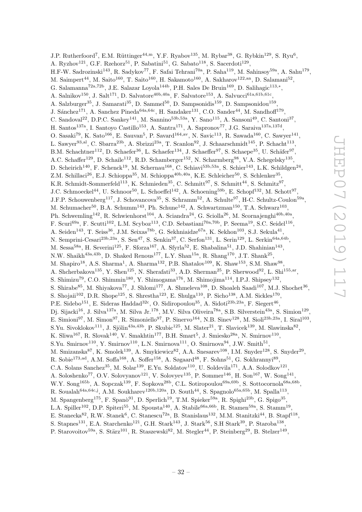J.P. Rutherfoord<sup>7</sup>, E.M. Rüttinger<sup>44,m</sup>, Y.F. Ryabov<sup>135</sup>, M. Rybar<sup>38</sup>, G. Rybkin<sup>129</sup>, S. Ryu<sup>6</sup>, A. Ryzhov<sup>121</sup>, G.F. Rzehorz<sup>51</sup>, P. Sabatini<sup>51</sup>, G. Sabato<sup>118</sup>, S. Sacerdoti<sup>129</sup>, H.F-W. Sadrozinski<sup>143</sup>, R. Sadykov<sup>77</sup>, F. Safai Tehrani<sup>70a</sup>, P. Saha<sup>119</sup>, M. Sahinsoy<sup>59a</sup>, A. Sahu<sup>179</sup>, M. Saimpert<sup>44</sup>, M. Saito<sup>160</sup>, T. Saito<sup>160</sup>, H. Sakamoto<sup>160</sup>, A. Sakharov<sup>122,an</sup>, D. Salamani<sup>52</sup>, G. Salamanna<sup>72a,72b</sup>, J.E. Salazar Loyola<sup>144b</sup>, P.H. Sales De Bruin<sup>169</sup>, D. Salihagic<sup>113,\*</sup>, A. Salnikov<sup>150</sup>, J. Salt<sup>171</sup>, D. Salvatore<sup>40b,40a</sup>, F. Salvatore<sup>153</sup>, A. Salvucci<sup>61a,61b,61c</sup>, A. Salzburger<sup>35</sup>, J. Samarati<sup>35</sup>, D. Sammel<sup>50</sup>, D. Sampsonidis<sup>159</sup>, D. Sampsonidou<sup>159</sup>, J. Sánchez<sup>171</sup>, A. Sanchez Pineda<sup>64a,64c</sup>, H. Sandaker<sup>131</sup>, C.O. Sander<sup>44</sup>, M. Sandhoff<sup>179</sup>, C. Sandoval<sup>22</sup>, D.P.C. Sankey<sup>141</sup>, M. Sannino<sup>53b,53a</sup>, Y. Sano<sup>115</sup>, A. Sansoni<sup>49</sup>, C. Santoni<sup>37</sup>, H. Santos<sup>137a</sup>, I. Santoyo Castillo<sup>153</sup>, A. Santra<sup>171</sup>, A. Sapronov<sup>77</sup>, J.G. Saraiva<sup>137a,137d</sup>, O. Sasaki<sup>79</sup>, K. Sato<sup>166</sup>, E. Sauvan<sup>5</sup>, P. Savard<sup>164,av</sup>, N. Savic<sup>113</sup>, R. Sawada<sup>160</sup>, C. Sawyer<sup>141</sup>, L. Sawyer<sup>93,al</sup>, C. Sbarra<sup>23b</sup>, A. Sbrizzi<sup>23a</sup>, T. Scanlon<sup>92</sup>, J. Schaarschmidt<sup>145</sup>, P. Schacht<sup>113</sup>, B.M. Schachtner<sup>112</sup>, D. Schaefer<sup>36</sup>, L. Schaefer<sup>134</sup>, J. Schaeffer<sup>97</sup>, S. Schaepe<sup>35</sup>, U. Schäfer<sup>97</sup>, A.C. Schaffer<sup>129</sup>, D. Schaile<sup>112</sup>, R.D. Schamberger<sup>152</sup>, N. Scharmberg<sup>98</sup>, V.A. Schegelsky<sup>135</sup>, D. Scheirich<sup>140</sup>, F. Schenck<sup>19</sup>, M. Schernau<sup>168</sup>, C. Schiavi<sup>53b,53a</sup>, S. Schier<sup>143</sup>, L.K. Schildgen<sup>24</sup>, Z.M. Schillaci<sup>26</sup>, E.J. Schioppa<sup>35</sup>, M. Schioppa<sup>40b,40a</sup>, K.E. Schleicher<sup>50</sup>, S. Schlenker<sup>35</sup>, K.R. Schmidt-Sommerfeld<sup>113</sup>, K. Schmieden<sup>35</sup>, C. Schmitt<sup>97</sup>, S. Schmitt<sup>44</sup>, S. Schmitz<sup>97</sup>, J.C. Schmoeckel<sup>44</sup>, U. Schnoor<sup>50</sup>, L. Schoeffel<sup>142</sup>, A. Schoening<sup>59b</sup>, E. Schopf<sup>132</sup>, M. Schott<sup>97</sup>, J.F.P. Schouwenberg<sup>117</sup>, J. Schovancova<sup>35</sup>, S. Schramm<sup>52</sup>, A. Schulte<sup>97</sup>, H-C. Schultz-Coulon<sup>59a</sup>, M. Schumacher<sup>50</sup>, B.A. Schumm<sup>143</sup>, Ph. Schune<sup>142</sup>, A. Schwartzman<sup>150</sup>, T.A. Schwarz<sup>103</sup>, Ph. Schwemling<sup>142</sup>, R. Schwienhorst<sup>104</sup>, A. Sciandra<sup>24</sup>, G. Sciolla<sup>26</sup>, M. Scornajenghi<sup>40b,40a</sup>, F. Scuri<sup>69a</sup>, F. Scutti<sup>102</sup>, L.M. Scyboz<sup>113</sup>, C.D. Sebastiani<sup>70a,70b</sup>, P. Seema<sup>19</sup>, S.C. Seidel<sup>116</sup>, A. Seiden<sup>143</sup>, T. Seiss<sup>36</sup>, J.M. Seixas<sup>78b</sup>, G. Sekhniaidze<sup>67a</sup>, K. Sekhon<sup>103</sup>, S.J. Sekula<sup>41</sup>, N. Semprini-Cesari<sup>23b,23a</sup>, S. Sen<sup>47</sup>, S. Senkin<sup>37</sup>, C. Serfon<sup>131</sup>, L. Serin<sup>129</sup>, L. Serkin<sup>64a,64b</sup>, M. Sessa<sup>58a</sup>, H. Severini<sup>125</sup>, F. Sforza<sup>167</sup>, A. Sfyrla<sup>52</sup>, E. Shabalina<sup>51</sup>, J.D. Shahinian<sup>143</sup>, N.W. Shaikh<sup>43a,43b</sup>, D. Shaked Renous<sup>177</sup>, L.Y. Shan<sup>15a</sup>, R. Shang<sup>170</sup>, J.T. Shank<sup>25</sup>, M. Shapiro<sup>18</sup>, A.S. Sharma<sup>1</sup>, A. Sharma<sup>132</sup>, P.B. Shatalov<sup>109</sup>, K. Shaw<sup>153</sup>, S.M. Shaw<sup>98</sup>, A. Shcherbakova<sup>135</sup>, Y. Shen<sup>125</sup>, N. Sherafati<sup>33</sup>, A.D. Sherman<sup>25</sup>, P. Sherwood<sup>92</sup>, L. Shi<sup>155,ar</sup>, S. Shimizu<sup>79</sup>, C.O. Shimmin<sup>180</sup>, Y. Shimogama<sup>176</sup>, M. Shimojima<sup>114</sup>, I.P.J. Shipsey<sup>132</sup>, S. Shirabe<sup>85</sup>, M. Shiyakova<sup>77</sup>, J. Shlomi<sup>177</sup>, A. Shmeleva<sup>108</sup>, D. Shoaleh Saadi<sup>107</sup>, M.J. Shochet<sup>36</sup>, S. Shojaii<sup>102</sup>, D.R. Shope<sup>125</sup>, S. Shrestha<sup>123</sup>, E. Shulga<sup>110</sup>, P. Sicho<sup>138</sup>, A.M. Sickles<sup>170</sup>, P.E. Sidebo<sup>151</sup>, E. Sideras Haddad<sup>32c</sup>, O. Sidiropoulou<sup>35</sup>, A. Sidoti<sup>23b,23a</sup>, F. Siegert<sup>46</sup>, Dj. Sijacki<sup>16</sup>, J. Silva<sup>137a</sup>, M. Silva Jr.<sup>178</sup>, M.V. Silva Oliveira<sup>78a</sup>, S.B. Silverstein<sup>43a</sup>, S. Simion<sup>129</sup>, E. Simioni<sup>97</sup>, M. Simon<sup>97</sup>, R. Simoniello<sup>97</sup>, P. Sinervo<sup>164</sup>, N.B. Sinev<sup>128</sup>, M. Sioli<sup>23b,23a</sup>, I. Siral<sup>103</sup>, S.Yu. Sivoklokov<sup>111</sup>, J. Sjölin<sup>43a,43b</sup>, P. Skubic<sup>125</sup>, M. Slater<sup>21</sup>, T. Slavicek<sup>139</sup>, M. Slawinska<sup>82</sup>, K. Sliwa<sup>167</sup>, R. Slovak<sup>140</sup>, V. Smakhtin<sup>177</sup>, B.H. Smart<sup>5</sup>, J. Smiesko<sup>28a</sup>, N. Smirnov<sup>110</sup>, S.Yu. Smirnov<sup>110</sup>, Y. Smirnov<sup>110</sup>, L.N. Smirnova<sup>111</sup>, O. Smirnova<sup>94</sup>, J.W. Smith<sup>51</sup>, M. Smizanska<sup>87</sup>, K. Smolek<sup>139</sup>, A. Smykiewicz<sup>82</sup>, A.A. Snesarev<sup>108</sup>, I.M. Snyder<sup>128</sup>, S. Snyder<sup>29</sup>, R. Sobie<sup>173,ad</sup>, A.M. Soffa<sup>168</sup>, A. Soffer<sup>158</sup>, A. Søgaard<sup>48</sup>, F. Sohns<sup>51</sup>, G. Sokhrannyi<sup>89</sup>, C.A. Solans Sanchez<sup>35</sup>, M. Solar<sup>139</sup>, E.Yu. Soldatov<sup>110</sup>, U. Soldevila<sup>171</sup>, A.A. Solodkov<sup>121</sup>, A. Soloshenko<sup>77</sup>, O.V. Solovyanov<sup>121</sup>, V. Solovyev<sup>135</sup>, P. Sommer<sup>146</sup>, H. Son<sup>167</sup>, W. Song<sup>141</sup>, W.Y. Song<sup>165b</sup>, A. Sopczak<sup>139</sup>, F. Sopkova<sup>28b</sup>, C.L. Sotiropoulou<sup>69a,69b</sup>, S. Sottocornola<sup>68a,68b</sup>, R. Soualah<sup>64a,64c,j</sup>, A.M. Soukharev<sup>120b,120a</sup>, D. South<sup>44</sup>, S. Spagnolo<sup>65a,65b</sup>, M. Spalla<sup>113</sup>, M. Spangenberg<sup>175</sup>, F. Spanò<sup>91</sup>, D. Sperlich<sup>19</sup>, T.M. Spieker<sup>59a</sup>, R. Spighi<sup>23b</sup>, G. Spigo<sup>35</sup>, L.A. Spiller<sup>102</sup>, D.P. Spiteri<sup>55</sup>, M. Spousta<sup>140</sup>, A. Stabile<sup>66a,66b</sup>, R. Stamen<sup>59a</sup>, S. Stamm<sup>19</sup>, E. Stanecka<sup>82</sup>, R.W. Stanek<sup>6</sup>, C. Stanescu<sup>72a</sup>, B. Stanislaus<sup>132</sup>, M.M. Stanitzki<sup>44</sup>, B. Stapf<sup>118</sup>, S. Stapnes<sup>131</sup>, E.A. Starchenko<sup>121</sup>, G.H. Stark<sup>143</sup>, J. Stark<sup>56</sup>, S.H Stark<sup>39</sup>, P. Staroba<sup>138</sup>,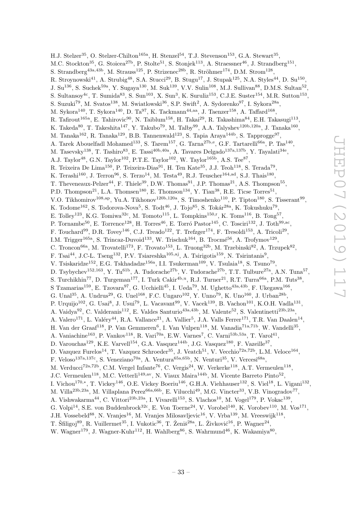H.J. Stelzer<sup>35</sup>, O. Stelzer-Chilton<sup>165a</sup>, H. Stenzel<sup>54</sup>, T.J. Stevenson<sup>153</sup>, G.A. Stewart<sup>35</sup>, M.C. Stockton<sup>35</sup>, G. Stoicea<sup>27b</sup>, P. Stolte<sup>51</sup>, S. Stonjek<sup>113</sup>, A. Straessner<sup>46</sup>, J. Strandberg<sup>151</sup>, S. Strandberg<sup>43a,43b</sup>, M. Strauss<sup>125</sup>, P. Strizenec<sup>28b</sup>, R. Ströhmer<sup>174</sup>, D.M. Strom<sup>128</sup>, R. Stroynowski<sup>41</sup>, A. Strubig<sup>48</sup>, S.A. Stucci<sup>29</sup>, B. Stugu<sup>17</sup>, J. Stupak<sup>125</sup>, N.A. Styles<sup>44</sup>, D. Su<sup>150</sup>, J. Su<sup>136</sup>, S. Suchek<sup>59a</sup>, Y. Sugaya<sup>130</sup>, M. Suk<sup>139</sup>, V.V. Sulin<sup>108</sup>, M.J. Sullivan<sup>88</sup>, D.M.S. Sultan<sup>52</sup>, S. Sultansoy<sup>4c</sup>, T. Sumida<sup>83</sup>, S. Sun<sup>103</sup>, X. Sun<sup>3</sup>, K. Suruliz<sup>153</sup>, C.J.E. Suster<sup>154</sup>, M.R. Sutton<sup>153</sup>, S. Suzuki<sup>79</sup>, M. Svatos<sup>138</sup>, M. Swiatlowski<sup>36</sup>, S.P. Swift<sup>2</sup>, A. Sydorenko<sup>97</sup>, I. Sykora<sup>28a</sup>, M. Sykora $^{140}$ , T. Sykora $^{140}$ , D. Ta $^{97}$ , K. Tackmann $^{44,aa}$ , J. Taenzer $^{158}$ , A. Taffard $^{168}$ , R. Tafirout<sup>165a</sup>, E. Tahirovic<sup>90</sup>, N. Taiblum<sup>158</sup>, H. Takai<sup>29</sup>, R. Takashima<sup>84</sup>, E.H. Takasugi<sup>113</sup>, K. Takeda<sup>80</sup>, T. Takeshita<sup>147</sup>, Y. Takubo<sup>79</sup>, M. Talby<sup>99</sup>, A.A. Talyshev<sup>120b,120a</sup>, J. Tanaka<sup>160</sup>, M. Tanaka<sup>162</sup>, R. Tanaka<sup>129</sup>, B.B. Tannenwald<sup>123</sup>, S. Tapia Araya<sup>144b</sup>, S. Tapprogge<sup>97</sup>, A. Tarek Abouelfadl Mohamed<sup>133</sup>, S. Tarem<sup>157</sup>, G. Tarna<sup>27b,e</sup>, G.F. Tartarelli<sup>66a</sup>, P. Tas<sup>140</sup>, M. Tasevsky<sup>138</sup>, T. Tashiro<sup>83</sup>, E. Tassi<sup>40b,40a</sup>, A. Tavares Delgado<sup>137a,137b</sup>, Y. Tayalati<sup>34e</sup>, A.J. Taylor<sup>48</sup>, G.N. Taylor<sup>102</sup>, P.T.E. Taylor<sup>102</sup>, W. Taylor<sup>165b</sup>, A.S. Tee<sup>87</sup>, R. Teixeira De Lima<sup>150</sup>, P. Teixeira-Dias<sup>91</sup>, H. Ten Kate<sup>35</sup>, J.J. Teoh<sup>118</sup>, S. Terada<sup>79</sup>, K. Terashi<sup>160</sup>, J. Terron<sup>96</sup>, S. Terzo<sup>14</sup>, M. Testa<sup>49</sup>, R.J. Teuscher<sup>164,ad</sup>, S.J. Thais<sup>180</sup>, T. Theveneaux-Pelzer<sup>44</sup>, F. Thiele<sup>39</sup>, D.W. Thomas<sup>91</sup>, J.P. Thomas<sup>21</sup>, A.S. Thompson<sup>55</sup>, P.D. Thompson<sup>21</sup>, L.A. Thomsen<sup>180</sup>, E. Thomson<sup>134</sup>, Y. Tian<sup>38</sup>, R.E. Ticse Torres<sup>51</sup>, V.O. Tikhomirov<sup>108,ap</sup>, Yu.A. Tikhonov<sup>120b,120a</sup>, S. Timoshenko<sup>110</sup>, P. Tipton<sup>180</sup>, S. Tisserant<sup>99</sup>, K. Todome $^{162}$ , S. Todorova-Nova $^5$ , S. Tod $t^{46}$ , J. Tojo $^{85}$ , S. Tokár $^{28a}$ , K. Tokushuku $^{79}$ , E. Tolley<sup>123</sup>, K.G. Tomiwa<sup>32c</sup>, M. Tomoto<sup>115</sup>, L. Tompkins<sup>150,r</sup>, K. Toms<sup>116</sup>, B. Tong<sup>57</sup>, P. Tornambe<sup>50</sup>, E. Torrence<sup>128</sup>, H. Torres<sup>46</sup>, E. Torró Pastor<sup>145</sup>, C. Tosciri<sup>132</sup>, J. Toth<sup>99,ac</sup>, F. Touchard<sup>99</sup>, D.R. Tovey<sup>146</sup>, C.J. Treado<sup>122</sup>, T. Trefzger<sup>174</sup>, F. Tresoldi<sup>153</sup>, A. Tricoli<sup>29</sup>, I.M. Trigger<sup>165a</sup>, S. Trincaz-Duvoid<sup>133</sup>, W. Trischuk<sup>164</sup>, B. Trocmé<sup>56</sup>, A. Trofymov<sup>129</sup>, C. Troncon<sup>66a</sup>, M. Trovatelli<sup>173</sup>, F. Trovato<sup>153</sup>, L. Truong<sup>32b</sup>, M. Trzebinski<sup>82</sup>, A. Trzupek<sup>82</sup>, F. Tsai<sup>44</sup>, J.C-L. Tseng<sup>132</sup>, P.V. Tsiareshka<sup>105,aj</sup>, A. Tsirigotis<sup>159</sup>, N. Tsirintanis<sup>9</sup>, V. Tsiskaridze<sup>152</sup>, E.G. Tskhadadze<sup>156a</sup>, I.I. Tsukerman<sup>109</sup>, V. Tsulaia<sup>18</sup>, S. Tsuno<sup>79</sup>, D. Tsybychev<sup>152,163</sup>, Y. Tu<sup>61b</sup>, A. Tudorache<sup>27b</sup>, V. Tudorache<sup>27b</sup>, T.T. Tulbure<sup>27a</sup>, A.N. Tuna<sup>57</sup>, S. Turchikhin<sup>77</sup>, D. Turgeman<sup>177</sup>, I. Turk Cakir<sup>4b,u</sup>, R.J. Turner<sup>21</sup>, R.T. Turra<sup>66a</sup>, P.M. Tuts<sup>38</sup>, S Tzamarias<sup>159</sup>, E. Tzovara<sup>97</sup>, G. Ucchielli<sup>45</sup>, I. Ueda<sup>79</sup>, M. Ughetto<sup>43a,43b</sup>, F. Ukegawa<sup>166</sup>, G. Unal<sup>35</sup>, A. Undrus<sup>29</sup>, G. Unel<sup>168</sup>, F.C. Ungaro<sup>102</sup>, Y. Unno<sup>79</sup>, K. Uno<sup>160</sup>, J. Urban<sup>28b</sup>, P. Urquijo<sup>102</sup>, G. Usai<sup>8</sup>, J. Usui<sup>79</sup>, L. Vacavant<sup>99</sup>, V. Vacek<sup>139</sup>, B. Vachon<sup>101</sup>, K.O.H. Vadla<sup>131</sup>, A. Vaidya<sup>92</sup>, C. Valderanis<sup>112</sup>, E. Valdes Santurio<sup>43a, 43b</sup>, M. Valente<sup>52</sup>, S. Valentinetti<sup>23b, 23a</sup>, A. Valero<sup>171</sup>, L. Valéry<sup>44</sup>, R.A. Vallance<sup>21</sup>, A. Vallier<sup>5</sup>, J.A. Valls Ferrer<sup>171</sup>, T.R. Van Daalen<sup>14</sup>, H. Van der Graaf<sup>118</sup>, P. Van Gemmeren<sup>6</sup>, I. Van Vulpen<sup>118</sup>, M. Vanadia<sup>71a,71b</sup>, W. Vandelli<sup>35</sup>, A. Vaniachine<sup>163</sup>, P. Vankov<sup>118</sup>, R. Vari<sup>70a</sup>, E.W. Varnes<sup>7</sup>, C. Varni<sup>53b,53a</sup>, T. Varol<sup>41</sup>, D. Varouchas<sup>129</sup>, K.E. Varvell<sup>154</sup>, G.A. Vasquez<sup>144b</sup>, J.G. Vasquez<sup>180</sup>, F. Vazeille<sup>37</sup>, D. Vazquez Furelos<sup>14</sup>, T. Vazquez Schroeder<sup>35</sup>, J. Veatch<sup>51</sup>, V. Vecchio<sup>72a,72b</sup>, L.M. Veloce<sup>164</sup>, F. Veloso<sup>137a,137c</sup>, S. Veneziano<sup>70a</sup>, A. Ventura<sup>65a,65b</sup>, N. Venturi<sup>35</sup>, V. Vercesi<sup>68a</sup>, M. Verducci<sup>72a,72b</sup>, C.M. Vergel Infante<sup>76</sup>, C. Vergis<sup>24</sup>, W. Verkerke<sup>118</sup>, A.T. Vermeulen<sup>118</sup>, J.C. Vermeulen<sup>118</sup>, M.C. Vetterli<sup>149,av</sup>, N. Viaux Maira<sup>144b</sup>, M. Vicente Barreto Pinto<sup>52</sup>, I. Vichou<sup>170,∗</sup>, T. Vickey<sup>146</sup>, O.E. Vickey Boeriu<sup>146</sup>, G.H.A. Viehhauser<sup>132</sup>, S. Viel<sup>18</sup>, L. Vigani<sup>132</sup>, M. Villa<sup>23b,23a</sup>, M. Villaplana Perez<sup>66a,66b</sup>, E. Vilucchi<sup>49</sup>, M.G. Vincter<sup>33</sup>, V.B. Vinogradov<sup>77</sup>, A. Vishwakarma<sup>44</sup>, C. Vittori<sup>23b,23a</sup>, I. Vivarelli<sup>153</sup>, S. Vlachos<sup>10</sup>, M. Vogel<sup>179</sup>, P. Vokac<sup>139</sup>, G. Volpi<sup>14</sup>, S.E. von Buddenbrock<sup>32c</sup>, E. Von Toerne<sup>24</sup>, V. Vorobel<sup>140</sup>, K. Vorobev<sup>110</sup>, M. Vos<sup>171</sup>, J.H. Vossebeld<sup>88</sup>, N. Vranjes<sup>16</sup>, M. Vranjes Milosavljevic<sup>16</sup>, V. Vrba<sup>139</sup>, M. Vreeswijk<sup>118</sup>,

T. Šfiligoj<sup>89</sup>, R. Vuillermet<sup>35</sup>, I. Vukotic<sup>36</sup>, T. Ženiš<sup>28a</sup>, L. Živković<sup>16</sup>, P. Wagner<sup>24</sup>,

W. Wagner<sup>179</sup>, J. Wagner-Kuhr<sup>112</sup>, H. Wahlberg<sup>86</sup>, S. Wahrmund<sup>46</sup>, K. Wakamiya<sup>80</sup>,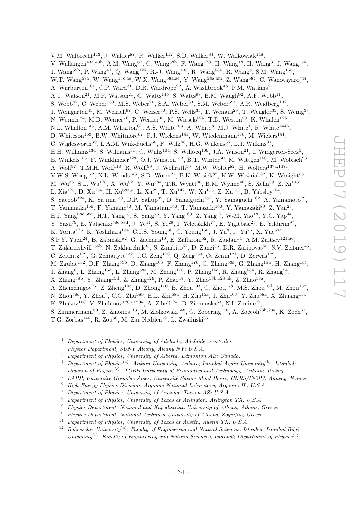V.M. Walbrecht<sup>113</sup>, J. Walder<sup>87</sup>, R. Walker<sup>112</sup>, S.D. Walker<sup>91</sup>, W. Walkowiak<sup>148</sup>, V. Wallangen<sup>43a,43b</sup>, A.M. Wang<sup>57</sup>, C. Wang<sup>58b</sup>, F. Wang<sup>178</sup>, H. Wang<sup>18</sup>, H. Wang<sup>3</sup>, J. Wang<sup>154</sup>, J. Wang<sup>59b</sup>, P. Wang<sup>41</sup>, Q. Wang<sup>125</sup>, R.-J. Wang<sup>133</sup>, R. Wang<sup>58a</sup>, R. Wang<sup>6</sup>, S.M. Wang<sup>155</sup>, W.T. Wang<sup>58a</sup>, W. Wang<sup>15c,ae</sup>, W.X. Wang<sup>58a,ae</sup>, Y. Wang<sup>58a,am</sup>, Z. Wang<sup>58c</sup>, C. Wanotayaroj<sup>44</sup>, A. Warburton<sup>101</sup>, C.P. Ward<sup>31</sup>, D.R. Wardrope<sup>92</sup>, A. Washbrook<sup>48</sup>, P.M. Watkins<sup>21</sup>, A.T. Watson<sup>21</sup>, M.F. Watson<sup>21</sup>, G. Watts<sup>145</sup>, S. Watts<sup>98</sup>, B.M. Waugh<sup>92</sup>, A.F. Webb<sup>11</sup>, S. Webb<sup>97</sup>, C. Weber<sup>180</sup>, M.S. Weber<sup>20</sup>, S.A. Weber<sup>33</sup>, S.M. Weber<sup>59a</sup>, A.R. Weidberg<sup>132</sup>, J. Weingarten<sup>45</sup>, M. Weirich<sup>97</sup>, C. Weiser<sup>50</sup>, P.S. Wells<sup>35</sup>, T. Wenaus<sup>29</sup>, T. Wengler<sup>35</sup>, S. Wenig<sup>35</sup>, N. Wermes<sup>24</sup>, M.D. Werner<sup>76</sup>, P. Werner<sup>35</sup>, M. Wessels<sup>59a</sup>, T.D. Weston<sup>20</sup>, K. Whalen<sup>128</sup>, N.L. Whallon<sup>145</sup>, A.M. Wharton<sup>87</sup>, A.S. White<sup>103</sup>, A. White<sup>8</sup>, M.J. White<sup>1</sup>, R. White<sup>144b</sup>, D. Whiteson<sup>168</sup>, B.W. Whitmore<sup>87</sup>, F.J. Wickens<sup>141</sup>, W. Wiedenmann<sup>178</sup>, M. Wielers<sup>141</sup>, C. Wiglesworth<sup>39</sup>, L.A.M. Wiik-Fuchs<sup>50</sup>, F. Wilk<sup>98</sup>, H.G. Wilkens<sup>35</sup>, L.J. Wilkins<sup>91</sup>, H.H. Williams<sup>134</sup>, S. Williams<sup>31</sup>, C. Willis<sup>104</sup>, S. Willocq<sup>100</sup>, J.A. Wilson<sup>21</sup>, I. Wingerter-Seez<sup>5</sup>, E. Winkels<sup>153</sup>, F. Winklmeier<sup>128</sup>, O.J. Winston<sup>153</sup>, B.T. Winter<sup>50</sup>, M. Wittgen<sup>150</sup>, M. Wobisch<sup>93</sup>, A. Wolf<sup>97</sup>, T.M.H. Wolf<sup>118</sup>, R. Wolff<sup>99</sup>, J. Wollrath<sup>50</sup>, M.W. Wolter<sup>82</sup>, H. Wolters<sup>137a,137c</sup>, V.W.S. Wong<sup>172</sup>, N.L. Woods<sup>143</sup>, S.D. Worm<sup>21</sup>, B.K. Wosiek<sup>82</sup>, K.W. Woźniak<sup>82</sup>, K. Wraight<sup>55</sup>, M. Wu<sup>36</sup>, S.L. Wu<sup>178</sup>, X. Wu<sup>52</sup>, Y. Wu<sup>58a</sup>, T.R. Wyatt<sup>98</sup>, B.M. Wynne<sup>48</sup>, S. Xella<sup>39</sup>, Z. Xi<sup>103</sup>, L. Xia<sup>175</sup>, D. Xu<sup>15a</sup>, H. Xu<sup>58a,e</sup>, L. Xu<sup>29</sup>, T. Xu<sup>142</sup>, W. Xu<sup>103</sup>, Z. Xu<sup>150</sup>, B. Yabsley<sup>154</sup>, S. Yacoob<sup>32a</sup>, K. Yajima<sup>130</sup>, D.P. Yallup<sup>92</sup>, D. Yamaguchi<sup>162</sup>, Y. Yamaguchi<sup>162</sup>, A. Yamamoto<sup>79</sup>, T. Yamanaka<sup>160</sup>, F. Yamane<sup>80</sup>, M. Yamatani<sup>160</sup>, T. Yamazaki<sup>160</sup>, Y. Yamazaki<sup>80</sup>, Z. Yan<sup>25</sup>, H.J. Yang<sup>58c,58d</sup>, H.T. Yang<sup>18</sup>, S. Yang<sup>75</sup>, Y. Yang<sup>160</sup>, Z. Yang<sup>17</sup>, W-M. Yao<sup>18</sup>, Y.C. Yap<sup>44</sup>, Y. Yasu<sup>79</sup>, E. Yatsenko<sup>58c,58d</sup>, J. Ye<sup>41</sup>, S. Ye<sup>29</sup>, I. Yeletskikh<sup>77</sup>, E. Yigitbasi<sup>25</sup>, E. Yildirim<sup>97</sup>, K. Yorita<sup>176</sup>, K. Yoshihara<sup>134</sup>, C.J.S. Young<sup>35</sup>, C. Young<sup>150</sup>, J. Yu<sup>8</sup>, J. Yu<sup>76</sup>, X. Yue<sup>59a</sup>, S.P.Y. Yuen<sup>24</sup>, B. Zabinski<sup>82</sup>, G. Zacharis<sup>10</sup>, E. Zaffaroni<sup>52</sup>, R. Zaidan<sup>14</sup>, A.M. Zaitsev<sup>121,ao</sup>, T. Zakareishvili<sup>156b</sup>, N. Zakharchuk<sup>33</sup>, S. Zambito<sup>57</sup>, D. Zanzi<sup>35</sup>, D.R. Zaripovas<sup>55</sup>, S.V. Zeißner<sup>45</sup>, C. Zeitnitz<sup>179</sup>, G. Zemaityte<sup>132</sup>, J.C. Zeng<sup>170</sup>, Q. Zeng<sup>150</sup>, O. Zenin<sup>121</sup>, D. Zerwas<sup>129</sup>, M. Zgubič<sup>132</sup>, D.F. Zhang<sup>58b</sup>, D. Zhang<sup>103</sup>, F. Zhang<sup>178</sup>, G. Zhang<sup>58a</sup>, G. Zhang<sup>15b</sup>, H. Zhang<sup>15c</sup>, J. Zhang $^6$ , L. Zhang $^{15c}$ , L. Zhang $^{58a}$ , M. Zhang $^{170}$ , P. Zhang $^{15c}$ , R. Zhang $^{58a}$ , R. Zhang $^{24}$ , X. Zhang<sup>58b</sup>, Y. Zhang<sup>15d</sup>, Z. Zhang<sup>129</sup>, P. Zhao<sup>47</sup>, Y. Zhao<sup>58b,129,ak</sup>, Z. Zhao<sup>58a</sup>, A. Zhemchugov<sup>77</sup>, Z. Zheng<sup>103</sup>, D. Zhong<sup>170</sup>, B. Zhou<sup>103</sup>, C. Zhou<sup>178</sup>, M.S. Zhou<sup>15d</sup>, M. Zhou<sup>152</sup>, N. Zhou<sup>58c</sup>, Y. Zhou<sup>7</sup>, C.G. Zhu<sup>58b</sup>, H.L. Zhu<sup>58a</sup>, H. Zhu<sup>15a</sup>, J. Zhu<sup>103</sup>, Y. Zhu<sup>58a</sup>, X. Zhuang<sup>15a</sup>, K. Zhukov<sup>108</sup>, V. Zhulanov<sup>120b,120a</sup>, A. Zibell<sup>174</sup>, D. Zieminska<sup>63</sup>, N.I. Zimine<sup>77</sup>, S. Zimmermann<sup>50</sup>, Z. Zinonos<sup>113</sup>, M. Ziolkowski<sup>148</sup>, G. Zobernig<sup>178</sup>, A. Zoccoli<sup>23b,23a</sup>, K. Zoch<sup>51</sup>, T.G. Zorbas<sup>146</sup>, R. Zou<sup>36</sup>, M. Zur Nedden<sup>19</sup>, L. Zwalinski<sup>35</sup>

<sup>1</sup> Department of Physics, University of Adelaide, Adelaide; Australia.

- <sup>2</sup> Physics Department, SUNY Albany, Albany NY; U.S.A.
- <sup>3</sup> Department of Physics, University of Alberta, Edmonton AB; Canada.
- <sup>4</sup> Department of Physics<sup>(a)</sup>, Ankara University, Ankara; Istanbul Aydin University<sup>(b)</sup>, Istanbul; Division of Physics<sup>(c)</sup>, TOBB University of Economics and Technology, Ankara; Turkey.
- $5$  LAPP, Université Grenoble Alpes, Université Savoie Mont Blanc, CNRS/IN2P3, Annecy; France.
- <sup>6</sup> High Energy Physics Division, Argonne National Laboratory, Argonne IL; U.S.A.
- <sup>7</sup> Department of Physics, University of Arizona, Tucson AZ; U.S.A.
- <sup>8</sup> Department of Physics, University of Texas at Arlington, Arlington TX; U.S.A.
- <sup>9</sup> Physics Department, National and Kapodistrian University of Athens, Athens; Greece.
- $10$  Physics Department, National Technical University of Athens, Zografou; Greece.
- $11$  Department of Physics, University of Texas at Austin, Austin TX; U.S.A.
- <sup>12</sup> Bahcesehir University<sup>(a)</sup>, Faculty of Engineering and Natural Sciences, Istanbul; Istanbul Bilgi University<sup>(b)</sup>, Faculty of Engineering and Natural Sciences, Istanbul; Department of Physics<sup>(c)</sup>,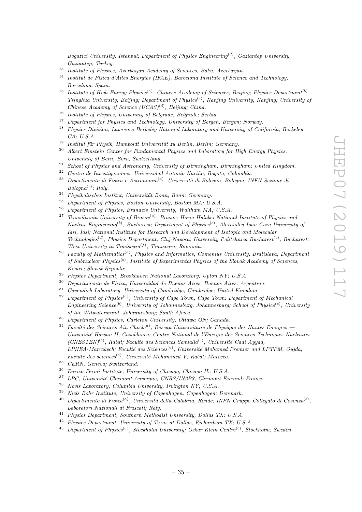Bogazici University, Istanbul; Department of Physics Engineering<sup>(d)</sup>, Gaziantep University, Gaziantep; Turkey.

- <sup>13</sup> Institute of Physics, Azerbaijan Academy of Sciences, Baku; Azerbaijan.
- <sup>14</sup> Institut de Física d'Altes Energies (IFAE), Barcelona Institute of Science and Technology, Barcelona; Spain.
- <sup>15</sup> Institute of High Energy Physics<sup>(a)</sup>, Chinese Academy of Sciences, Beijing; Physics Department<sup>(b)</sup>, Tsinghua University, Beijing; Department of Physics<sup>(c)</sup>, Nanjing University, Nanjing; University of Chinese Academy of Science  $(UCAS)^{(d)}$ , Beijing; China.
- <sup>16</sup> Institute of Physics, University of Belgrade, Belgrade; Serbia.
- <sup>17</sup> Department for Physics and Technology, University of Bergen, Bergen; Norway.
- <sup>18</sup> Physics Division, Lawrence Berkeley National Laboratory and University of California, Berkeley CA; U.S.A.
- $19$  Institut für Physik, Humboldt Universität zu Berlin, Berlin; Germany.
- $20$  Albert Einstein Center for Fundamental Physics and Laboratory for High Energy Physics, University of Bern, Bern; Switzerland.
- <sup>21</sup> School of Physics and Astronomy, University of Birmingham, Birmingham; United Kingdom.
- $22$  Centro de Investigaciónes, Universidad Antonio Nariño, Bogota; Colombia.
- <sup>23</sup> Dipartimento di Fisica e Astronomia<sup>(a)</sup>, Università di Bologna, Bologna; INFN Sezione di  $Bologna<sup>(b)</sup>; Italy.$
- $24$  Physikalisches Institut, Universität Bonn, Bonn; Germany.
- $^{25}$  Department of Physics, Boston University, Boston MA; U.S.A.
- $^{26}$  Department of Physics, Brandeis University, Waltham MA; U.S.A.
- <sup>27</sup> Transilvania University of Brasov<sup>(a)</sup>, Brasov; Horia Hulubei National Institute of Physics and Nuclear Engineering<sup>(b)</sup>, Bucharest; Department of Physics<sup>(c)</sup>, Alexandru Ioan Cuza University of Iasi, Iasi; National Institute for Research and Development of Isotopic and Molecular  $Technologies<sup>(d)</sup>, Physics Department, Cluj-Napoca; University Politehnica Bucharest<sup>(e)</sup>, Bucharest<sup>(e)</sup>,$ West University in Timisoara<sup>(f)</sup>, Timisoara; Romania.
- <sup>28</sup> Faculty of Mathematics<sup>(a)</sup>, Physics and Informatics, Comenius University, Bratislava; Department of Subnuclear Physics<sup>(b)</sup>, Institute of Experimental Physics of the Slovak Academy of Sciences, Kosice; Slovak Republic.
- $^{29}\,$  Physics Department, Brookhaven National Laboratory, Upton NY; U.S.A.
- $30$  Departamento de Física, Universidad de Buenos Aires, Buenos Aires; Argentina.
- <sup>31</sup> Cavendish Laboratory, University of Cambridge, Cambridge; United Kingdom.<br><sup>32</sup> Department of Physica<sup>(a)</sup>, University of Cane Teyro, Cane Teyro, Department.
- $32$  Department of Physics<sup>(a)</sup>, University of Cape Town, Cape Town; Department of Mechanical Engineering Science<sup>(b)</sup>, University of Johannesburg, Johannesburg; School of Physics<sup>(c)</sup>, University of the Witwatersrand, Johannesburg; South Africa.
- <sup>33</sup> Department of Physics, Carleton University, Ottawa ON; Canada.
- <sup>34</sup> Faculté des Sciences Ain Chock<sup>(a)</sup>, Réseau Universitaire de Physique des Hautes Energies Universit´e Hassan II, Casablanca; Centre National de l'Energie des Sciences Techniques Nucleaires  $(CNESTEN)^{(b)}$ , Rabat; Faculté des Sciences Semlalia<sup>(c)</sup>, Université Cadi Ayyad,  $LPHEA-Marrakech$ ; Faculté des Sciences<sup>(d)</sup>, Université Mohamed Premier and LPTPM, Oujda; Faculté des sciences<sup>(e)</sup>, Université Mohammed V, Rabat; Morocco.
- <sup>35</sup> CERN, Geneva; Switzerland.
- <sup>36</sup> Enrico Fermi Institute, University of Chicago, Chicago IL; U.S.A.
- <sup>37</sup> LPC, Université Clermont Auvergne, CNRS/IN2P3, Clermont-Ferrand; France.
- <sup>38</sup> Nevis Laboratory, Columbia University, Irvington NY; U.S.A.
- <sup>39</sup> Niels Bohr Institute, University of Copenhagen, Copenhagen; Denmark.
- <sup>40</sup> Dipartimento di Fisica<sup>(a)</sup>, Università della Calabria, Rende; INFN Gruppo Collegato di Cosenza<sup>(b)</sup>, Laboratori Nazionali di Frascati; Italy.
- <sup>41</sup> Physics Department, Southern Methodist University, Dallas TX; U.S.A.
- <sup>42</sup> Physics Department, University of Texas at Dallas, Richardson TX; U.S.A.
- <sup>43</sup> Department of Physics<sup>(a)</sup>, Stockholm University; Oskar Klein Centre<sup>(b)</sup>, Stockholm; Sweden.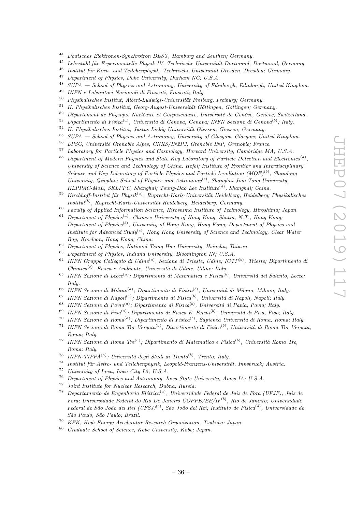- <sup>44</sup> Deutsches Elektronen-Synchrotron DESY, Hamburg and Zeuthen; Germany.
- $45$  Lehrstuhl für Experimentelle Physik IV, Technische Universität Dortmund, Dortmund; Germany.
- $^{46}$  Institut für Kern- und Teilchenphysik, Technische Universität Dresden, Dresden; Germany.
- <sup>47</sup> Department of Physics, Duke University, Durham NC; U.S.A.<br><sup>48</sup> SUPA School of Physics and Astronomy University of Edit
- <sup>48</sup> SUPA School of Physics and Astronomy, University of Edinburgh, Edinburgh; United Kingdom.
- <sup>49</sup> INFN e Laboratori Nazionali di Frascati, Frascati; Italy.
- <sup>50</sup> Physikalisches Institut, Albert-Ludwigs-Universität Freiburg, Freiburg; Germany.<br><sup>51</sup> H. Physikalisches Institute Germa Amerik Universität Göttingen Göttingen Germany.
- <sup>51</sup> II. Physikalisches Institut, Georg-August-Universität Göttingen, Göttingen; Germany.<br><sup>52</sup> Décembre 14 Physikalischer Marktigen ab Germany. Université de Guedra Garden.
- Département de Physique Nucléaire et Corpusculaire, Université de Genève, Genève; Switzerland.
- <sup>53</sup> Dipartimento di Fisica<sup>(a)</sup>, Università di Genova, Genova; INFN Sezione di Genova<sup>(b)</sup>; Italy.
- $^{54}$  II. Physikalisches Institut, Justus-Liebig-Universität Giessen, Giessen; Germany.<br> $^{55}$   $_{CIIDA}$  School of Physics and Actronomy. University of Glassey Glasseyy, University
- <sup>55</sup> SUPA School of Physics and Astronomy, University of Glasgow, Glasgow; United Kingdom.
- $56$  LPSC, Université Grenoble Alpes, CNRS/IN2P3, Grenoble INP, Grenoble; France.
- <sup>57</sup> Laboratory for Particle Physics and Cosmology, Harvard University, Cambridge MA; U.S.A.
- <sup>58</sup> Department of Modern Physics and State Key Laboratory of Particle Detection and Electronics<sup>(a)</sup>, University of Science and Technology of China, Hefei; Institute of Frontier and Interdisciplinary Science and Key Laboratory of Particle Physics and Particle Irradiation  $(MOE)^{(b)}$ , Shandong University, Qingdao; School of Physics and Astronomy<sup>(c)</sup>, Shanghai Jiao Tong University, KLPPAC-MoE, SKLPPC, Shanghai; Tsung-Dao Lee Institute<sup>(d)</sup>, Shanghai; China.
- $^{59}$  Kirchhoff-Institut für Physik<sup>(a)</sup>, Ruprecht-Karls-Universität Heidelberg, Heidelberg; Physikalisches  $Institut^{(b)}$ , Ruprecht-Karls-Universität Heidelberg, Heidelberg; Germany.
- <sup>60</sup> Faculty of Applied Information Science, Hiroshima Institute of Technology, Hiroshima; Japan.
- $61$  Department of Physics<sup>(a)</sup>, Chinese University of Hong Kong, Shatin, N.T., Hong Kong, Department of Physics<sup>(b)</sup>, University of Hong Kong, Hong Kong; Department of Physics and Institute for Advanced Study<sup>(c)</sup>, Hong Kong University of Science and Technology, Clear Water Bay, Kowloon, Hong Kong; China.
- <sup>62</sup> Department of Physics, National Tsing Hua University, Hsinchu; Taiwan.
- $63$  Department of Physics, Indiana University, Bloomington IN; U.S.A.
- <sup>64</sup> INFN Gruppo Collegato di Udine<sup>(a)</sup>, Sezione di Trieste, Udine; ICTP<sup>(b)</sup>, Trieste; Dipartimento di  $Chimica<sup>(c)</sup>, Fisica e Ambiente, Università di Udine, Udine; Italy.$
- <sup>65</sup> INFN Sezione di Lecce<sup>(a)</sup>; Dipartimento di Matematica e Fisica<sup>(b)</sup>, Università del Salento, Lecce; Italy.
- <sup>66</sup> INFN Sezione di Milano<sup>(a)</sup>; Dipartimento di Fisica<sup>(b)</sup>, Università di Milano, Milano; Italy.
- <sup>67</sup> INFN Sezione di Napoli<sup>(a)</sup>; Dipartimento di Fisica<sup>(b)</sup>, Università di Napoli, Napoli; Italy.
- <sup>68</sup> INFN Sezione di Pavia<sup>(a)</sup>; Dipartimento di Fisica<sup>(b)</sup>, Università di Pavia, Pavia; Italy.
- <sup>69</sup> INFN Sezione di Pisa<sup>(a)</sup>; Dipartimento di Fisica E. Fermi<sup>(b)</sup>, Università di Pisa, Pisa; Italy.
- <sup>70</sup> INFN Sezione di Roma<sup>(a)</sup>; Dipartimento di Fisica<sup>(b)</sup>, Sapienza Università di Roma, Roma; Italy.
- <sup>71</sup> INFN Sezione di Roma Tor Vergata<sup>(a)</sup>; Dipartimento di Fisica<sup>(b)</sup>, Università di Roma Tor Vergata, Roma; Italy.
- <sup>72</sup> INFN Sezione di Roma Tre<sup>(a)</sup>; Dipartimento di Matematica e Fisica<sup>(b)</sup>, Università Roma Tre, Roma; Italy.
- <sup>73</sup> INFN-TIFPA $^{(a)}$ ; Università degli Studi di Trento $^{(b)}$ , Trento; Italy.
- $74$  Institut für Astro- und Teilchenphysik, Leopold-Franzens-Universität, Innsbruck; Austria.
- <sup>75</sup> University of Iowa, Iowa City IA; U.S.A.
- $^{76}$  Department of Physics and Astronomy, Iowa State University, Ames IA; U.S.A.
- Joint Institute for Nuclear Research, Dubna; Russia.
- <sup>78</sup> Departamento de Engenharia Elétrica<sup>(a)</sup>, Universidade Federal de Juiz de Fora (UFJF), Juiz de Fora; Universidade Federal do Rio De Janeiro  $COPPE/EE/IF^{(b)}$ , Rio de Janeiro; Universidade Federal de São João del Rei (UFSJ)<sup>(c)</sup>, São João del Rei; Instituto de Física<sup>(d)</sup>, Universidade de S˜ao Paulo, S˜ao Paulo; Brazil.
- <sup>79</sup> KEK, High Energy Accelerator Research Organization, Tsukuba; Japan.
- <sup>80</sup> Graduate School of Science, Kobe University, Kobe; Japan.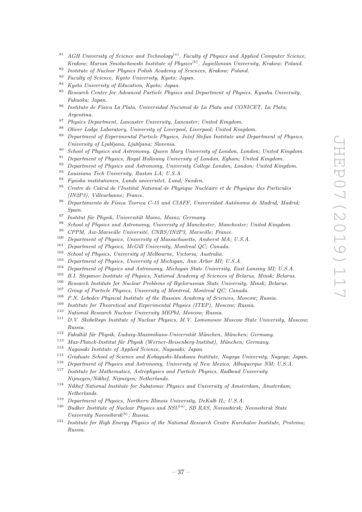- <sup>81</sup> AGH University of Science and Technology<sup>(a)</sup>, Faculty of Physics and Applied Computer Science, Krakow; Marian Smoluchowski Institute of Physics<sup>(b)</sup>, Jagiellonian University, Krakow; Poland.
- <sup>82</sup> Institute of Nuclear Physics Polish Academy of Sciences, Krakow; Poland.
- <sup>83</sup> Faculty of Science, Kyoto University, Kyoto; Japan.
- <sup>84</sup> Kyoto University of Education, Kyoto; Japan.
- <sup>85</sup> Research Center for Advanced Particle Physics and Department of Physics, Kyushu University, Fukuoka; Japan.
- $86$  Instituto de Física La Plata, Universidad Nacional de La Plata and CONICET, La Plata; Argentina.
- <sup>87</sup> Physics Department, Lancaster University, Lancaster; United Kingdom.
- 88 Oliver Lodge Laboratory, University of Liverpool, Liverpool; United Kingdom.
- $89$  Department of Experimental Particle Physics, Jožef Stefan Institute and Department of Physics, University of Ljubljana, Ljubljana; Slovenia.
- <sup>90</sup> School of Physics and Astronomy, Queen Mary University of London, London; United Kingdom.<br><sup>91</sup> Department of Physics, Payel Holloway University of London, Eshamy United Kingdom.
- <sup>91</sup> Department of Physics, Royal Holloway University of London, Egham; United Kingdom.<br><sup>92</sup> Department of Physics and Astronomy, University College London, London, United King
- <sup>92</sup> Department of Physics and Astronomy, University College London, London; United Kingdom.
- <sup>93</sup> Louisiana Tech University, Ruston LA; U.S.A.
- <sup>94</sup> Fysiska institutionen, Lunds universitet, Lund; Sweden.
- $95$  Centre de Calcul de l'Institut National de Physique Nucléaire et de Physique des Particules (IN2P3), Villeurbanne; France.
- $96$  Departamento de Física Teorica C-15 and CIAFF, Universidad Autónoma de Madrid, Madrid; Spain.
- $97$  Institut für Physik, Universität Mainz, Mainz; Germany.
- <sup>98</sup> School of Physics and Astronomy, University of Manchester, Manchester; United Kingdom.<br><sup>99</sup> CDDM, Ain Mancella University CNDS (INQD), Mancella: France.
- CPPM, Aix-Marseille Université, CNRS/IN2P3, Marseille; France.
- <sup>100</sup> Department of Physics, University of Massachusetts, Amherst MA; U.S.A.
- <sup>101</sup> Department of Physics, McGill University, Montreal QC; Canada.
- $102$  School of Physics, University of Melbourne, Victoria; Australia.
- <sup>103</sup> Department of Physics, University of Michigan, Ann Arbor MI; U.S.A.
- <sup>104</sup> Department of Physics and Astronomy, Michigan State University, East Lansing MI; U.S.A.
- $105$  B.I. Stepanov Institute of Physics, National Academy of Sciences of Belarus, Minsk; Belarus.<br> $106$  Because Institute for Necken Berlang of Berlangeing State University Minche Belarus.
- <sup>106</sup> Research Institute for Nuclear Problems of Byelorussian State University, Minsk; Belarus.<br><sup>107</sup> Current Bartisla Physics Hainmaits of Mantanal Mantanal OC Current.
- <sup>107</sup> Group of Particle Physics, University of Montreal, Montreal QC; Canada.<br><sup>108</sup> B.M. Labelen Physical Institute of the Pussian Academy of Sejances, Mass.
- <sup>108</sup> P.N. Lebedev Physical Institute of the Russian Academy of Sciences, Moscow; Russia.<br><sup>109</sup> Institute for Theoretical and Experimental Physics (ITEP), Moscowy; Puscia.
- Institute for Theoretical and Experimental Physics (ITEP), Moscow; Russia.
- <sup>110</sup> National Research Nuclear University MEPhI, Moscow; Russia.
- <sup>111</sup> D.V. Skobeltsyn Institute of Nuclear Physics, M.V. Lomonosov Moscow State University, Moscow; Russia.
- $112$  Fakultät für Physik, Ludwig-Maximilians-Universität München, München; Germany.
- $113$  Max-Planck-Institut für Physik (Werner-Heisenberg-Institut), München; Germany.
- <sup>114</sup> Nagasaki Institute of Applied Science, Nagasaki; Japan.
- <sup>115</sup> Graduate School of Science and Kobayashi-Maskawa Institute, Nagoya University, Nagoya; Japan.
- <sup>116</sup> Department of Physics and Astronomy, University of New Mexico, Albuquerque NM; U.S.A.
- <sup>117</sup> Institute for Mathematics, Astrophysics and Particle Physics, Radboud University Nijmegen/Nikhef, Nijmegen; Netherlands.
- <sup>118</sup> Nikhef National Institute for Subatomic Physics and University of Amsterdam, Amsterdam; Netherlands.
- <sup>119</sup> Department of Physics, Northern Illinois University, DeKalb IL; U.S.A.<br><sup>120</sup> D. R. Latitute of Nuclear Physics and NSU<sup>(a)</sup> SB RAS Nevegibirch:
- <sup>120</sup> Budker Institute of Nuclear Physics and NSU<sup>(a)</sup>, SB RAS, Novosibirsk; Novosibirsk State University Novosibirs $k^{(b)}$ ; Russia.
- <sup>121</sup> Institute for High Energy Physics of the National Research Centre Kurchatov Institute, Protvino; Russia.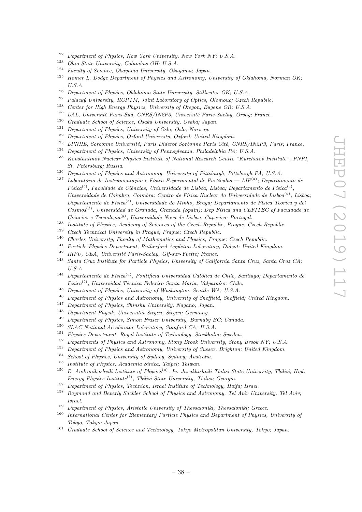- <sup>122</sup> Department of Physics, New York University, New York NY; U.S.A.
- <sup>123</sup> Ohio State University, Columbus OH; U.S.A.
- <sup>124</sup> Faculty of Science, Okayama University, Okayama; Japan.
- $125$  Homer L. Dodge Department of Physics and Astronomy, University of Oklahoma, Norman OK;  $U.S.A.$
- <sup>126</sup> Department of Physics, Oklahoma State University, Stillwater OK; U.S.A.<br><sup>127</sup> Pelsché University, DCDTM, Jeint Leherstery of Ortice Olemeyev Creek
- <sup>127</sup> Palacký University, RCPTM, Joint Laboratory of Optics, Olomouc; Czech Republic.<br><sup>128</sup> Curtan for High France Physics, University of Operante France OB, H.C.A.
- <sup>128</sup> Center for High Energy Physics, University of Oregon, Eugene OR; U.S.A.<br><sup>129</sup> LAL Heigensiti Puris Carl CNDC (N008, Universiti Puris Carly Organ
- 129 LAL, Université Paris-Sud, CNRS/IN2P3, Université Paris-Saclay, Orsay; France.
- <sup>130</sup> Graduate School of Science, Osaka University, Osaka; Japan.
- <sup>131</sup> Department of Physics, University of Oslo, Oslo; Norway.<br><sup>132</sup> Department of Physics, Orford University, Orford, United
- <sup>132</sup> Department of Physics, Oxford University, Oxford; United Kingdom.
- <sup>133</sup> LPNHE, Sorbonne Université, Paris Diderot Sorbonne Paris Cité, CNRS/IN2P3, Paris; France.
- <sup>134</sup> Department of Physics, University of Pennsylvania, Philadelphia PA; U.S.A.
- <sup>135</sup> Konstantinov Nuclear Physics Institute of National Research Centre "Kurchatov Institute", PNPI, St. Petersburg; Russia.
- <sup>136</sup> Department of Physics and Astronomy, University of Pittsburgh, Pittsburgh PA; U.S.A.
- <sup>137</sup> Laboratório de Instrumentação e Física Experimental de Partículas LIP<sup>(a)</sup>; Departamento de  $Física<sup>(b)</sup>$ , Faculdade de Ciências, Universidade de Lisboa, Lisboa; Departamento de Física<sup>(c)</sup>, Universidade de Coimbra, Coimbra; Centro de Física Nuclear da Universidade de Lisboa<sup>(d)</sup>, Lisboa; Departamento de Física<sup>(e)</sup>, Universidade do Minho, Braga; Departamento de Física Teorica y dei  $Cosmos^{(f)}$ , Universidad de Granada, Granada (Spain); Dep Física and CEFITEC of Faculdade de Ciências e Tecnologia<sup>(g)</sup>, Universidade Nova de Lisboa, Caparica; Portugal.
- <sup>138</sup> Institute of Physics, Academy of Sciences of the Czech Republic, Prague; Czech Republic.<br><sup>139</sup> Creek Technical University in Prague, Prague: Creek Penublic, Prague; Czech Republic.
- <sup>139</sup> Czech Technical University in Prague, Prague; Czech Republic.<br><sup>140</sup> Charles University, Frantly of Mathematics and Physics. Prague
- <sup>140</sup> Charles University, Faculty of Mathematics and Physics, Prague; Czech Republic.
- <sup>141</sup> Particle Physics Department, Rutherford Appleton Laboratory, Didcot; United Kingdom.
- $142$  IRFU, CEA, Université Paris-Saclay, Gif-sur-Yvette; France.
- <sup>143</sup> Santa Cruz Institute for Particle Physics, University of California Santa Cruz, Santa Cruz CA; U.S.A.
- <sup>144</sup> Departamento de Física<sup>(a)</sup>, Pontificia Universidad Católica de Chile, Santiago; Departamento de  $Física<sup>(b)</sup>$ , Universidad Técnica Federico Santa María, Valparaíso; Chile.
- <sup>145</sup> Department of Physics, University of Washington, Seattle WA; U.S.A.<br><sup>146</sup> Department of Physics and Astronomy, University of Sheffield, Sheffield
- <sup>146</sup> Department of Physics and Astronomy, University of Sheffield, Sheffield; United Kingdom.<br><sup>147</sup> Department of Physics, Shipshy University, Nagapo: Japan.
- Department of Physics, Shinshu University, Nagano; Japan.
- $148$  Department Physik, Universität Siegen, Siegen; Germany.
- <sup>149</sup> Department of Physics, Simon Fraser University, Burnaby BC; Canada.
- <sup>150</sup> SLAC National Accelerator Laboratory, Stanford CA; U.S.A.
- <sup>151</sup> Physics Department, Royal Institute of Technology, Stockholm; Sweden.
- <sup>152</sup> Departments of Physics and Astronomy, Stony Brook University, Stony Brook NY; U.S.A.
- <sup>153</sup> Department of Physics and Astronomy, University of Sussex, Brighton; United Kingdom.
- <sup>154</sup> School of Physics, University of Sydney, Sydney; Australia.
- <sup>155</sup> Institute of Physics, Academia Sinica, Taipei; Taiwan.
- <sup>156</sup> E. Andronikashvili Institute of Physics<sup>(a)</sup>, Iv. Javakhishvili Tbilisi State University, Tbilisi; High  $Energy Physics Institute<sup>(b)</sup>, Tbilisi State University, Tbilisi; Georgia.$
- <sup>157</sup> Department of Physics, Technion, Israel Institute of Technology, Haifa; Israel.
- <sup>158</sup> Raymond and Beverly Sackler School of Physics and Astronomy, Tel Aviv University, Tel Aviv; Israel.
- <sup>159</sup> Department of Physics, Aristotle University of Thessaloniki, Thessaloniki; Greece.
- <sup>160</sup> International Center for Elementary Particle Physics and Department of Physics, University of Tokyo, Tokyo; Japan.
- <sup>161</sup> Graduate School of Science and Technology, Tokyo Metropolitan University, Tokyo; Japan.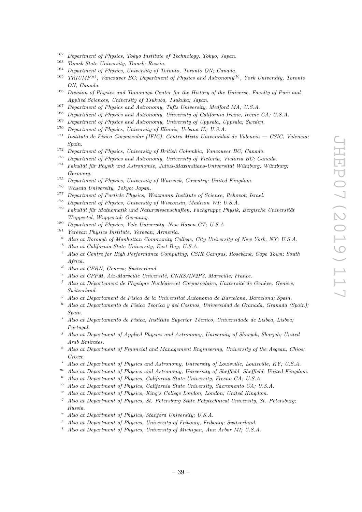- <sup>162</sup> Department of Physics, Tokyo Institute of Technology, Tokyo; Japan.
- <sup>163</sup> Tomsk State University, Tomsk; Russia.
- <sup>164</sup> Department of Physics, University of Toronto, Toronto ON; Canada.
- <sup>165</sup> TRIUMF<sup>(a)</sup>, Vancouver BC; Department of Physics and Astronomy<sup>(b)</sup>, York University, Toronto ON; Canada.
- <sup>166</sup> Division of Physics and Tomonaga Center for the History of the Universe, Faculty of Pure and Applied Sciences, University of Tsukuba, Tsukuba; Japan.
- <sup>167</sup> Department of Physics and Astronomy, Tufts University, Medford MA; U.S.A.
- Department of Physics and Astronomy, University of California Irvine, Irvine CA; U.S.A.
- <sup>169</sup> Department of Physics and Astronomy, University of Uppsala, Uppsala; Sweden.
- <sup>170</sup> Department of Physics, University of Illinois, Urbana IL; U.S.A.
- <sup>171</sup> Instituto de Física Corpuscular (IFIC), Centro Mixto Universidad de Valencia CSIC. Valencia: Spain.
- <sup>172</sup> Department of Physics, University of British Columbia, Vancouver BC; Canada.<br><sup>173</sup> Department of Physics and Astronomy University of Victoria Victoria BC: Canada.
- <sup>173</sup> Department of Physics and Astronomy, University of Victoria, Victoria BC; Canada.
- $174$  Fakultät für Physik und Astronomie, Julius-Maximilians-Universität Würzburg, Würzburg; Germany.
- <sup>175</sup> Department of Physics, University of Warwick, Coventry; United Kingdom.
- <sup>176</sup> Waseda University, Tokyo; Japan.
- Department of Particle Physics, Weizmann Institute of Science, Rehovot; Israel.
- <sup>178</sup> Department of Physics, University of Wisconsin, Madison WI; U.S.A.
- $1^{179}$  Fakultät für Mathematik und Naturwissenschaften, Fachgruppe Physik, Bergische Universität Wuppertal, Wuppertal; Germany.
- <sup>180</sup> Department of Physics, Yale University, New Haven CT; U.S.A.
- <sup>181</sup> Yerevan Physics Institute, Yerevan; Armenia.
- <sup>a</sup> Also at Borough of Manhattan Community College, City University of New York, NY; U.S.A.
- <sup>b</sup> Also at California State University, East Bay; U.S.A.
- <sup>c</sup> Also at Centre for High Performance Computing, CSIR Campus, Rosebank, Cape Town; South Africa.
- <sup>d</sup> Also at CERN, Geneva; Switzerland.
- $e$  Also at CPPM, Aix-Marseille Université, CNRS/IN2P3, Marseille; France.
- <sup>f</sup> Also at Département de Physique Nucléaire et Corpusculaire, Université de Genève, Genève; Switzerland.
- <sup>g</sup> Also at Departament de Fisica de la Universitat Autonoma de Barcelona, Barcelona; Spain.
- $h$  Also at Departamento de Física Teorica y del Cosmos, Universidad de Granada, Granada (Spain); Spain.
- Also at Departamento de Física, Instituto Superior Técnico, Universidade de Lisboa, Lisboa; Portugal.
- <sup>j</sup> Also at Department of Applied Physics and Astronomy, University of Sharjah, Sharjah; United Arab Emirates.
- <sup>k</sup> Also at Department of Financial and Management Engineering, University of the Aegean, Chios; Greece.
- <sup>l</sup> Also at Department of Physics and Astronomy, University of Louisville, Louisville, KY; U.S.A.
- $<sup>m</sup>$  Also at Department of Physics and Astronomy, University of Sheffield, Sheffield; United Kingdom.</sup>
- $n$  Also at Department of Physics, California State University, Fresno CA; U.S.A.
- Also at Department of Physics, California State University, Sacramento CA; U.S.A.
- $p<sup>p</sup>$  Also at Department of Physics, King's College London, London; United Kingdom.
- <sup>q</sup> Also at Department of Physics, St. Petersburg State Polytechnical University, St. Petersburg; Russia.
- <sup>r</sup> Also at Department of Physics, Stanford University; U.S.A.
- Also at Department of Physics, University of Fribourg, Fribourg; Switzerland.
- Also at Department of Physics, University of Michigan, Ann Arbor MI; U.S.A.